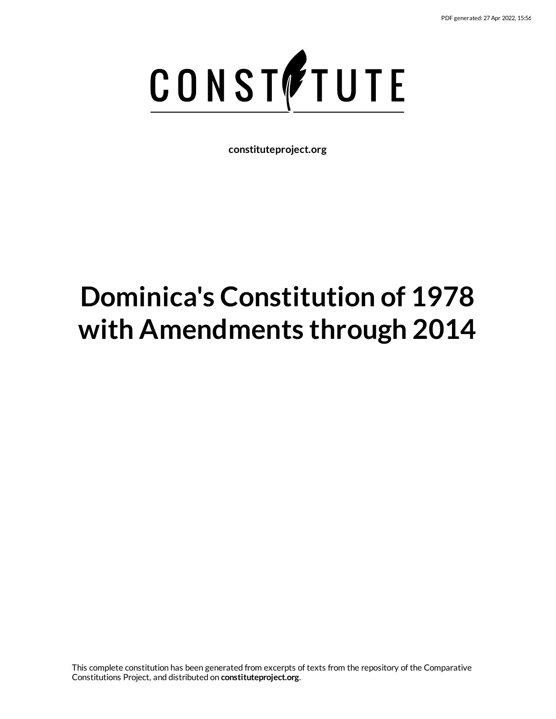

**constituteproject.org**

# **Dominica's Constitution of 1978 with Amendments through 2014**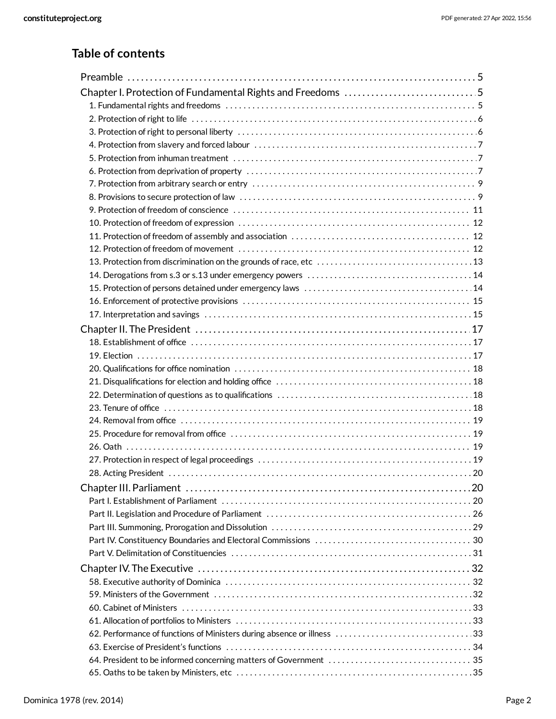### **Table of contents**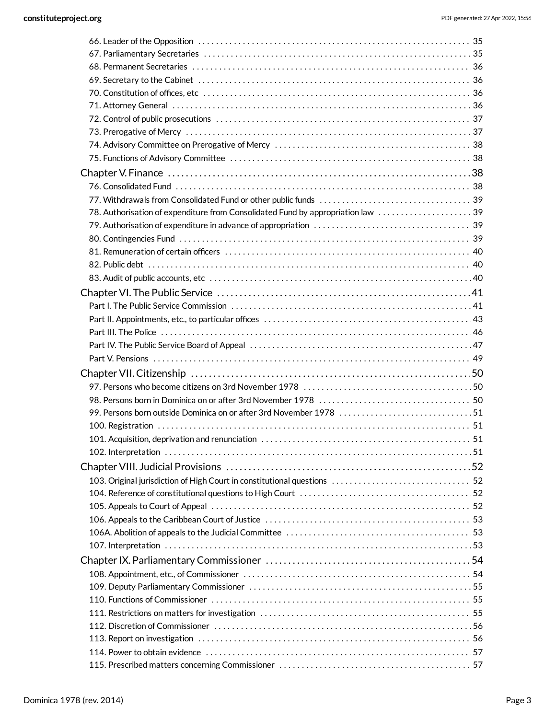| 78. Authorisation of expenditure from Consolidated Fund by appropriation law 39 |  |
|---------------------------------------------------------------------------------|--|
|                                                                                 |  |
|                                                                                 |  |
|                                                                                 |  |
|                                                                                 |  |
|                                                                                 |  |
|                                                                                 |  |
|                                                                                 |  |
|                                                                                 |  |
|                                                                                 |  |
|                                                                                 |  |
|                                                                                 |  |
|                                                                                 |  |
|                                                                                 |  |
|                                                                                 |  |
| 99. Persons born outside Dominica on or after 3rd November 1978 51              |  |
|                                                                                 |  |
|                                                                                 |  |
|                                                                                 |  |
|                                                                                 |  |
|                                                                                 |  |
|                                                                                 |  |
|                                                                                 |  |
|                                                                                 |  |
|                                                                                 |  |
|                                                                                 |  |
|                                                                                 |  |
|                                                                                 |  |
|                                                                                 |  |
|                                                                                 |  |
|                                                                                 |  |
|                                                                                 |  |
|                                                                                 |  |
|                                                                                 |  |
|                                                                                 |  |
|                                                                                 |  |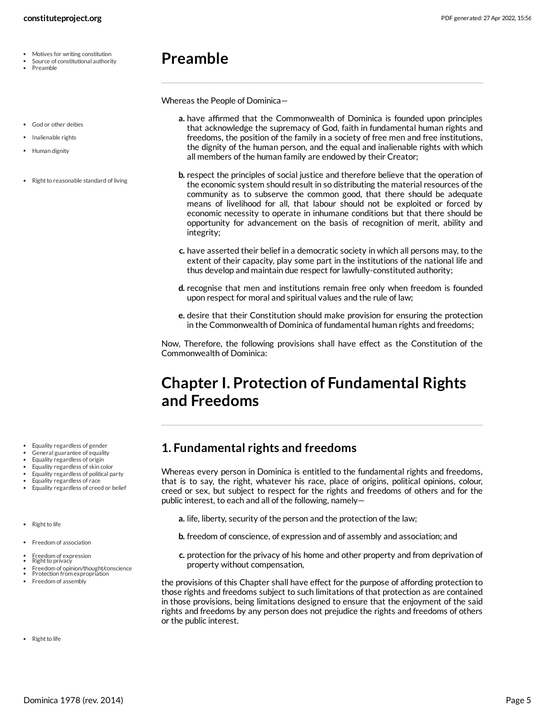Motives for writing constitution  $\bullet$ 

<span id="page-4-0"></span>**Preamble**

- Source of constitutional authority
- Preamble

- God or other deities
- Inalienable rights
- Human dignity
- Right to reasonable standard of living

<span id="page-4-4"></span>Whereas the People of Dominica **a.** have affirmed that the Commonwealth of Dominica is founded upon principles

- that acknowledge the supremacy of God, faith in fundamental human rights and freedoms, the position of the family in a society of free men and free institutions, the dignity of the human person, and the equal and inalienable rights with which all members of the human family are endowed by their Creator;
- **b.** respect the principles of social justice and therefore believe that the operation of the economic system should result in so distributing the material resources of the community as to subserve the common good, that there should be adequate means of livelihood for all, that labour should not be exploited or forced by economic necessity to operate in inhumane conditions but that there should be opportunity for advancement on the basis of recognition of merit, ability and integrity;
- **c.** have asserted their belief in a democratic society in which all persons may, to the extent of their capacity, play some part in the institutions of the national life and thus develop and maintain due respect for lawfully-constituted authority;
- **d.** recognise that men and institutions remain free only when freedom is founded upon respect for moral and spiritual values and the rule of law;
- **e.** desire that their Constitution should make provision for ensuring the protection in the Commonwealth of Dominica of fundamental human rights and freedoms;

Now, Therefore, the following provisions shall have effect as the Constitution of the Commonwealth of Dominica:

# <span id="page-4-1"></span>**Chapter I. Protection of Fundamental Rights and Freedoms**

#### <span id="page-4-2"></span>**1. Fundamental rights and freedoms**

<span id="page-4-3"></span>Whereas every person in Dominica is entitled to the fundamental rights and freedoms, that is to say, the right, whatever his race, place of origins, political opinions, colour, creed or sex, but subject to respect for the rights and freedoms of others and for the public interest, to each and all of the following, namely—

- **a.** life, liberty, security of the person and the protection of the law;
- **b.** freedom of conscience, of expression and of assembly and association; and
- **c.** protection for the privacy of his home and other property and from deprivation of property without compensation,

the provisions of this Chapter shall have effect for the purpose of affording protection to those rights and freedoms subject to such limitations of that protection as are contained in those provisions, being limitations designed to ensure that the enjoyment of the said rights and freedoms by any person does not prejudice the rights and freedoms of others or the public interest.

- Equality regardless of gender General guarantee of equality
- Equality regardless of origin
- Equality regardless of skin color
- Equality regardless of political party
- Equality regardless of race
- Equality regardless of creed or belief
- Right to life
- Freedom of association
- Freedom of expression<br>Right to privacy
- Freedom of opinion/thought/conscience Protection from expropriation
- 
- Freedom of assembly
- Right to life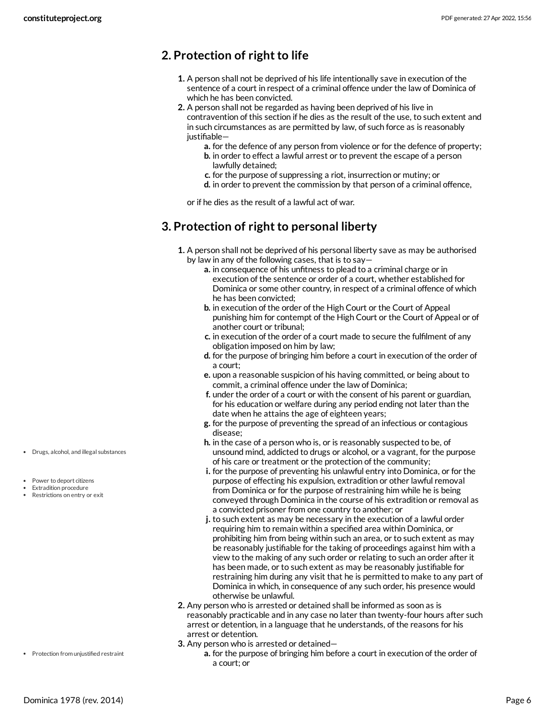### <span id="page-5-0"></span>**2. Protection of right to life**

- **1.** A person shall not be deprived of his life intentionally save in execution of the sentence of a court in respect of a criminal offence under the law of Dominica of which he has been convicted.
- **2.** A person shall not be regarded as having been deprived of his live in contravention of this section if he dies as the result of the use, to such extent and in such circumstances as are permitted by law, of such force as is reasonably justifiable
	- **a.** for the defence of any person from violence or for the defence of property;
	- **b.** in order to effect a lawful arrest or to prevent the escape of a person lawfully detained;
	- **c.** for the purpose of suppressing a riot, insurrection or mutiny; or
	- **d.** in order to prevent the commission by that person of a criminal offence,

or if he dies as the result of a lawful act of war.

### <span id="page-5-1"></span>**3. Protection of right to personal liberty**

- **1.** A person shall not be deprived of his personal liberty save as may be authorised by law in any of the following cases, that is to say
	- **a.** in consequence of his unfitness to plead to a criminal charge or in execution of the sentence or order of a court, whether established for Dominica or some other country, in respect of a criminal offence of which he has been convicted;
	- **b.** in execution of the order of the High Court or the Court of Appeal punishing him for contempt of the High Court or the Court of Appeal or of another court or tribunal;
	- **c.** in execution of the order of a court made to secure the fulfilment of any obligation imposed on him by law;
	- **d.** for the purpose of bringing him before a court in execution of the order of a court;
	- **e.** upon a reasonable suspicion of his having committed, or being about to commit, a criminal offence under the law of Dominica;
	- **f.** under the order of a court or with the consent of his parent or guardian, for his education or welfare during any period ending not later than the date when he attains the age of eighteen years;
	- **g.** for the purpose of preventing the spread of an infectious or contagious disease;
	- **h.** in the case of a person who is, or is reasonably suspected to be, of unsound mind, addicted to drugs or alcohol, or a vagrant, for the purpose of his care or treatment or the protection of the community;
	- **i.** for the purpose of preventing his unlawful entry into Dominica, or for the purpose of effecting his expulsion, extradition or other lawful removal from Dominica or for the purpose of restraining him while he is being conveyed through Dominica in the course of his extradition or removal as a convicted prisoner from one country to another; or
	- **j.** to such extent as may be necessary in the execution of a lawful order requiring him to remain within a specified area within Dominica, or prohibiting him from being within such an area, or to such extent as may be reasonably justifiable for the taking of proceedings against him with a view to the making of any such order or relating to such an order after it has been made, or to such extent as may be reasonably justifiable for restraining him during any visit that he is permitted to make to any part of Dominica in which, in consequence of any such order, his presence would otherwise be unlawful.
- **2.** Any person who is arrested or detained shall be informed as soon as is reasonably practicable and in any case no later than twenty-four hours after such arrest or detention, in a language that he understands, of the reasons for his arrest or detention.
- **3.** Any person who is arrested or detained
	- **a.** for the purpose of bringing him before a court in execution of the order of a court; or
- Drugs, alcohol, and illegal substances
- Power to deport citizens
- Extradition procedure
- Restrictions on entry or exit

• Protection from unjustified restraint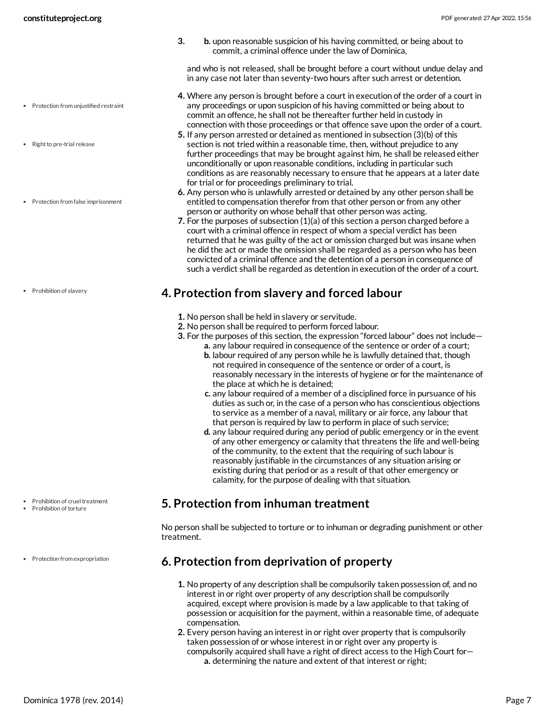• Protection from uniustified restraint

• Protection from false imprisonment

• Right to pre-trial release

**3. b.** upon reasonable suspicion of his having committed, or being about to commit, a criminal offence under the law of Dominica,

and who is not released, shall be brought before a court without undue delay and in any case not later than seventy-two hours after such arrest or detention.

- **4.** Where any person is brought before a court in execution of the order of a court in any proceedings or upon suspicion of his having committed or being about to commit an offence, he shall not be thereafter further held in custody in connection with those proceedings or that offence save upon the order of a court.
- **5.** If any person arrested or detained as mentioned in subsection (3)(b) of this section is not tried within a reasonable time, then, without prejudice to any further proceedings that may be brought against him, he shall be released either unconditionally or upon reasonable conditions, including in particular such conditions as are reasonably necessary to ensure that he appears at a later date for trial or for proceedings preliminary to trial.
- **6.** Any person who is unlawfully arrested or detained by any other person shall be entitled to compensation therefor from that other person or from any other person or authority on whose behalf that other person was acting.
- **7.** For the purposes of subsection (1)(a) of this section a person charged before a court with a criminal offence in respect of whom a special verdict has been returned that he was guilty of the act or omission charged but was insane when he did the act or made the omission shall be regarded as a person who has been convicted of a criminal offence and the detention of a person in consequence of such a verdict shall be regarded as detention in execution of the order of a court.

#### <span id="page-6-0"></span>**4. Protection from slavery and forced labour**

- **1.** No person shall be held in slavery or servitude.
- **2.** No person shall be required to perform forced labour.
- **3.** For the purposes of this section, the expression "forced labour" does not include **a.** any labour required in consequence of the sentence or order of a court;
	- **b.** labour required of any person while he is lawfully detained that, though not required in consequence of the sentence or order of a court, is reasonably necessary in the interests of hygiene or for the maintenance of the place at which he is detained;
	- **c.** any labour required of a member of a disciplined force in pursuance of his duties as such or, in the case of a person who has conscientious objections to service as a member of a naval, military or air force, any labour that that person is required by law to perform in place of such service;
	- **d.** any labour required during any period of public emergency or in the event of any other emergency or calamity that threatens the life and well-being of the community, to the extent that the requiring of such labour is reasonably justifiable in the circumstances of any situation arising or existing during that period or as a result of that other emergency or calamity, for the purpose of dealing with that situation.

### <span id="page-6-1"></span>**5. Protection from inhuman treatment**

No person shall be subjected to torture or to inhuman or degrading punishment or other treatment.

### <span id="page-6-2"></span>**6. Protection from deprivation of property**

- **1.** No property of any description shall be compulsorily taken possession of, and no interest in or right over property of any description shall be compulsorily acquired, except where provision is made by a law applicable to that taking of possession or acquisition for the payment, within a reasonable time, of adequate compensation.
- **2.** Every person having an interest in or right over property that is compulsorily taken possession of or whose interest in or right over any property is compulsorily acquired shall have a right of direct access to the High Court for **a.** determining the nature and extent of that interest or right;

• Prohibition of slavery

- Prohibition of cruel treatment Prohibition of torture
- Protection from expropriation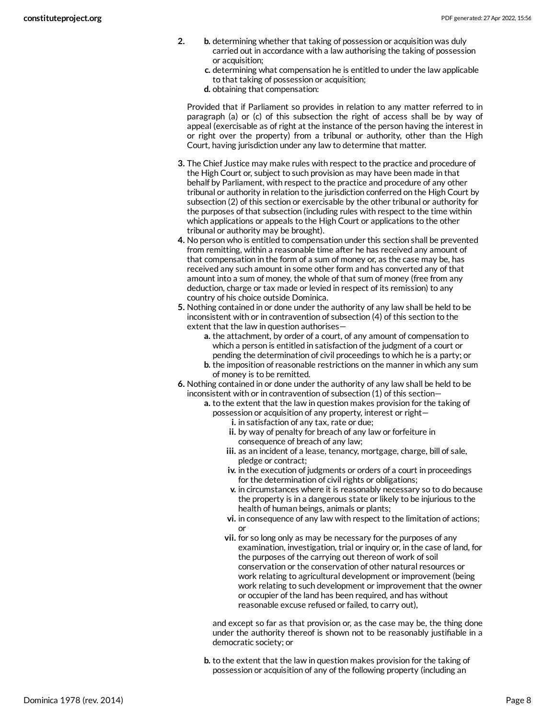- **2. b.** determining whether that taking of possession or acquisition was duly carried out in accordance with a law authorising the taking of possession or acquisition;
	- **c.** determining what compensation he is entitled to under the law applicable to that taking of possession or acquisition;
	- **d.** obtaining that compensation:

Provided that if Parliament so provides in relation to any matter referred to in paragraph (a) or (c) of this subsection the right of access shall be by way of appeal (exercisable as of right at the instance of the person having the interest in or right over the property) from a tribunal or authority, other than the High Court, having jurisdiction under any law to determine that matter.

- **3.** The Chief Justice may make rules with respect to the practice and procedure of the High Court or, subject to such provision as may have been made in that behalf by Parliament, with respect to the practice and procedure of any other tribunal or authority in relation to the jurisdiction conferred on the High Court by subsection (2) of this section or exercisable by the other tribunal or authority for the purposes of that subsection (including rules with respect to the time within which applications or appeals to the High Court or applications to the other tribunal or authority may be brought).
- **4.** No person who is entitled to compensation under this section shall be prevented from remitting, within a reasonable time after he has received any amount of that compensation in the form of a sum of money or, as the case may be, has received any such amount in some other form and has converted any of that amount into a sum of money, the whole of that sum of money (free from any deduction, charge or tax made or levied in respect of its remission) to any country of his choice outside Dominica.
- **5.** Nothing contained in or done under the authority of any law shall be held to be inconsistent with or in contravention of subsection (4) of this section to the extent that the law in question authorises
	- **a.** the attachment, by order of a court, of any amount of compensation to which a person is entitled in satisfaction of the judgment of a court or pending the determination of civil proceedings to which he is a party; or
	- **b.** the imposition of reasonable restrictions on the manner in which any sum of money is to be remitted.
- **6.** Nothing contained in or done under the authority of any law shall be held to be inconsistent with or in contravention of subsection (1) of this section
	- **a.** to the extent that the law in question makes provision for the taking of possession or acquisition of any property, interest or right
		- **i.** in satisfaction of any tax, rate or due;
		- **ii.** by way of penalty for breach of any law or forfeiture in consequence of breach of any law;
		- **iii.** as an incident of a lease, tenancy, mortgage, charge, bill of sale, pledge or contract;
		- **iv.** in the execution of judgments or orders of a court in proceedings for the determination of civil rights or obligations;
		- **v.** in circumstances where it is reasonably necessary so to do because the property is in a dangerous state or likely to be injurious to the health of human beings, animals or plants;
		- **vi.** in consequence of any law with respect to the limitation of actions; or
		- **vii.** for so long only as may be necessary for the purposes of any examination, investigation, trial or inquiry or, in the case of land, for the purposes of the carrying out thereon of work of soil conservation or the conservation of other natural resources or work relating to agricultural development or improvement (being work relating to such development or improvement that the owner or occupier of the land has been required, and has without reasonable excuse refused or failed, to carry out),

and except so far as that provision or, as the case may be, the thing done under the authority thereof is shown not to be reasonably justifiable in a democratic society; or

**b.** to the extent that the law in question makes provision for the taking of possession or acquisition of any of the following property (including an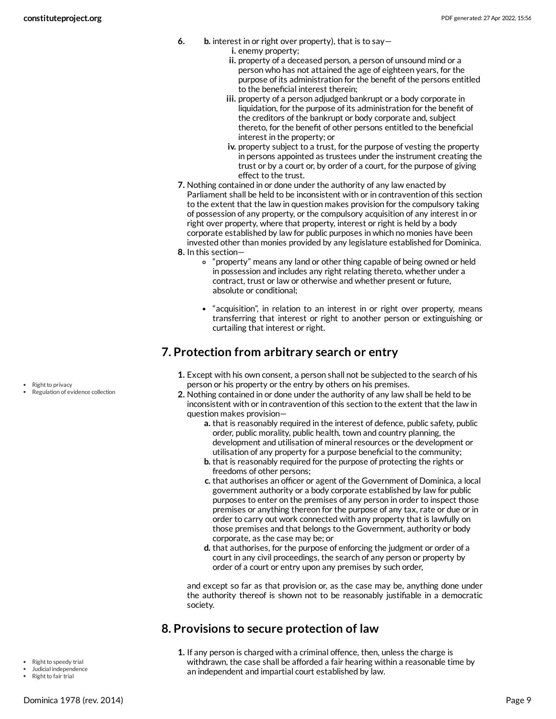- **6. b.** interest in or right over property), that is to say **i.** enemy property;
	- **ii.** property of a deceased person, a person of unsound mind or a person who has not attained the age of eighteen years, for the purpose of its administration for the benefit of the persons entitled to the beneficial interest therein;
	- **iii.** property of a person adjudged bankrupt or a body corporate in liquidation, for the purpose of its administration for the benefit of the creditors of the bankrupt or body corporate and, subject thereto, for the benefit of other persons entitled to the beneficial interest in the property; or
	- **iv.** property subject to a trust, for the purpose of vesting the property in persons appointed as trustees under the instrument creating the trust or by a court or, by order of a court, for the purpose of giving effect to the trust.
- **7.** Nothing contained in or done under the authority of any law enacted by Parliament shall be held to be inconsistent with or in contravention of this section to the extent that the law in question makes provision for the compulsory taking of possession of any property, or the compulsory acquisition of any interest in or right over property, where that property, interest or right is held by a body corporate established by law for public purposes in which no monies have been invested other than monies provided by any legislature established for Dominica.
- **8.** In this section—
	- "property" means any land or other thing capable of being owned or held in possession and includes any right relating thereto, whether under a contract, trust or law or otherwise and whether present or future, absolute or conditional;
	- "acquisition", in relation to an interest in or right over property, means transferring that interest or right to another person or extinguishing or curtailing that interest or right.

### <span id="page-8-0"></span>**7. Protection from arbitrary search or entry**

- **1.** Except with his own consent, a person shall not be subjected to the search of his person or his property or the entry by others on his premises.
- **2.** Nothing contained in or done under the authority of any law shall be held to be inconsistent with or in contravention of this section to the extent that the law in question makes provision
	- **a.** that is reasonably required in the interest of defence, public safety, public order, public morality, public health, town and country planning, the development and utilisation of mineral resources or the development or utilisation of any property for a purpose beneficial to the community;
	- **b.** that is reasonably required for the purpose of protecting the rights or freedoms of other persons;
	- **c.** that authorises an officer or agent of the Government of Dominica, a local government authority or a body corporate established by law for public purposes to enter on the premises of any person in order to inspect those premises or anything thereon for the purpose of any tax, rate or due or in order to carry out work connected with any property that is lawfully on those premises and that belongs to the Government, authority or body corporate, as the case may be; or
	- **d.** that authorises, for the purpose of enforcing the judgment or order of a court in any civil proceedings, the search of any person or property by order of a court or entry upon any premises by such order,

and except so far as that provision or, as the case may be, anything done under the authority thereof is shown not to be reasonably justifiable in a democratic society.

#### <span id="page-8-1"></span>**8. Provisions to secure protection of law**

**1.** If any person is charged with a criminal offence, then, unless the charge is withdrawn, the case shall be afforded a fair hearing within a reasonable time by an independent and impartial court established by law.

- Right to privacy
- Regulation of evidence collection

- Right to speedy trial Judicial independence
- Right to fair trial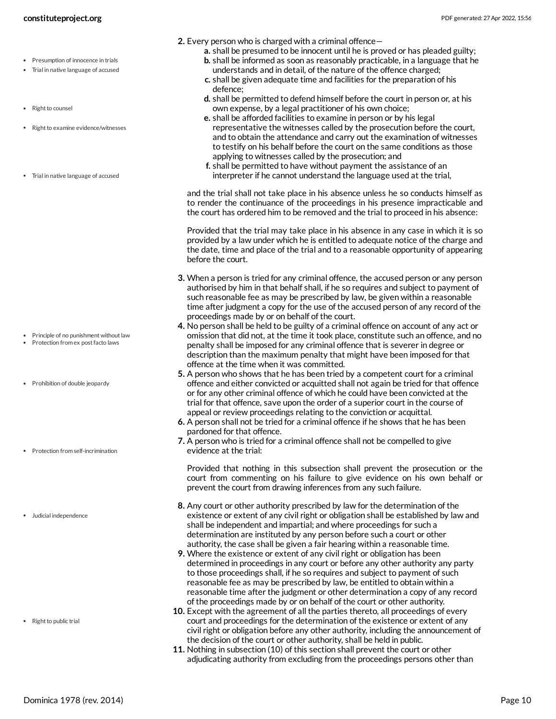- Presumption of innocence in trials
- Trial in native language of accused
- Right to counsel
- Right to examine evidence/witnesses
- Trial in native language of accused

- Principle of no punishment without law Protection from ex post facto laws
- 
- Prohibition of double jeopardy
- Protection from self-incrimination
- Judicial independence

• Right to public trial

- **2.** Every person who is charged with a criminal offence
	- **a.** shall be presumed to be innocent until he is proved or has pleaded guilty; **b.** shall be informed as soon as reasonably practicable, in a language that he
	- understands and in detail, of the nature of the offence charged; **c.** shall be given adequate time and facilities for the preparation of his defence;
	- **d.** shall be permitted to defend himself before the court in person or, at his own expense, by a legal practitioner of his own choice;
	- **e.** shall be afforded facilities to examine in person or by his legal representative the witnesses called by the prosecution before the court, and to obtain the attendance and carry out the examination of witnesses to testify on his behalf before the court on the same conditions as those applying to witnesses called by the prosecution; and
	- **f.** shall be permitted to have without payment the assistance of an interpreter if he cannot understand the language used at the trial,

and the trial shall not take place in his absence unless he so conducts himself as to render the continuance of the proceedings in his presence impracticable and the court has ordered him to be removed and the trial to proceed in his absence:

Provided that the trial may take place in his absence in any case in which it is so provided by a law under which he is entitled to adequate notice of the charge and the date, time and place of the trial and to a reasonable opportunity of appearing before the court.

- **3.** When a person is tried for any criminal offence, the accused person or any person authorised by him in that behalf shall, if he so requires and subject to payment of such reasonable fee as may be prescribed by law, be given within a reasonable time after judgment a copy for the use of the accused person of any record of the proceedings made by or on behalf of the court.
- **4.** No person shall be held to be guilty of a criminal offence on account of any act or omission that did not, at the time it took place, constitute such an offence, and no penalty shall be imposed for any criminal offence that is severer in degree or description than the maximum penalty that might have been imposed for that offence at the time when it was committed.
- **5.** A person who shows that he has been tried by a competent court for a criminal offence and either convicted or acquitted shall not again be tried for that offence or for any other criminal offence of which he could have been convicted at the trial for that offence, save upon the order of a superior court in the course of appeal or review proceedings relating to the conviction or acquittal.
- **6.** A person shall not be tried for a criminal offence if he shows that he has been pardoned for that offence.
- **7.** A person who is tried for a criminal offence shall not be compelled to give evidence at the trial:

Provided that nothing in this subsection shall prevent the prosecution or the court from commenting on his failure to give evidence on his own behalf or prevent the court from drawing inferences from any such failure.

- **8.** Any court or other authority prescribed by law for the determination of the existence or extent of any civil right or obligation shall be established by law and shall be independent and impartial; and where proceedings for such a determination are instituted by any person before such a court or other authority, the case shall be given a fair hearing within a reasonable time.
- **9.** Where the existence or extent of any civil right or obligation has been determined in proceedings in any court or before any other authority any party to those proceedings shall, if he so requires and subject to payment of such reasonable fee as may be prescribed by law, be entitled to obtain within a reasonable time after the judgment or other determination a copy of any record of the proceedings made by or on behalf of the court or other authority.
- **10.** Except with the agreement of all the parties thereto, all proceedings of every court and proceedings for the determination of the existence or extent of any civil right or obligation before any other authority, including the announcement of the decision of the court or other authority, shall be held in public.
- **11.** Nothing in subsection (10) of this section shall prevent the court or other adjudicating authority from excluding from the proceedings persons other than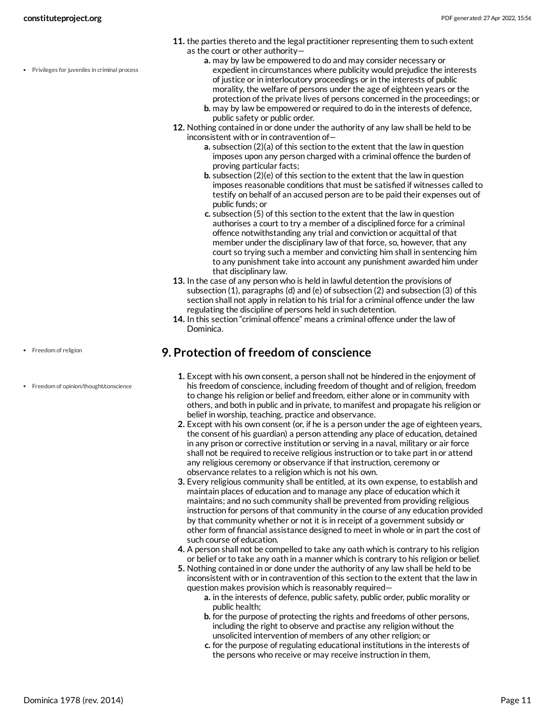Privileges for juveniles in criminal process

- **11.** the parties thereto and the legal practitioner representing them to such extent as the court or other authority
	- **a.** may by law be empowered to do and may consider necessary or expedient in circumstances where publicity would prejudice the interests of justice or in interlocutory proceedings or in the interests of public morality, the welfare of persons under the age of eighteen years or the protection of the private lives of persons concerned in the proceedings; or
	- **b.** may by law be empowered or required to do in the interests of defence, public safety or public order.
- **12.** Nothing contained in or done under the authority of any law shall be held to be inconsistent with or in contravention of
	- **a.** subsection (2)(a) of this section to the extent that the law in question imposes upon any person charged with a criminal offence the burden of proving particular facts;
	- **b.** subsection (2)(e) of this section to the extent that the law in question imposes reasonable conditions that must be satisfied if witnesses called to testify on behalf of an accused person are to be paid their expenses out of public funds; or
	- **c.** subsection (5) of this section to the extent that the law in question authorises a court to try a member of a disciplined force for a criminal offence notwithstanding any trial and conviction or acquittal of that member under the disciplinary law of that force, so, however, that any court so trying such a member and convicting him shall in sentencing him to any punishment take into account any punishment awarded him under that disciplinary law.
- **13.** In the case of any person who is held in lawful detention the provisions of subsection (1), paragraphs (d) and (e) of subsection (2) and subsection (3) of this section shall not apply in relation to his trial for a criminal offence under the law regulating the discipline of persons held in such detention.
- **14.** In this section "criminal offence" means a criminal offence under the law of Dominica.

#### <span id="page-10-0"></span>**9. Protection of freedom of conscience**

- **1.** Except with his own consent, a person shall not be hindered in the enjoyment of his freedom of conscience, including freedom of thought and of religion, freedom to change his religion or belief and freedom, either alone or in community with others, and both in public and in private, to manifest and propagate his religion or belief in worship, teaching, practice and observance.
- **2.** Except with his own consent (or, if he is a person under the age of eighteen years, the consent of his guardian) a person attending any place of education, detained in any prison or corrective institution or serving in a naval, military or air force shall not be required to receive religious instruction or to take part in or attend any religious ceremony or observance if that instruction, ceremony or observance relates to a religion which is not his own.
- **3.** Every religious community shall be entitled, at its own expense, to establish and maintain places of education and to manage any place of education which it maintains; and no such community shall be prevented from providing religious instruction for persons of that community in the course of any education provided by that community whether or not it is in receipt of a government subsidy or other form of financial assistance designed to meet in whole or in part the cost of such course of education.
- **4.** A person shall not be compelled to take any oath which is contrary to his religion or belief or to take any oath in a manner which is contrary to his religion or belief.
- **5.** Nothing contained in or done under the authority of any law shall be held to be inconsistent with or in contravention of this section to the extent that the law in question makes provision which is reasonably required
	- **a.** in the interests of defence, public safety, public order, public morality or public health;
	- **b.** for the purpose of protecting the rights and freedoms of other persons, including the right to observe and practise any religion without the unsolicited intervention of members of any other religion; or
	- **c.** for the purpose of regulating educational institutions in the interests of the persons who receive or may receive instruction in them,

• Freedom of religion

• Freedom of opinion/thought/conscience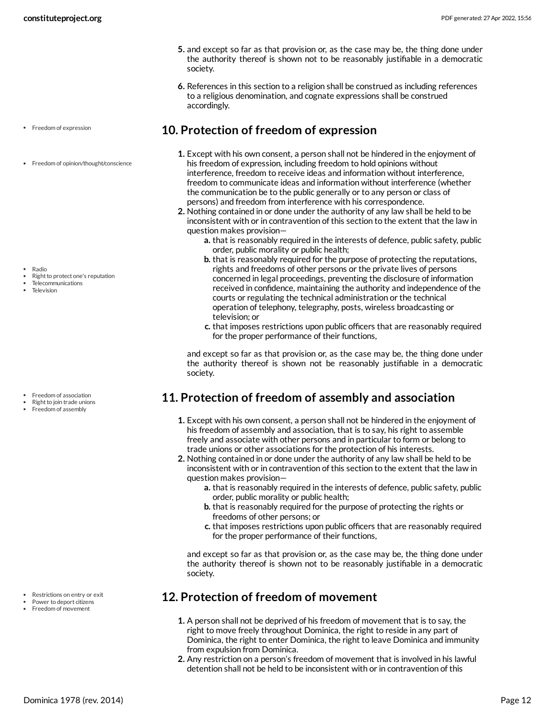- **5.** and except so far as that provision or, as the case may be, the thing done under the authority thereof is shown not to be reasonably justifiable in a democratic society.
- **6.** References in this section to a religion shall be construed as including references to a religious denomination, and cognate expressions shall be construed accordingly.

#### <span id="page-11-0"></span>**10. Protection of freedom of expression**

- **1.** Except with his own consent, a person shall not be hindered in the enjoyment of his freedom of expression, including freedom to hold opinions without interference, freedom to receive ideas and information without interference, freedom to communicate ideas and information without interference (whether the communication be to the public generally or to any person or class of persons) and freedom from interference with his correspondence.
- **2.** Nothing contained in or done under the authority of any law shall be held to be inconsistent with or in contravention of this section to the extent that the law in question makes provision
	- **a.** that is reasonably required in the interests of defence, public safety, public order, public morality or public health;
	- **b.** that is reasonably required for the purpose of protecting the reputations, rights and freedoms of other persons or the private lives of persons concerned in legal proceedings, preventing the disclosure of information received in confidence, maintaining the authority and independence of the courts or regulating the technical administration or the technical operation of telephony, telegraphy, posts, wireless broadcasting or television; or
	- **c.** that imposes restrictions upon public officers that are reasonably required for the proper performance of their functions,

and except so far as that provision or, as the case may be, the thing done under the authority thereof is shown not be reasonably justifiable in a democratic society.

### <span id="page-11-1"></span>**11. Protection of freedom of assembly and association**

- **1.** Except with his own consent, a person shall not be hindered in the enjoyment of his freedom of assembly and association, that is to say, his right to assemble freely and associate with other persons and in particular to form or belong to trade unions or other associations for the protection of his interests.
- **2.** Nothing contained in or done under the authority of any law shall be held to be inconsistent with or in contravention of this section to the extent that the law in question makes provision
	- **a.** that is reasonably required in the interests of defence, public safety, public order, public morality or public health;
	- **b.** that is reasonably required for the purpose of protecting the rights or freedoms of other persons; or
	- **c.** that imposes restrictions upon public officers that are reasonably required for the proper performance of their functions,

and except so far as that provision or, as the case may be, the thing done under the authority thereof is shown not to be reasonably justifiable in a democratic society.

#### <span id="page-11-2"></span>**12. Protection of freedom of movement**

- **1.** A person shall not be deprived of his freedom of movement that is to say, the right to move freely throughout Dominica, the right to reside in any part of Dominica, the right to enter Dominica, the right to leave Dominica and immunity from expulsion from Dominica.
- **2.** Any restriction on a person's freedom of movement that is involved in his lawful detention shall not be held to be inconsistent with or in contravention of this

• Freedom of expression

Freedom of opinion/thought/conscience

- Radio
- Right to protect one's reputation
- Telecommunications
- Television

- Freedom of association
- Right to join trade unions Freedom of assembly
- 

- Restrictions on entry or exit
- Power to deport citizens Freedom of movement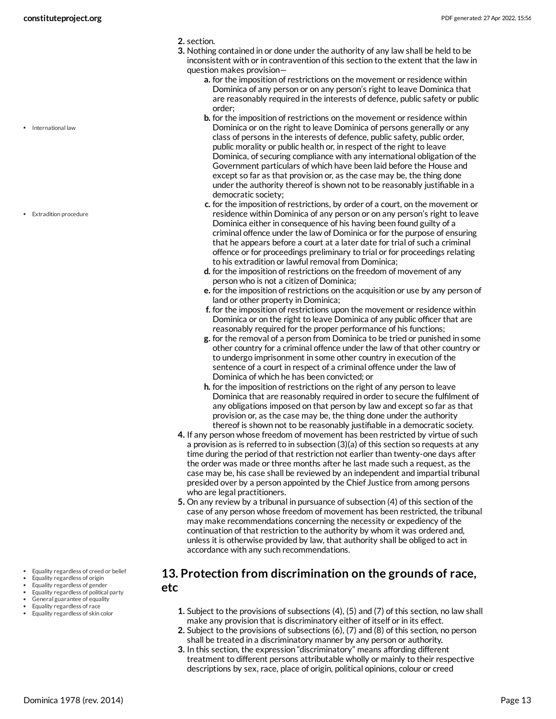- **2.** section.
- **3.** Nothing contained in or done under the authority of any law shall be held to be inconsistent with or in contravention of this section to the extent that the law in question makes provision
	- **a.** for the imposition of restrictions on the movement or residence within Dominica of any person or on any person's right to leave Dominica that are reasonably required in the interests of defence, public safety or public order;
	- **b.** for the imposition of restrictions on the movement or residence within Dominica or on the right to leave Dominica of persons generally or any class of persons in the interests of defence, public safety, public order, public morality or public health or, in respect of the right to leave Dominica, of securing compliance with any international obligation of the Government particulars of which have been laid before the House and except so far as that provision or, as the case may be, the thing done under the authority thereof is shown not to be reasonably justifiable in a democratic society;
	- **c.** for the imposition of restrictions, by order of a court, on the movement or residence within Dominica of any person or on any person's right to leave Dominica either in consequence of his having been found guilty of a criminal offence under the law of Dominica or for the purpose of ensuring that he appears before a court at a later date for trial of such a criminal offence or for proceedings preliminary to trial or for proceedings relating to his extradition or lawful removal from Dominica;
	- **d.** for the imposition of restrictions on the freedom of movement of any person who is not a citizen of Dominica;
	- **e.** for the imposition of restrictions on the acquisition or use by any person of land or other property in Dominica;
	- **f.** for the imposition of restrictions upon the movement or residence within Dominica or on the right to leave Dominica of any public officer that are reasonably required for the proper performance of his functions;
	- **g.** for the removal of a person from Dominica to be tried or punished in some other country for a criminal offence under the law of that other country or to undergo imprisonment in some other country in execution of the sentence of a court in respect of a criminal offence under the law of Dominica of which he has been convicted; or
	- **h.** for the imposition of restrictions on the right of any person to leave Dominica that are reasonably required in order to secure the fulfilment of any obligations imposed on that person by law and except so far as that provision or, as the case may be, the thing done under the authority thereof is shown not to be reasonably justifiable in a democratic society.
- **4.** If any person whose freedom of movement has been restricted by virtue of such a provision as is referred to in subsection (3)(a) of this section so requests at any time during the period of that restriction not earlier than twenty-one days after the order was made or three months after he last made such a request, as the case may be, his case shall be reviewed by an independent and impartial tribunal presided over by a person appointed by the Chief Justice from among persons who are legal practitioners.
- **5.** On any review by a tribunal in pursuance of subsection (4) of this section of the case of any person whose freedom of movement has been restricted, the tribunal may make recommendations concerning the necessity or expediency of the continuation of that restriction to the authority by whom it was ordered and, unless it is otherwise provided by law, that authority shall be obliged to act in accordance with any such recommendations.

#### <span id="page-12-0"></span>**13. Protection from discrimination on the grounds of race, etc**

- **1.** Subject to the provisions of subsections (4), (5) and (7) of this section, no law shall make any provision that is discriminatory either of itself or in its effect.
- **2.** Subject to the provisions of subsections (6), (7) and (8) of this section, no person shall be treated in a discriminatory manner by any person or authority.
- **3.** In this section, the expression "discriminatory" means affording different treatment to different persons attributable wholly or mainly to their respective descriptions by sex, race, place of origin, political opinions, colour or creed

Extradition procedure

• International law

- Equality regardless of creed or belief
- Equality regardless of origin
- Equality regardless of gender Equality regardless of political party
- General guarantee of equality
- Equality regardless of race
- Equality regardless of skin color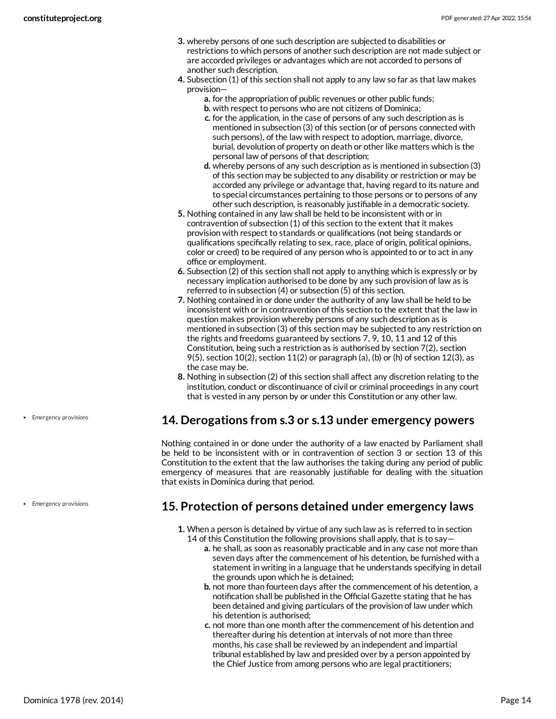- **3.** whereby persons of one such description are subjected to disabilities or restrictions to which persons of another such description are not made subject or are accorded privileges or advantages which are not accorded to persons of another such description.
- **4.** Subsection (1) of this section shall not apply to any law so far as that law makes provision
	- **a.** for the appropriation of public revenues or other public funds;
	- **b.** with respect to persons who are not citizens of Dominica;
	- **c.** for the application, in the case of persons of any such description as is mentioned in subsection (3) of this section (or of persons connected with such persons), of the law with respect to adoption, marriage, divorce, burial, devolution of property on death or other like matters which is the personal law of persons of that description;
	- **d.** whereby persons of any such description as is mentioned in subsection (3) of this section may be subjected to any disability or restriction or may be accorded any privilege or advantage that, having regard to its nature and to special circumstances pertaining to those persons or to persons of any other such description, is reasonably justifiable in a democratic society.
- **5.** Nothing contained in any law shall be held to be inconsistent with or in contravention of subsection (1) of this section to the extent that it makes provision with respect to standards or qualifications (not being standards or qualifications specifically relating to sex, race, place of origin, political opinions, color or creed) to be required of any person who is appointed to or to act in any office or employment.
- **6.** Subsection (2) of this section shall not apply to anything which is expressly or by necessary implication authorised to be done by any such provision of law as is referred to in subsection (4) or subsection (5) of this section.
- **7.** Nothing contained in or done under the authority of any law shall be held to be inconsistent with or in contravention of this section to the extent that the law in question makes provision whereby persons of any such description as is mentioned in subsection (3) of this section may be subjected to any restriction on the rights and freedoms guaranteed by sections 7, 9, 10, 11 and 12 of this Constitution, being such a restriction as is authorised by section 7(2), section 9(5), section 10(2), section 11(2) or paragraph (a), (b) or (h) of section 12(3), as the case may be.
- **8.** Nothing in subsection (2) of this section shall affect any discretion relating to the institution, conduct or discontinuance of civil or criminal proceedings in any court that is vested in any person by or under this Constitution or any other law.

### <span id="page-13-0"></span>**14. Derogations from s.3 or s.13 under emergency powers**

Nothing contained in or done under the authority of a law enacted by Parliament shall be held to be inconsistent with or in contravention of section 3 or section 13 of this Constitution to the extent that the law authorises the taking during any period of public emergency of measures that are reasonably justifiable for dealing with the situation that exists in Dominica during that period.

#### <span id="page-13-1"></span>**15. Protection of persons detained under emergency laws**

- **1.** When a person is detained by virtue of any such law as is referred to in section 14 of this Constitution the following provisions shall apply, that is to say
	- **a.** he shall, as soon as reasonably practicable and in any case not more than seven days after the commencement of his detention, be furnished with a statement in writing in a language that he understands specifying in detail the grounds upon which he is detained;
	- **b.** not more than fourteen days after the commencement of his detention, a notification shall be published in the Official Gazette stating that he has been detained and giving particulars of the provision of law under which his detention is authorised;
	- **c.** not more than one month after the commencement of his detention and thereafter during his detention at intervals of not more than three months, his case shall be reviewed by an independent and impartial tribunal established by law and presided over by a person appointed by the Chief Justice from among persons who are legal practitioners;

• Emergency provisions

• Emergency provisions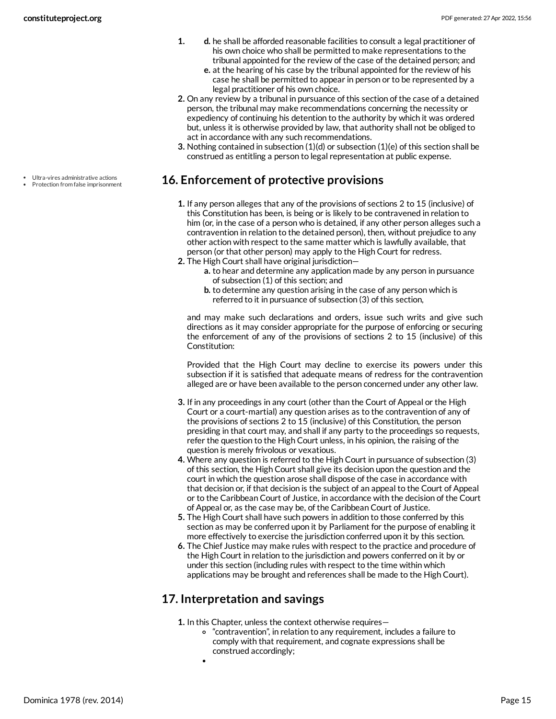- **1. d.** he shall be afforded reasonable facilities to consult a legal practitioner of his own choice who shall be permitted to make representations to the tribunal appointed for the review of the case of the detained person; and
	- **e.** at the hearing of his case by the tribunal appointed for the review of his case he shall be permitted to appear in person or to be represented by a legal practitioner of his own choice.
- **2.** On any review by a tribunal in pursuance of this section of the case of a detained person, the tribunal may make recommendations concerning the necessity or expediency of continuing his detention to the authority by which it was ordered but, unless it is otherwise provided by law, that authority shall not be obliged to act in accordance with any such recommendations.
- **3.** Nothing contained in subsection (1)(d) or subsection (1)(e) of this section shall be construed as entitling a person to legal representation at public expense.

#### <span id="page-14-0"></span>**16. Enforcement of protective provisions**

- **1.** If any person alleges that any of the provisions of sections 2 to 15 (inclusive) of this Constitution has been, is being or is likely to be contravened in relation to him (or, in the case of a person who is detained, if any other person alleges such a contravention in relation to the detained person), then, without prejudice to any other action with respect to the same matter which is lawfully available, that person (or that other person) may apply to the High Court for redress.
- **2.** The High Court shall have original jurisdiction
	- **a.** to hear and determine any application made by any person in pursuance of subsection (1) of this section; and
	- **b.** to determine any question arising in the case of any person which is referred to it in pursuance of subsection (3) of this section,

and may make such declarations and orders, issue such writs and give such directions as it may consider appropriate for the purpose of enforcing or securing the enforcement of any of the provisions of sections 2 to 15 (inclusive) of this Constitution:

Provided that the High Court may decline to exercise its powers under this subsection if it is satisfied that adequate means of redress for the contravention alleged are or have been available to the person concerned under any other law.

- **3.** If in any proceedings in any court (other than the Court of Appeal or the High Court or a court-martial) any question arises as to the contravention of any of the provisions of sections 2 to 15 (inclusive) of this Constitution, the person presiding in that court may, and shall if any party to the proceedings so requests, refer the question to the High Court unless, in his opinion, the raising of the question is merely frivolous or vexatious.
- **4.** Where any question is referred to the High Court in pursuance of subsection (3) of this section, the High Court shall give its decision upon the question and the court in which the question arose shall dispose of the case in accordance with that decision or, if that decision is the subject of an appeal to the Court of Appeal or to the Caribbean Court of Justice, in accordance with the decision of the Court of Appeal or, as the case may be, of the Caribbean Court of Justice.
- **5.** The High Court shall have such powers in addition to those conferred by this section as may be conferred upon it by Parliament for the purpose of enabling it more effectively to exercise the jurisdiction conferred upon it by this section.
- **6.** The Chief Justice may make rules with respect to the practice and procedure of the High Court in relation to the jurisdiction and powers conferred on it by or under this section (including rules with respect to the time within which applications may be brought and references shall be made to the High Court).

### <span id="page-14-1"></span>**17. Interpretation and savings**

- **1.** In this Chapter, unless the context otherwise requires—
	- "contravention", in relation to any requirement, includes a failure to comply with that requirement, and cognate expressions shall be construed accordingly;

Ultra-vires administrative actions Protection from false imprisonment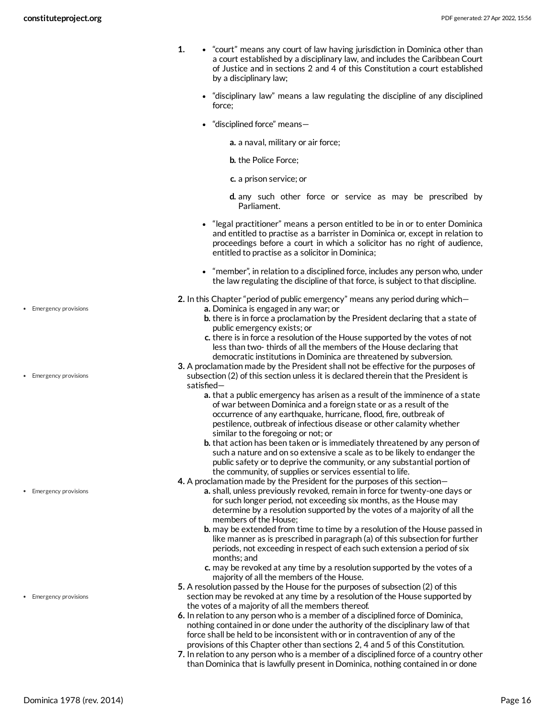- **1.** "court" means any court of law having jurisdiction in Dominica other than a court established by a disciplinary law, and includes the Caribbean Court of Justice and in sections 2 and 4 of this Constitution a court established by a disciplinary law;
	- "disciplinary law" means a law regulating the discipline of any disciplined force;
	- "disciplined force" means—

**a.** a naval, military or air force;

**b.** the Police Force;

**c.** a prison service; or

**d.** any such other force or service as may be prescribed by Parliament.

- "legal practitioner" means a person entitled to be in or to enter Dominica and entitled to practise as a barrister in Dominica or, except in relation to proceedings before a court in which a solicitor has no right of audience, entitled to practise as a solicitor in Dominica;
- "member", in relation to a disciplined force, includes any person who, under the law regulating the discipline of that force, is subject to that discipline.
- **2.** In this Chapter "period of public emergency" means any period during which **a.** Dominica is engaged in any war; or
	- **b.** there is in force a proclamation by the President declaring that a state of public emergency exists; or
	- **c.** there is in force a resolution of the House supported by the votes of not less than two- thirds of all the members of the House declaring that democratic institutions in Dominica are threatened by subversion.
- **3.** A proclamation made by the President shall not be effective for the purposes of subsection (2) of this section unless it is declared therein that the President is satisfied
	- **a.** that a public emergency has arisen as a result of the imminence of a state of war between Dominica and a foreign state or as a result of the occurrence of any earthquake, hurricane, flood, fire, outbreak of pestilence, outbreak of infectious disease or other calamity whether similar to the foregoing or not; or
	- **b.** that action has been taken or is immediately threatened by any person of such a nature and on so extensive a scale as to be likely to endanger the public safety or to deprive the community, or any substantial portion of the community, of supplies or services essential to life.
- **4.** A proclamation made by the President for the purposes of this section
	- **a.** shall, unless previously revoked, remain in force for twenty-one days or for such longer period, not exceeding six months, as the House may determine by a resolution supported by the votes of a majority of all the members of the House;
	- **b.** may be extended from time to time by a resolution of the House passed in like manner as is prescribed in paragraph (a) of this subsection for further periods, not exceeding in respect of each such extension a period of six months; and
	- **c.** may be revoked at any time by a resolution supported by the votes of a majority of all the members of the House.
- **5.** A resolution passed by the House for the purposes of subsection (2) of this section may be revoked at any time by a resolution of the House supported by the votes of a majority of all the members thereof.
- **6.** In relation to any person who is a member of a disciplined force of Dominica, nothing contained in or done under the authority of the disciplinary law of that force shall be held to be inconsistent with or in contravention of any of the provisions of this Chapter other than sections 2, 4 and 5 of this Constitution.
- **7.** In relation to any person who is a member of a disciplined force of a country other than Dominica that is lawfully present in Dominica, nothing contained in or done

• Emergency provisions

• Emergency provisions

• Emergency provisions

• Emergency provisions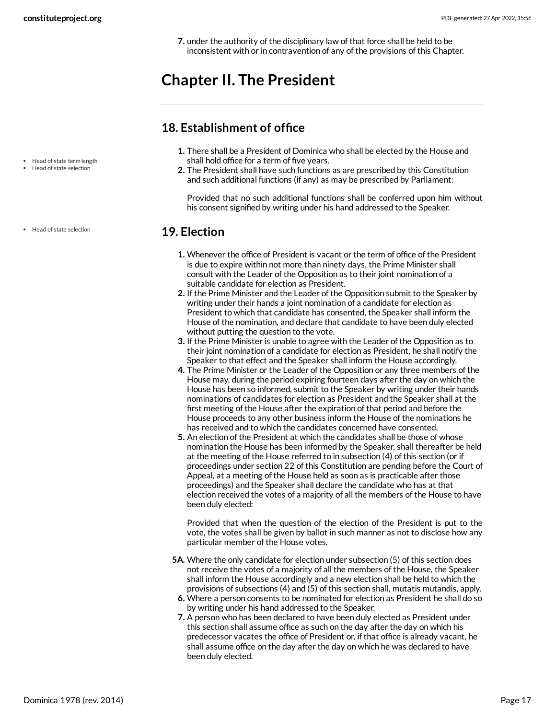**7.** under the authority of the disciplinary law of that force shall be held to be inconsistent with or in contravention of any of the provisions of this Chapter.

# <span id="page-16-0"></span>**Chapter II. The President**

### <span id="page-16-1"></span>**18. Establishment of office**

- **1.** There shall be a President of Dominica who shall be elected by the House and shall hold office for a term of five years.
- **2.** The President shall have such functions as are prescribed by this Constitution and such additional functions (if any) as may be prescribed by Parliament:

Provided that no such additional functions shall be conferred upon him without his consent signified by writing under his hand addressed to the Speaker.

#### <span id="page-16-2"></span>**19. Election**

- **1.** Whenever the office of President is vacant or the term of office of the President is due to expire within not more than ninety days, the Prime Minister shall consult with the Leader of the Opposition as to their joint nomination of a suitable candidate for election as President.
- **2.** If the Prime Minister and the Leader of the Opposition submit to the Speaker by writing under their hands a joint nomination of a candidate for election as President to which that candidate has consented, the Speaker shall inform the House of the nomination, and declare that candidate to have been duly elected without putting the question to the vote.
- **3.** If the Prime Minister is unable to agree with the Leader of the Opposition as to their joint nomination of a candidate for election as President, he shall notify the Speaker to that effect and the Speaker shall inform the House accordingly.
- **4.** The Prime Minister or the Leader of the Opposition or any three members of the House may, during the period expiring fourteen days after the day on which the House has been so informed, submit to the Speaker by writing under their hands nominations of candidates for election as President and the Speaker shall at the first meeting of the House after the expiration of that period and before the House proceeds to any other business inform the House of the nominations he has received and to which the candidates concerned have consented.
- **5.** An election of the President at which the candidates shall be those of whose nomination the House has been informed by the Speaker, shall thereafter be held at the meeting of the House referred to in subsection (4) of this section (or if proceedings under section 22 of this Constitution are pending before the Court of Appeal, at a meeting of the House held as soon as is practicable after those proceedings) and the Speaker shall declare the candidate who has at that election received the votes of a majority of all the members of the House to have been duly elected:

Provided that when the question of the election of the President is put to the vote, the votes shall be given by ballot in such manner as not to disclose how any particular member of the House votes.

- **5A.** Where the only candidate for election under subsection (5) of this section does not receive the votes of a majority of all the members of the House, the Speaker shall inform the House accordingly and a new election shall be held to which the provisions of subsections (4) and (5) of this section shall, mutatis mutandis, apply.
- **6.** Where a person consents to be nominated for election as President he shall do so by writing under his hand addressed to the Speaker.
- **7.** A person who has been declared to have been duly elected as President under this section shall assume office as such on the day after the day on which his predecessor vacates the office of President or, if that office is already vacant, he shall assume office on the day after the day on which he was declared to have been duly elected.
- Head of state term length
- Head of state selection

• Head of state selection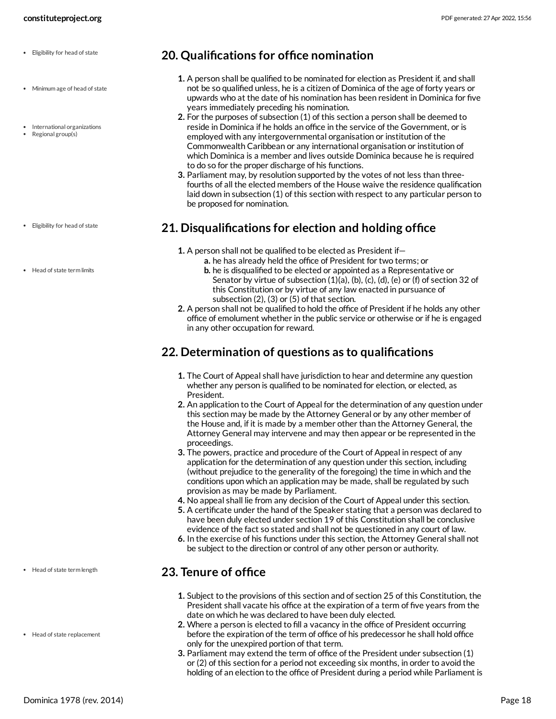- Minimum age of head of state
- International organizations
- Regional group(s)

Eligibility for head of state

Head of state term limits

- <span id="page-17-0"></span>**1.** A person shall be qualified to be nominated for election as President if, and shall not be so qualified unless, he is a citizen of Dominica of the age of forty years or upwards who at the date of his nomination has been resident in Dominica for five years immediately preceding his nomination.
- **2.** For the purposes of subsection (1) of this section a person shall be deemed to reside in Dominica if he holds an office in the service of the Government, or is employed with any intergovernmental organisation or institution of the Commonwealth Caribbean or any international organisation or institution of which Dominica is a member and lives outside Dominica because he is required to do so for the proper discharge of his functions.
- **3.** Parliament may, by resolution supported by the votes of not less than threefourths of all the elected members of the House waive the residence qualification laid down in subsection (1) of this section with respect to any particular person to be proposed for nomination.

#### <span id="page-17-1"></span>**21. Disqualifications for election and holding office**

- **1.** A person shall not be qualified to be elected as President if
	- **a.** he has already held the office of President for two terms; or
		- **b.** he is disqualified to be elected or appointed as a Representative or Senator by virtue of subsection (1)(a), (b), (c), (d), (e) or (f) of section 32 of this Constitution or by virtue of any law enacted in pursuance of subsection (2), (3) or (5) of that section.
- **2.** A person shall not be qualified to hold the office of President if he holds any other office of emolument whether in the public service or otherwise or if he is engaged in any other occupation for reward.

#### <span id="page-17-2"></span>**22. Determination of questions as to qualifications**

- **1.** The Court of Appeal shall have jurisdiction to hear and determine any question whether any person is qualified to be nominated for election, or elected, as President.
- **2.** An application to the Court of Appeal for the determination of any question under this section may be made by the Attorney General or by any other member of the House and, if it is made by a member other than the Attorney General, the Attorney General may intervene and may then appear or be represented in the proceedings.
- **3.** The powers, practice and procedure of the Court of Appeal in respect of any application for the determination of any question under this section, including (without prejudice to the generality of the foregoing) the time in which and the conditions upon which an application may be made, shall be regulated by such provision as may be made by Parliament.
- **4.** No appeal shall lie from any decision of the Court of Appeal under this section.
- **5.** A certificate under the hand of the Speaker stating that a person was declared to have been duly elected under section 19 of this Constitution shall be conclusive evidence of the fact so stated and shall not be questioned in any court of law.
- **6.** In the exercise of his functions under this section, the Attorney General shall not be subject to the direction or control of any other person or authority.

### <span id="page-17-3"></span>**23. Tenure of office**

- **1.** Subject to the provisions of this section and of section 25 of this Constitution, the President shall vacate his office at the expiration of a term of five years from the date on which he was declared to have been duly elected.
- **2.** Where a person is elected to fill a vacancy in the office of President occurring before the expiration of the term of office of his predecessor he shall hold office only for the unexpired portion of that term.
- **3.** Parliament may extend the term of office of the President under subsection (1) or (2) of this section for a period not exceeding six months, in order to avoid the holding of an election to the office of President during a period while Parliament is
- Head of state term length
- Head of state replacement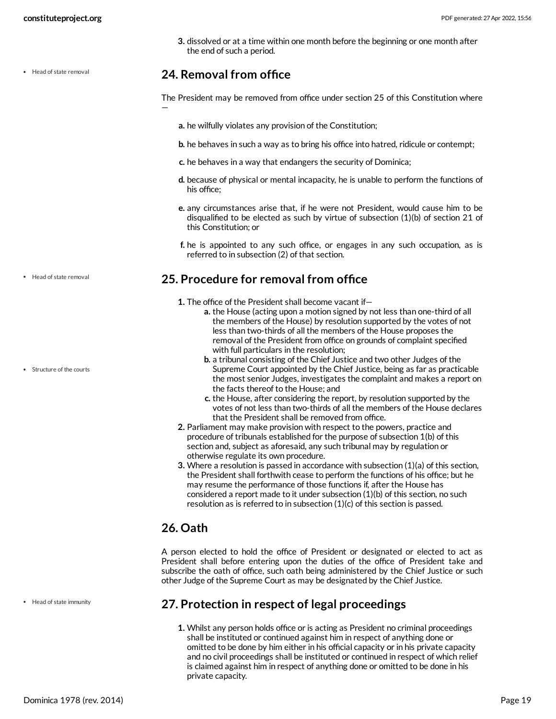• Head of state removal

**3.** dissolved or at a time within one month before the beginning or one month after the end of such a period.

#### <span id="page-18-0"></span>**24. Removal from office**

—

The President may be removed from office under section 25 of this Constitution where

- **a.** he wilfully violates any provision of the Constitution;
- **b.** he behaves in such a way as to bring his office into hatred, ridicule or contempt;
- **c.** he behaves in a way that endangers the security of Dominica;
- **d.** because of physical or mental incapacity, he is unable to perform the functions of his office;
- **e.** any circumstances arise that, if he were not President, would cause him to be disqualified to be elected as such by virtue of subsection (1)(b) of section 21 of this Constitution; or
- **f.** he is appointed to any such office, or engages in any such occupation, as is referred to in subsection (2) of that section.

#### <span id="page-18-1"></span>**25. Procedure for removal from office**

- **1.** The office of the President shall become vacant if
	- **a.** the House (acting upon a motion signed by not less than one-third of all the members of the House) by resolution supported by the votes of not less than two-thirds of all the members of the House proposes the removal of the President from office on grounds of complaint specified with full particulars in the resolution;
	- **b.** a tribunal consisting of the Chief Justice and two other Judges of the Supreme Court appointed by the Chief Justice, being as far as practicable the most senior Judges, investigates the complaint and makes a report on the facts thereof to the House; and
	- **c.** the House, after considering the report, by resolution supported by the votes of not less than two-thirds of all the members of the House declares that the President shall be removed from office.
- **2.** Parliament may make provision with respect to the powers, practice and procedure of tribunals established for the purpose of subsection 1(b) of this section and, subject as aforesaid, any such tribunal may by regulation or otherwise regulate its own procedure.
- **3.** Where a resolution is passed in accordance with subsection (1)(a) of this section, the President shall forthwith cease to perform the functions of his office; but he may resume the performance of those functions if, after the House has considered a report made to it under subsection (1)(b) of this section, no such resolution as is referred to in subsection (1)(c) of this section is passed.

### <span id="page-18-2"></span>**26. Oath**

A person elected to hold the office of President or designated or elected to act as President shall before entering upon the duties of the office of President take and subscribe the oath of office, such oath being administered by the Chief Justice or such other Judge of the Supreme Court as may be designated by the Chief Justice.

#### <span id="page-18-3"></span>**27. Protection in respect of legal proceedings**

**1.** Whilst any person holds office or is acting as President no criminal proceedings shall be instituted or continued against him in respect of anything done or omitted to be done by him either in his official capacity or in his private capacity and no civil proceedings shall be instituted or continued in respect of which relief is claimed against him in respect of anything done or omitted to be done in his private capacity.

Head of state removal

• Structure of the courts

• Head of state immunity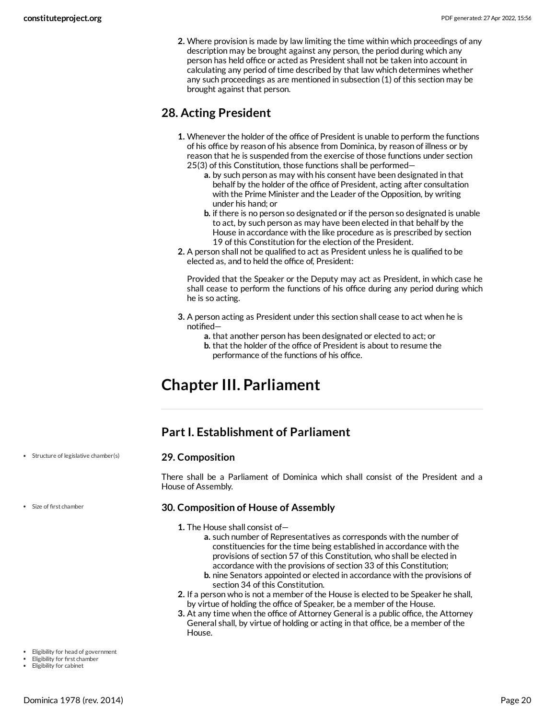**2.** Where provision is made by law limiting the time within which proceedings of any description may be brought against any person, the period during which any person has held office or acted as President shall not be taken into account in calculating any period of time described by that law which determines whether any such proceedings as are mentioned in subsection (1) of this section may be brought against that person.

### <span id="page-19-0"></span>**28. Acting President**

- **1.** Whenever the holder of the office of President is unable to perform the functions of his office by reason of his absence from Dominica, by reason of illness or by reason that he is suspended from the exercise of those functions under section 25(3) of this Constitution, those functions shall be performed
	- **a.** by such person as may with his consent have been designated in that behalf by the holder of the office of President, acting after consultation with the Prime Minister and the Leader of the Opposition, by writing under his hand; or
	- **b.** if there is no person so designated or if the person so designated is unable to act, by such person as may have been elected in that behalf by the House in accordance with the like procedure as is prescribed by section 19 of this Constitution for the election of the President.
- **2.** A person shall not be qualified to act as President unless he is qualified to be elected as, and to held the office of, President:

Provided that the Speaker or the Deputy may act as President, in which case he shall cease to perform the functions of his office during any period during which he is so acting.

- **3.** A person acting as President under this section shall cease to act when he is notified
	- **a.** that another person has been designated or elected to act; or **b.** that the holder of the office of President is about to resume the performance of the functions of his office.

# <span id="page-19-1"></span>**Chapter III. Parliament**

### <span id="page-19-2"></span>**Part I. Establishment of Parliament**

#### <span id="page-19-5"></span>**29. Composition**

There shall be a Parliament of Dominica which shall consist of the President and a House of Assembly.

#### **30. Composition of House of Assembly**

- <span id="page-19-4"></span>**1.** The House shall consist of
	- **a.** such number of Representatives as corresponds with the number of constituencies for the time being established in accordance with the provisions of section 57 of this Constitution, who shall be elected in accordance with the provisions of section 33 of this Constitution;
	- **b.** nine Senators appointed or elected in accordance with the provisions of section 34 of this Constitution.
- **2.** If a person who is not a member of the House is elected to be Speaker he shall, by virtue of holding the office of Speaker, be a member of the House.
- <span id="page-19-3"></span>**3.** At any time when the office of Attorney General is a public office, the Attorney General shall, by virtue of holding or acting in that office, be a member of the House.

• Structure of legislative chamber(s)

Size of first chamber

- Eligibility for head of government
- Eligibility for first chamber Eligibility for cabinet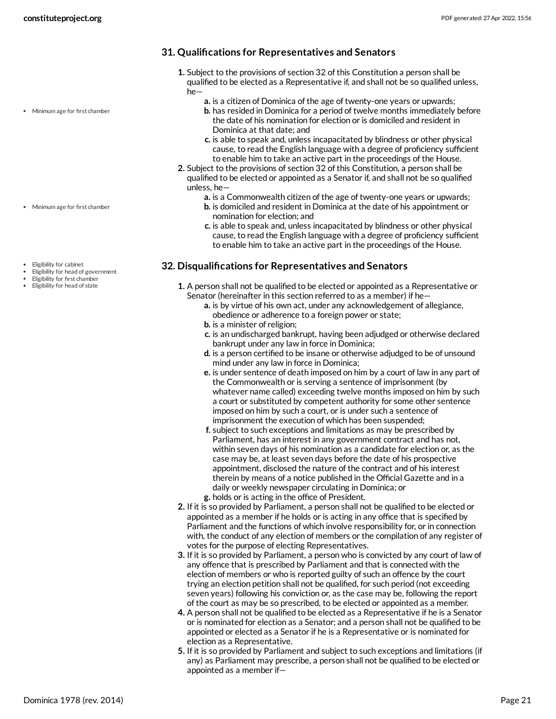Minimum age for first chamber

#### **31. Qualifications for Representatives and Senators**

- **1.** Subject to the provisions of section 32 of this Constitution a person shall be qualified to be elected as a Representative if, and shall not be so qualified unless, he
	- **a.** is a citizen of Dominica of the age of twenty-one years or upwards;
	- **b.** has resided in Dominica for a period of twelve months immediately before the date of his nomination for election or is domiciled and resident in Dominica at that date; and
	- **c.** is able to speak and, unless incapacitated by blindness or other physical cause, to read the English language with a degree of proficiency sufficient to enable him to take an active part in the proceedings of the House.
- **2.** Subject to the provisions of section 32 of this Constitution, a person shall be qualified to be elected or appointed as a Senator if, and shall not be so qualified unless, he
	- **a.** is a Commonwealth citizen of the age of twenty-one years or upwards;
	- **b.** is domiciled and resident in Dominica at the date of his appointment or nomination for election; and
	- **c.** is able to speak and, unless incapacitated by blindness or other physical cause, to read the English language with a degree of proficiency sufficient to enable him to take an active part in the proceedings of the House.

#### <span id="page-20-0"></span>**32. Disqualifications for Representatives and Senators**

- **1.** A person shall not be qualified to be elected or appointed as a Representative or Senator (hereinafter in this section referred to as a member) if he
	- **a.** is by virtue of his own act, under any acknowledgement of allegiance, obedience or adherence to a foreign power or state;
	- **b.** is a minister of religion;
	- **c.** is an undischarged bankrupt, having been adjudged or otherwise declared bankrupt under any law in force in Dominica;
	- **d.** is a person certified to be insane or otherwise adjudged to be of unsound mind under any law in force in Dominica;
	- **e.** is under sentence of death imposed on him by a court of law in any part of the Commonwealth or is serving a sentence of imprisonment (by whatever name called) exceeding twelve months imposed on him by such a court or substituted by competent authority for some other sentence imposed on him by such a court, or is under such a sentence of imprisonment the execution of which has been suspended;
	- **f.** subject to such exceptions and limitations as may be prescribed by Parliament, has an interest in any government contract and has not, within seven days of his nomination as a candidate for election or, as the case may be, at least seven days before the date of his prospective appointment, disclosed the nature of the contract and of his interest therein by means of a notice published in the Official Gazette and in a daily or weekly newspaper circulating in Dominica; or **g.** holds or is acting in the office of President.
- **2.** If it is so provided by Parliament, a person shall not be qualified to be elected or appointed as a member if he holds or is acting in any office that is specified by Parliament and the functions of which involve responsibility for, or in connection with, the conduct of any election of members or the compilation of any register of votes for the purpose of electing Representatives.
- **3.** If it is so provided by Parliament, a person who is convicted by any court of law of any offence that is prescribed by Parliament and that is connected with the election of members or who is reported guilty of such an offence by the court trying an election petition shall not be qualified, for such period (not exceeding seven years) following his conviction or, as the case may be, following the report of the court as may be so prescribed, to be elected or appointed as a member.
- **4.** A person shall not be qualified to be elected as a Representative if he is a Senator or is nominated for election as a Senator; and a person shall not be qualified to be appointed or elected as a Senator if he is a Representative or is nominated for election as a Representative.
- **5.** If it is so provided by Parliament and subject to such exceptions and limitations (if any) as Parliament may prescribe, a person shall not be qualified to be elected or appointed as a member if—

Minimum age for first chamber

- Eligibility for cabinet
- Eligibility for head of government
- Eligibility for first chamber Eligibility for head of state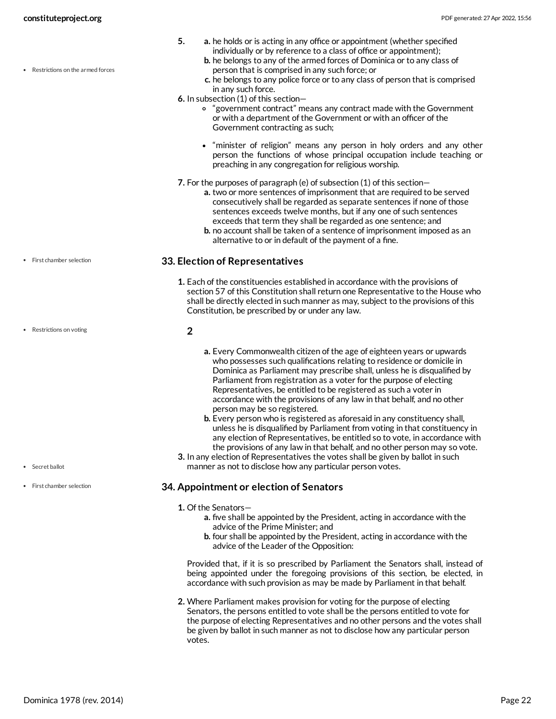Restrictions on the armed forces

- **5. a.** he holds or is acting in any office or appointment (whether specified individually or by reference to a class of office or appointment);
	- **b.** he belongs to any of the armed forces of Dominica or to any class of person that is comprised in any such force; or
	- **c.** he belongs to any police force or to any class of person that is comprised in any such force.
- **6.** In subsection (1) of this section—
	- "government contract" means any contract made with the Government or with a department of the Government or with an officer of the Government contracting as such;
	- "minister of religion" means any person in holy orders and any other person the functions of whose principal occupation include teaching or preaching in any congregation for religious worship.
- **7.** For the purposes of paragraph (e) of subsection (1) of this section
	- **a.** two or more sentences of imprisonment that are required to be served consecutively shall be regarded as separate sentences if none of those sentences exceeds twelve months, but if any one of such sentences exceeds that term they shall be regarded as one sentence; and
	- **b.** no account shall be taken of a sentence of imprisonment imposed as an alternative to or in default of the payment of a fine.

#### <span id="page-21-1"></span>**33. Election of Representatives**

- **1.** Each of the constituencies established in accordance with the provisions of section 57 of this Constitution shall return one Representative to the House who shall be directly elected in such manner as may, subject to the provisions of this Constitution, be prescribed by or under any law.
	- **2**
- <span id="page-21-2"></span>**a.** Every Commonwealth citizen of the age of eighteen years or upwards who possesses such qualifications relating to residence or domicile in Dominica as Parliament may prescribe shall, unless he is disqualified by Parliament from registration as a voter for the purpose of electing Representatives, be entitled to be registered as such a voter in accordance with the provisions of any law in that behalf, and no other person may be so registered.
- **b.** Every person who is registered as aforesaid in any constituency shall, unless he is disqualified by Parliament from voting in that constituency in any election of Representatives, be entitled so to vote, in accordance with the provisions of any law in that behalf, and no other person may so vote.
- **3.** In any election of Representatives the votes shall be given by ballot in such manner as not to disclose how any particular person votes.

#### **34. Appointment or election of Senators**

- **1.** Of the Senators
	- **a.** five shall be appointed by the President, acting in accordance with the advice of the Prime Minister; and
	- **b.** four shall be appointed by the President, acting in accordance with the advice of the Leader of the Opposition:

Provided that, if it is so prescribed by Parliament the Senators shall, instead of being appointed under the foregoing provisions of this section, be elected, in accordance with such provision as may be made by Parliament in that behalf.

<span id="page-21-0"></span>**2.** Where Parliament makes provision for voting for the purpose of electing Senators, the persons entitled to vote shall be the persons entitled to vote for the purpose of electing Representatives and no other persons and the votes shall be given by ballot in such manner as not to disclose how any particular person votes.

First chamber selection

• Restrictions on voting

- Secret ballot
- First chamber selection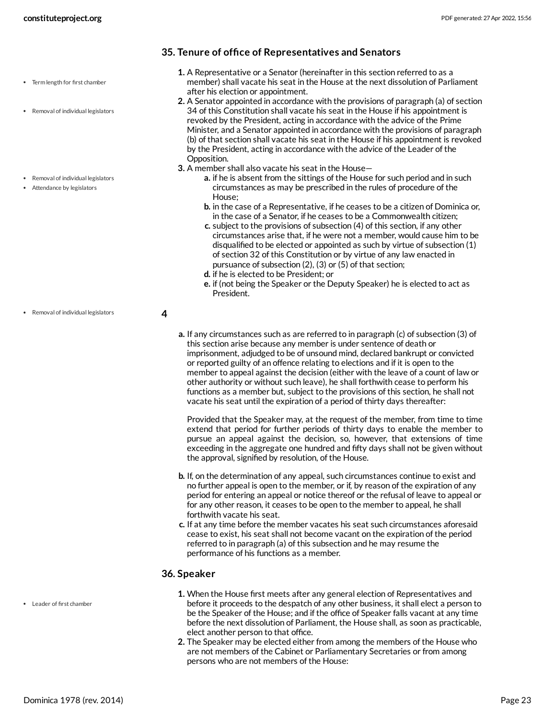- Term length for first chamber
- Removal of individual legislators
- Removal of individual legislators

Removal of individual legislators

• Attendance by legislators

#### **35. Tenure of office of Representatives and Senators**

- **1.** A Representative or a Senator (hereinafter in this section referred to as a member) shall vacate his seat in the House at the next dissolution of Parliament after his election or appointment.
- **2.** A Senator appointed in accordance with the provisions of paragraph (a) of section 34 of this Constitution shall vacate his seat in the House if his appointment is revoked by the President, acting in accordance with the advice of the Prime Minister, and a Senator appointed in accordance with the provisions of paragraph (b) of that section shall vacate his seat in the House if his appointment is revoked by the President, acting in accordance with the advice of the Leader of the Opposition.
- **3.** A member shall also vacate his seat in the House
	- **a.** if he is absent from the sittings of the House for such period and in such circumstances as may be prescribed in the rules of procedure of the House;
	- **b.** in the case of a Representative, if he ceases to be a citizen of Dominica or, in the case of a Senator, if he ceases to be a Commonwealth citizen;
	- **c.** subject to the provisions of subsection (4) of this section, if any other circumstances arise that, if he were not a member, would cause him to be disqualified to be elected or appointed as such by virtue of subsection (1) of section 32 of this Constitution or by virtue of any law enacted in pursuance of subsection (2), (3) or (5) of that section;
	- **d.** if he is elected to be President; or
	- **e.** if (not being the Speaker or the Deputy Speaker) he is elected to act as President.

<span id="page-22-1"></span>**4**

**a.** If any circumstances such as are referred to in paragraph (c) of subsection (3) of this section arise because any member is under sentence of death or imprisonment, adjudged to be of unsound mind, declared bankrupt or convicted or reported guilty of an offence relating to elections and if it is open to the member to appeal against the decision (either with the leave of a count of law or other authority or without such leave), he shall forthwith cease to perform his functions as a member but, subject to the provisions of this section, he shall not vacate his seat until the expiration of a period of thirty days thereafter:

Provided that the Speaker may, at the request of the member, from time to time extend that period for further periods of thirty days to enable the member to pursue an appeal against the decision, so, however, that extensions of time exceeding in the aggregate one hundred and fifty days shall not be given without the approval, signified by resolution, of the House.

- **b.** If, on the determination of any appeal, such circumstances continue to exist and no further appeal is open to the member, or if, by reason of the expiration of any period for entering an appeal or notice thereof or the refusal of leave to appeal or for any other reason, it ceases to be open to the member to appeal, he shall forthwith vacate his seat.
- **c.** If at any time before the member vacates his seat such circumstances aforesaid cease to exist, his seat shall not become vacant on the expiration of the period referred to in paragraph (a) of this subsection and he may resume the performance of his functions as a member.

#### <span id="page-22-0"></span>**36. Speaker**

- **1.** When the House first meets after any general election of Representatives and before it proceeds to the despatch of any other business, it shall elect a person to be the Speaker of the House; and if the office of Speaker falls vacant at any time before the next dissolution of Parliament, the House shall, as soon as practicable, elect another person to that office.
- **2.** The Speaker may be elected either from among the members of the House who are not members of the Cabinet or Parliamentary Secretaries or from among persons who are not members of the House:

Leader of first chamber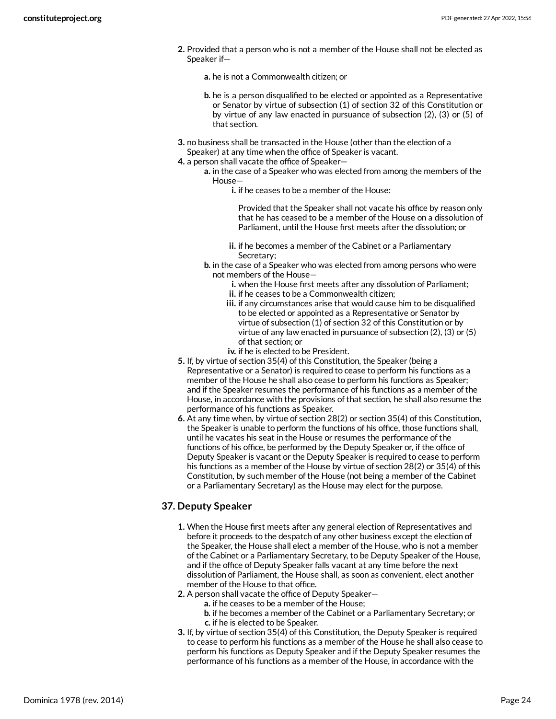- **2.** Provided that a person who is not a member of the House shall not be elected as Speaker if
	- **a.** he is not a Commonwealth citizen; or
	- **b.** he is a person disqualified to be elected or appointed as a Representative or Senator by virtue of subsection (1) of section 32 of this Constitution or by virtue of any law enacted in pursuance of subsection (2), (3) or (5) of that section.
- **3.** no business shall be transacted in the House (other than the election of a Speaker) at any time when the office of Speaker is vacant.
- **4.** a person shall vacate the office of Speaker
	- **a.** in the case of a Speaker who was elected from among the members of the House
		- **i.** if he ceases to be a member of the House:

Provided that the Speaker shall not vacate his office by reason only that he has ceased to be a member of the House on a dissolution of Parliament, until the House first meets after the dissolution; or

**ii.** if he becomes a member of the Cabinet or a Parliamentary Secretary;

**b.** in the case of a Speaker who was elected from among persons who were not members of the House—

- **i.** when the House first meets after any dissolution of Parliament;
- **ii.** if he ceases to be a Commonwealth citizen;
- **iii.** if any circumstances arise that would cause him to be disqualified to be elected or appointed as a Representative or Senator by virtue of subsection (1) of section 32 of this Constitution or by virtue of any law enacted in pursuance of subsection (2), (3) or (5) of that section; or
- **iv.** if he is elected to be President.
- **5.** If, by virtue of section 35(4) of this Constitution, the Speaker (being a Representative or a Senator) is required to cease to perform his functions as a member of the House he shall also cease to perform his functions as Speaker; and if the Speaker resumes the performance of his functions as a member of the House, in accordance with the provisions of that section, he shall also resume the performance of his functions as Speaker.
- **6.** At any time when, by virtue of section 28(2) or section 35(4) of this Constitution, the Speaker is unable to perform the functions of his office, those functions shall, until he vacates his seat in the House or resumes the performance of the functions of his office, be performed by the Deputy Speaker or, if the office of Deputy Speaker is vacant or the Deputy Speaker is required to cease to perform his functions as a member of the House by virtue of section 28(2) or 35(4) of this Constitution, by such member of the House (not being a member of the Cabinet or a Parliamentary Secretary) as the House may elect for the purpose.

#### **37. Deputy Speaker**

- **1.** When the House first meets after any general election of Representatives and before it proceeds to the despatch of any other business except the election of the Speaker, the House shall elect a member of the House, who is not a member of the Cabinet or a Parliamentary Secretary, to be Deputy Speaker of the House, and if the office of Deputy Speaker falls vacant at any time before the next dissolution of Parliament, the House shall, as soon as convenient, elect another member of the House to that office.
- **2.** A person shall vacate the office of Deputy Speaker
	- **a.** if he ceases to be a member of the House;
	- **b.** if he becomes a member of the Cabinet or a Parliamentary Secretary; or **c.** if he is elected to be Speaker.
- **3.** If, by virtue of section 35(4) of this Constitution, the Deputy Speaker is required to cease to perform his functions as a member of the House he shall also cease to perform his functions as Deputy Speaker and if the Deputy Speaker resumes the performance of his functions as a member of the House, in accordance with the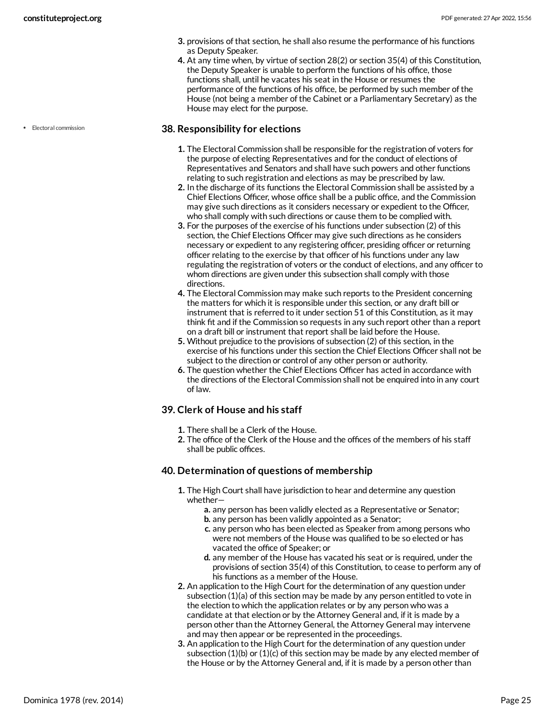- **3.** provisions of that section, he shall also resume the performance of his functions as Deputy Speaker.
- **4.** At any time when, by virtue of section 28(2) or section 35(4) of this Constitution, the Deputy Speaker is unable to perform the functions of his office, those functions shall, until he vacates his seat in the House or resumes the performance of the functions of his office, be performed by such member of the House (not being a member of the Cabinet or a Parliamentary Secretary) as the House may elect for the purpose.

#### <span id="page-24-0"></span>**38. Responsibility for elections**

- **1.** The Electoral Commission shall be responsible for the registration of voters for the purpose of electing Representatives and for the conduct of elections of Representatives and Senators and shall have such powers and other functions relating to such registration and elections as may be prescribed by law.
- **2.** In the discharge of its functions the Electoral Commission shall be assisted by a Chief Elections Officer, whose office shall be a public office, and the Commission may give such directions as it considers necessary or expedient to the Officer, who shall comply with such directions or cause them to be complied with.
- **3.** For the purposes of the exercise of his functions under subsection (2) of this section, the Chief Elections Officer may give such directions as he considers necessary or expedient to any registering officer, presiding officer or returning officer relating to the exercise by that officer of his functions under any law regulating the registration of voters or the conduct of elections, and any officer to whom directions are given under this subsection shall comply with those directions.
- **4.** The Electoral Commission may make such reports to the President concerning the matters for which it is responsible under this section, or any draft bill or instrument that is referred to it under section 51 of this Constitution, as it may think fit and if the Commission so requests in any such report other than a report on a draft bill or instrument that report shall be laid before the House.
- **5.** Without prejudice to the provisions of subsection (2) of this section, in the exercise of his functions under this section the Chief Elections Officer shall not be subject to the direction or control of any other person or authority.
- **6.** The question whether the Chief Elections Officer has acted in accordance with the directions of the Electoral Commission shall not be enquired into in any court of law.

#### **39. Clerk of House and his staff**

- **1.** There shall be a Clerk of the House.
- **2.** The office of the Clerk of the House and the offices of the members of his staff shall be public offices.

#### **40. Determination of questions of membership**

- **1.** The High Court shall have jurisdiction to hear and determine any question whether
	- **a.** any person has been validly elected as a Representative or Senator;
	- **b.** any person has been validly appointed as a Senator;
	- **c.** any person who has been elected as Speaker from among persons who were not members of the House was qualified to be so elected or has vacated the office of Speaker; or
	- **d.** any member of the House has vacated his seat or is required, under the provisions of section 35(4) of this Constitution, to cease to perform any of his functions as a member of the House.
- **2.** An application to the High Court for the determination of any question under subsection (1)(a) of this section may be made by any person entitled to vote in the election to which the application relates or by any person who was a candidate at that election or by the Attorney General and, if it is made by a person other than the Attorney General, the Attorney General may intervene and may then appear or be represented in the proceedings.
- **3.** An application to the High Court for the determination of any question under subsection  $(1)(b)$  or  $(1)(c)$  of this section may be made by any elected member of the House or by the Attorney General and, if it is made by a person other than

• Flectoral commission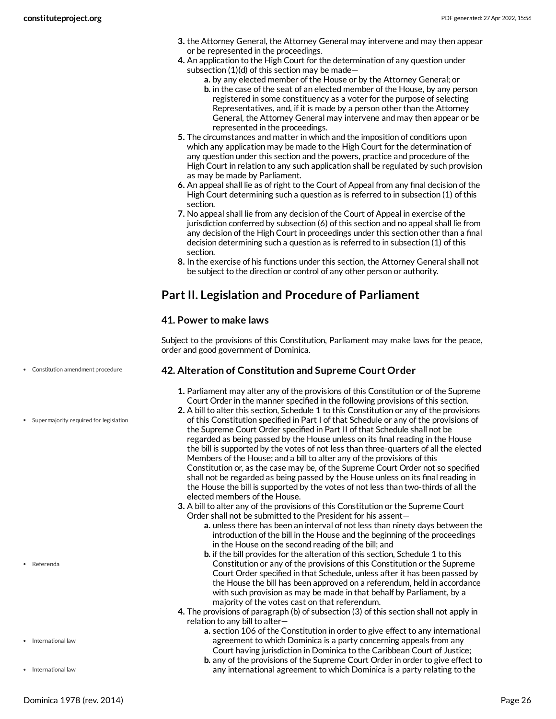- **3.** the Attorney General, the Attorney General may intervene and may then appear or be represented in the proceedings.
- **4.** An application to the High Court for the determination of any question under subsection (1)(d) of this section may be made
	- **a.** by any elected member of the House or by the Attorney General; or **b.** in the case of the seat of an elected member of the House, by any person registered in some constituency as a voter for the purpose of selecting Representatives, and, if it is made by a person other than the Attorney General, the Attorney General may intervene and may then appear or be represented in the proceedings.
- **5.** The circumstances and matter in which and the imposition of conditions upon which any application may be made to the High Court for the determination of any question under this section and the powers, practice and procedure of the High Court in relation to any such application shall be regulated by such provision as may be made by Parliament.
- **6.** An appeal shall lie as of right to the Court of Appeal from any final decision of the High Court determining such a question as is referred to in subsection (1) of this section.
- **7.** No appeal shall lie from any decision of the Court of Appeal in exercise of the jurisdiction conferred by subsection (6) of this section and no appeal shall lie from any decision of the High Court in proceedings under this section other than a final decision determining such a question as is referred to in subsection (1) of this section.
- **8.** In the exercise of his functions under this section, the Attorney General shall not be subject to the direction or control of any other person or authority.

### <span id="page-25-0"></span>**Part II. Legislation and Procedure of Parliament**

#### **41. Power to make laws**

Subject to the provisions of this Constitution, Parliament may make laws for the peace, order and good government of Dominica.

<span id="page-25-1"></span>

| 42. Alteration of Constitution and Supreme Court Order |
|--------------------------------------------------------|
|                                                        |

- **1.** Parliament may alter any of the provisions of this Constitution or of the Supreme Court Order in the manner specified in the following provisions of this section.
- **2.** A bill to alter this section, Schedule 1 to this Constitution or any of the provisions of this Constitution specified in Part I of that Schedule or any of the provisions of the Supreme Court Order specified in Part II of that Schedule shall not be regarded as being passed by the House unless on its final reading in the House the bill is supported by the votes of not less than three-quarters of all the elected Members of the House; and a bill to alter any of the provisions of this Constitution or, as the case may be, of the Supreme Court Order not so specified shall not be regarded as being passed by the House unless on its final reading in the House the bill is supported by the votes of not less than two-thirds of all the elected members of the House.
- **3.** A bill to alter any of the provisions of this Constitution or the Supreme Court Order shall not be submitted to the President for his assent
	- **a.** unless there has been an interval of not less than ninety days between the introduction of the bill in the House and the beginning of the proceedings in the House on the second reading of the bill; and
	- **b.** if the bill provides for the alteration of this section, Schedule 1 to this Constitution or any of the provisions of this Constitution or the Supreme Court Order specified in that Schedule, unless after it has been passed by the House the bill has been approved on a referendum, held in accordance with such provision as may be made in that behalf by Parliament, by a majority of the votes cast on that referendum.
- **4.** The provisions of paragraph (b) of subsection (3) of this section shall not apply in relation to any bill to alter
	- **a.** section 106 of the Constitution in order to give effect to any international agreement to which Dominica is a party concerning appeals from any Court having jurisdiction in Dominica to the Caribbean Court of Justice;
	- **b.** any of the provisions of the Supreme Court Order in order to give effect to any international agreement to which Dominica is a party relating to the

Supermajority required for legislation

Constitution amendment procedure

- Referenda
- International law
- International law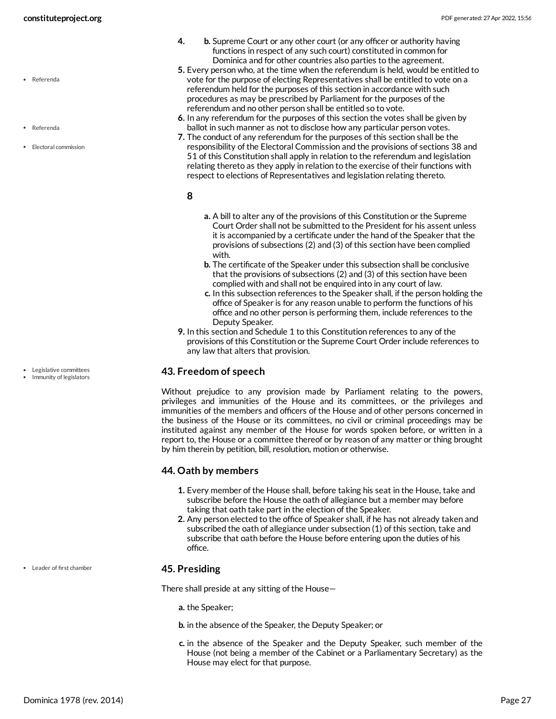- Referenda
- Electoral commission

- Legislative committees
- Immunity of legislators

Leader of first chamber

- **4. b.** Supreme Court or any other court (or any officer or authority having functions in respect of any such court) constituted in common for Dominica and for other countries also parties to the agreement.
- **5.** Every person who, at the time when the referendum is held, would be entitled to vote for the purpose of electing Representatives shall be entitled to vote on a referendum held for the purposes of this section in accordance with such procedures as may be prescribed by Parliament for the purposes of the referendum and no other person shall be entitled so to vote.
- **6.** In any referendum for the purposes of this section the votes shall be given by ballot in such manner as not to disclose how any particular person votes.
- **7.** The conduct of any referendum for the purposes of this section shall be the responsibility of the Electoral Commission and the provisions of sections 38 and 51 of this Constitution shall apply in relation to the referendum and legislation relating thereto as they apply in relation to the exercise of their functions with respect to elections of Representatives and legislation relating thereto.

#### **8**

- **a.** A bill to alter any of the provisions of this Constitution or the Supreme Court Order shall not be submitted to the President for his assent unless it is accompanied by a certificate under the hand of the Speaker that the provisions of subsections (2) and (3) of this section have been complied with.
- **b.** The certificate of the Speaker under this subsection shall be conclusive that the provisions of subsections (2) and (3) of this section have been complied with and shall not be enquired into in any court of law.
- **c.** In this subsection references to the Speaker shall, if the person holding the office of Speaker is for any reason unable to perform the functions of his office and no other person is performing them, include references to the Deputy Speaker.
- **9.** In this section and Schedule 1 to this Constitution references to any of the provisions of this Constitution or the Supreme Court Order include references to any law that alters that provision.

#### <span id="page-26-0"></span>**43. Freedom of speech**

Without prejudice to any provision made by Parliament relating to the powers, privileges and immunities of the House and its committees, or the privileges and immunities of the members and officers of the House and of other persons concerned in the business of the House or its committees, no civil or criminal proceedings may be instituted against any member of the House for words spoken before, or written in a report to, the House or a committee thereof or by reason of any matter or thing brought by him therein by petition, bill, resolution, motion or otherwise.

#### **44. Oath by members**

- **1.** Every member of the House shall, before taking his seat in the House, take and subscribe before the House the oath of allegiance but a member may before taking that oath take part in the election of the Speaker.
- **2.** Any person elected to the office of Speaker shall, if he has not already taken and subscribed the oath of allegiance under subsection (1) of this section, take and subscribe that oath before the House before entering upon the duties of his office.

#### <span id="page-26-1"></span>**45. Presiding**

There shall preside at any sitting of the House—

- **a.** the Speaker;
- **b.** in the absence of the Speaker, the Deputy Speaker; or
- **c.** in the absence of the Speaker and the Deputy Speaker, such member of the House (not being a member of the Cabinet or a Parliamentary Secretary) as the House may elect for that purpose.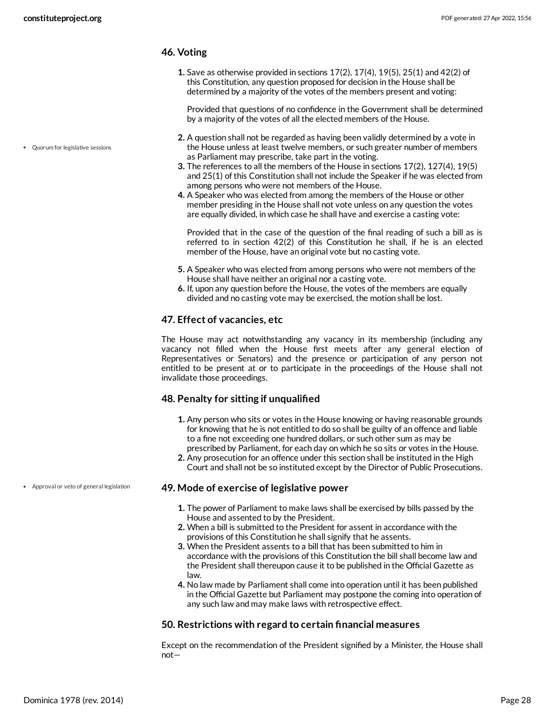Quorum for legislative sessions

#### <span id="page-27-1"></span>**46. Voting**

**1.** Save as otherwise provided in sections 17(2), 17(4), 19(5), 25(1) and 42(2) of this Constitution, any question proposed for decision in the House shall be determined by a majority of the votes of the members present and voting:

Provided that questions of no confidence in the Government shall be determined by a majority of the votes of all the elected members of the House.

- **2.** A question shall not be regarded as having been validly determined by a vote in the House unless at least twelve members, or such greater number of members as Parliament may prescribe, take part in the voting.
- **3.** The references to all the members of the House in sections 17(2), 127(4), 19(5) and 25(1) of this Constitution shall not include the Speaker if he was elected from among persons who were not members of the House.
- **4.** A Speaker who was elected from among the members of the House or other member presiding in the House shall not vote unless on any question the votes are equally divided, in which case he shall have and exercise a casting vote:

Provided that in the case of the question of the final reading of such a bill as is referred to in section 42(2) of this Constitution he shall, if he is an elected member of the House, have an original vote but no casting vote.

- **5.** A Speaker who was elected from among persons who were not members of the House shall have neither an original nor a casting vote.
- **6.** If, upon any question before the House, the votes of the members are equally divided and no casting vote may be exercised, the motion shall be lost.

#### **47. Effect of vacancies, etc**

The House may act notwithstanding any vacancy in its membership (including any vacancy not filled when the House first meets after any general election of Representatives or Senators) and the presence or participation of any person not entitled to be present at or to participate in the proceedings of the House shall not invalidate those proceedings.

#### **48. Penalty for sitting if unqualified**

- **1.** Any person who sits or votes in the House knowing or having reasonable grounds for knowing that he is not entitled to do so shall be guilty of an offence and liable to a fine not exceeding one hundred dollars, or such other sum as may be prescribed by Parliament, for each day on which he so sits or votes in the House.
- **2.** Any prosecution for an offence under this section shall be instituted in the High Court and shall not be so instituted except by the Director of Public Prosecutions.

#### <span id="page-27-0"></span>**49. Mode of exercise of legislative power**

- **1.** The power of Parliament to make laws shall be exercised by bills passed by the House and assented to by the President.
- **2.** When a bill is submitted to the President for assent in accordance with the provisions of this Constitution he shall signify that he assents.
- **3.** When the President assents to a bill that has been submitted to him in accordance with the provisions of this Constitution the bill shall become law and the President shall thereupon cause it to be published in the Official Gazette as law.
- **4.** No law made by Parliament shall come into operation until it has been published in the Official Gazette but Parliament may postpone the coming into operation of any such law and may make laws with retrospective effect.

#### **50. Restrictions with regard to certain financial measures**

<span id="page-27-2"></span>Except on the recommendation of the President signified by a Minister, the House shall not—

Approval or veto of general legislation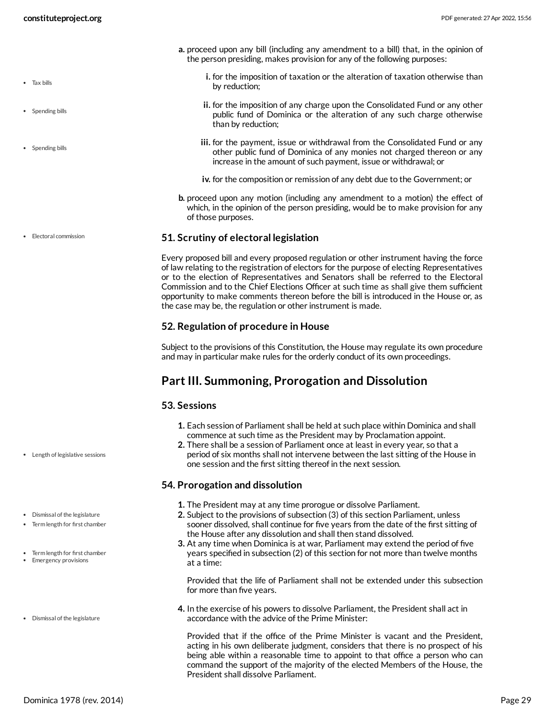- Spending bills
- Spending bills

Electoral commission

- **a.** proceed upon any bill (including any amendment to a bill) that, in the opinion of the person presiding, makes provision for any of the following purposes:
	- **i.** for the imposition of taxation or the alteration of taxation otherwise than by reduction;
	- **ii.** for the imposition of any charge upon the Consolidated Fund or any other public fund of Dominica or the alteration of any such charge otherwise than by reduction;
	- **iii.** for the payment, issue or withdrawal from the Consolidated Fund or any other public fund of Dominica of any monies not charged thereon or any increase in the amount of such payment, issue or withdrawal; or
	- **iv.** for the composition or remission of any debt due to the Government; or
- **b.** proceed upon any motion (including any amendment to a motion) the effect of which, in the opinion of the person presiding, would be to make provision for any of those purposes.

#### <span id="page-28-2"></span>**51. Scrutiny of electoral legislation**

Every proposed bill and every proposed regulation or other instrument having the force of law relating to the registration of electors for the purpose of electing Representatives or to the election of Representatives and Senators shall be referred to the Electoral Commission and to the Chief Elections Officer at such time as shall give them sufficient opportunity to make comments thereon before the bill is introduced in the House or, as the case may be, the regulation or other instrument is made.

#### **52. Regulation of procedure in House**

Subject to the provisions of this Constitution, the House may regulate its own procedure and may in particular make rules for the orderly conduct of its own proceedings.

### <span id="page-28-0"></span>**Part III. Summoning, Prorogation and Dissolution**

#### <span id="page-28-3"></span>**53. Sessions**

- **1.** Each session of Parliament shall be held at such place within Dominica and shall commence at such time as the President may by Proclamation appoint.
- **2.** There shall be a session of Parliament once at least in every year, so that a period of six months shall not intervene between the last sitting of the House in one session and the first sitting thereof in the next session.

#### <span id="page-28-1"></span>**54. Prorogation and dissolution**

- **1.** The President may at any time prorogue or dissolve Parliament.
- **2.** Subject to the provisions of subsection (3) of this section Parliament, unless sooner dissolved, shall continue for five years from the date of the first sitting of the House after any dissolution and shall then stand dissolved.
- **3.** At any time when Dominica is at war, Parliament may extend the period of five years specified in subsection (2) of this section for not more than twelve months at a time:

Provided that the life of Parliament shall not be extended under this subsection for more than five years.

**4.** In the exercise of his powers to dissolve Parliament, the President shall act in accordance with the advice of the Prime Minister:

Provided that if the office of the Prime Minister is vacant and the President, acting in his own deliberate judgment, considers that there is no prospect of his being able within a reasonable time to appoint to that office a person who can command the support of the majority of the elected Members of the House, the President shall dissolve Parliament.

Length of legislative sessions

Term length for first chamber

Dismissal of the legislature

- Term length for first chamber
- Emergency provisions
- Dismissal of the legislature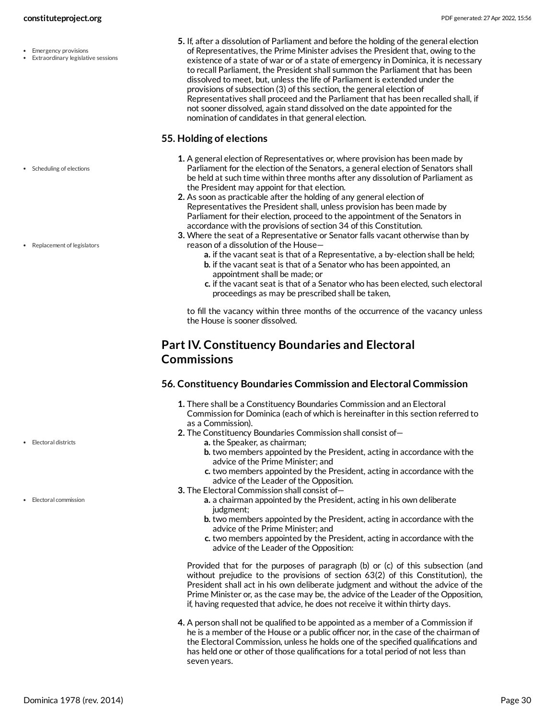- Emergency provisions
- Extraordinary legislative sessions

Replacement of legislators

• Scheduling of elections

- 
- **5.** If, after a dissolution of Parliament and before the holding of the general election of Representatives, the Prime Minister advises the President that, owing to the existence of a state of war or of a state of emergency in Dominica, it is necessary to recall Parliament, the President shall summon the Parliament that has been dissolved to meet, but, unless the life of Parliament is extended under the provisions of subsection (3) of this section, the general election of Representatives shall proceed and the Parliament that has been recalled shall, if not sooner dissolved, again stand dissolved on the date appointed for the nomination of candidates in that general election.

#### <span id="page-29-2"></span>**55. Holding of elections**

- **1.** A general election of Representatives or, where provision has been made by Parliament for the election of the Senators, a general election of Senators shall be held at such time within three months after any dissolution of Parliament as the President may appoint for that election.
- **2.** As soon as practicable after the holding of any general election of Representatives the President shall, unless provision has been made by Parliament for their election, proceed to the appointment of the Senators in accordance with the provisions of section 34 of this Constitution.
- **3.** Where the seat of a Representative or Senator falls vacant otherwise than by reason of a dissolution of the House
	- **a.** if the vacant seat is that of a Representative, a by-election shall be held;
	- **b.** if the vacant seat is that of a Senator who has been appointed, an appointment shall be made; or
	- **c.** if the vacant seat is that of a Senator who has been elected, such electoral proceedings as may be prescribed shall be taken,

to fill the vacancy within three months of the occurrence of the vacancy unless the House is sooner dissolved.

### <span id="page-29-0"></span>**Part IV. Constituency Boundaries and Electoral Commissions**

#### <span id="page-29-1"></span>**56. Constituency Boundaries Commission and Electoral Commission**

- **1.** There shall be a Constituency Boundaries Commission and an Electoral Commission for Dominica (each of which is hereinafter in this section referred to as a Commission).
- **2.** The Constituency Boundaries Commission shall consist of
	- **a.** the Speaker, as chairman;
		- **b.** two members appointed by the President, acting in accordance with the advice of the Prime Minister; and
		- **c.** two members appointed by the President, acting in accordance with the advice of the Leader of the Opposition.
- **3.** The Electoral Commission shall consist of
	- **a.** a chairman appointed by the President, acting in his own deliberate judgment;
	- **b.** two members appointed by the President, acting in accordance with the advice of the Prime Minister; and
	- **c.** two members appointed by the President, acting in accordance with the advice of the Leader of the Opposition:

Provided that for the purposes of paragraph (b) or (c) of this subsection (and without prejudice to the provisions of section 63(2) of this Constitution), the President shall act in his own deliberate judgment and without the advice of the Prime Minister or, as the case may be, the advice of the Leader of the Opposition, if, having requested that advice, he does not receive it within thirty days.

**4.** A person shall not be qualified to be appointed as a member of a Commission if he is a member of the House or a public officer nor, in the case of the chairman of the Electoral Commission, unless he holds one of the specified qualifications and has held one or other of those qualifications for a total period of not less than seven years.

Electoral districts

• Flectoral commission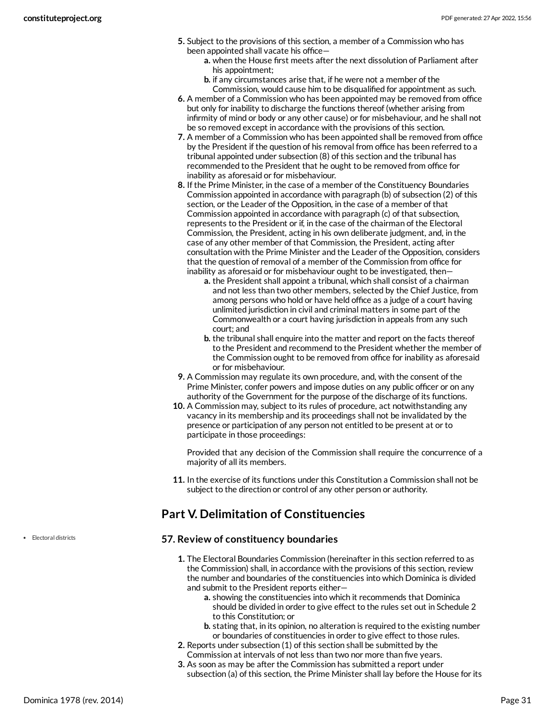- **5.** Subject to the provisions of this section, a member of a Commission who has been appointed shall vacate his office
	- **a.** when the House first meets after the next dissolution of Parliament after his appointment;
	- **b.** if any circumstances arise that, if he were not a member of the Commission, would cause him to be disqualified for appointment as such.
- **6.** A member of a Commission who has been appointed may be removed from office but only for inability to discharge the functions thereof (whether arising from infirmity of mind or body or any other cause) or for misbehaviour, and he shall not be so removed except in accordance with the provisions of this section.
- **7.** A member of a Commission who has been appointed shall be removed from office by the President if the question of his removal from office has been referred to a tribunal appointed under subsection (8) of this section and the tribunal has recommended to the President that he ought to be removed from office for inability as aforesaid or for misbehaviour.
- **8.** If the Prime Minister, in the case of a member of the Constituency Boundaries Commission appointed in accordance with paragraph (b) of subsection (2) of this section, or the Leader of the Opposition, in the case of a member of that Commission appointed in accordance with paragraph (c) of that subsection, represents to the President or if, in the case of the chairman of the Electoral Commission, the President, acting in his own deliberate judgment, and, in the case of any other member of that Commission, the President, acting after consultation with the Prime Minister and the Leader of the Opposition, considers that the question of removal of a member of the Commission from office for inability as aforesaid or for misbehaviour ought to be investigated, then
	- **a.** the President shall appoint a tribunal, which shall consist of a chairman and not less than two other members, selected by the Chief Justice, from among persons who hold or have held office as a judge of a court having unlimited jurisdiction in civil and criminal matters in some part of the Commonwealth or a court having jurisdiction in appeals from any such court; and
	- **b.** the tribunal shall enquire into the matter and report on the facts thereof to the President and recommend to the President whether the member of the Commission ought to be removed from office for inability as aforesaid or for misbehaviour.
- **9.** A Commission may regulate its own procedure, and, with the consent of the Prime Minister, confer powers and impose duties on any public officer or on any authority of the Government for the purpose of the discharge of its functions.
- **10.** A Commission may, subject to its rules of procedure, act notwithstanding any vacancy in its membership and its proceedings shall not be invalidated by the presence or participation of any person not entitled to be present at or to participate in those proceedings:

Provided that any decision of the Commission shall require the concurrence of a majority of all its members.

**11.** In the exercise of its functions under this Constitution a Commission shall not be subject to the direction or control of any other person or authority.

### <span id="page-30-0"></span>**Part V. Delimitation of Constituencies**

#### <span id="page-30-1"></span>**57. Review of constituency boundaries**

- **1.** The Electoral Boundaries Commission (hereinafter in this section referred to as the Commission) shall, in accordance with the provisions of this section, review the number and boundaries of the constituencies into which Dominica is divided and submit to the President reports either
	- **a.** showing the constituencies into which it recommends that Dominica should be divided in order to give effect to the rules set out in Schedule 2 to this Constitution; or
	- **b.** stating that, in its opinion, no alteration is required to the existing number or boundaries of constituencies in order to give effect to those rules.
- **2.** Reports under subsection (1) of this section shall be submitted by the Commission at intervals of not less than two nor more than five years.
- **3.** As soon as may be after the Commission has submitted a report under subsection (a) of this section, the Prime Minister shall lay before the House for its

· Flectoral districts

#### Dominica 1978 (rev. 2014) Page 31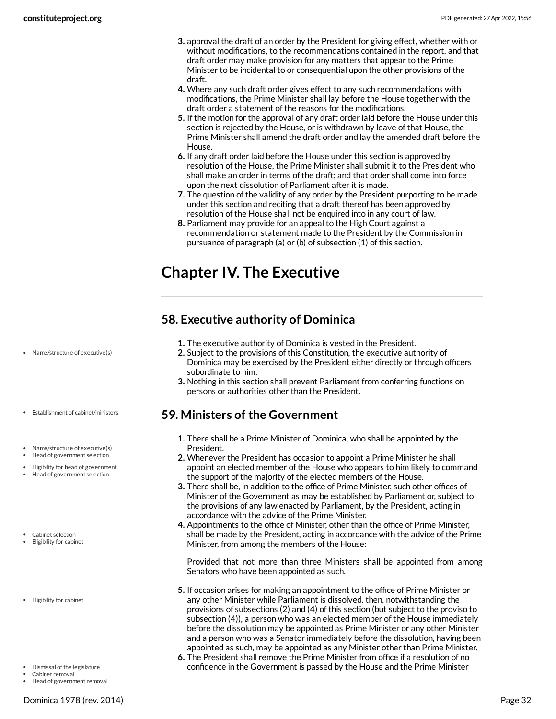- **3.** approval the draft of an order by the President for giving effect, whether with or without modifications, to the recommendations contained in the report, and that draft order may make provision for any matters that appear to the Prime Minister to be incidental to or consequential upon the other provisions of the draft.
- **4.** Where any such draft order gives effect to any such recommendations with modifications, the Prime Minister shall lay before the House together with the draft order a statement of the reasons for the modifications.
- **5.** If the motion for the approval of any draft order laid before the House under this section is rejected by the House, or is withdrawn by leave of that House, the Prime Minister shall amend the draft order and lay the amended draft before the House.
- **6.** If any draft order laid before the House under this section is approved by resolution of the House, the Prime Minister shall submit it to the President who shall make an order in terms of the draft; and that order shall come into force upon the next dissolution of Parliament after it is made.
- **7.** The question of the validity of any order by the President purporting to be made under this section and reciting that a draft thereof has been approved by resolution of the House shall not be enquired into in any court of law.
- **8.** Parliament may provide for an appeal to the High Court against a recommendation or statement made to the President by the Commission in pursuance of paragraph (a) or (b) of subsection (1) of this section.

# <span id="page-31-0"></span>**Chapter IV. The Executive**

### <span id="page-31-1"></span>**58. Executive authority of Dominica**

- **1.** The executive authority of Dominica is vested in the President.
- **2.** Subject to the provisions of this Constitution, the executive authority of Dominica may be exercised by the President either directly or through officers subordinate to him.
- **3.** Nothing in this section shall prevent Parliament from conferring functions on persons or authorities other than the President.

### <span id="page-31-2"></span>**59. Ministers of the Government**

- **1.** There shall be a Prime Minister of Dominica, who shall be appointed by the President.
- **2.** Whenever the President has occasion to appoint a Prime Minister he shall appoint an elected member of the House who appears to him likely to command the support of the majority of the elected members of the House.
- **3.** There shall be, in addition to the office of Prime Minister, such other offices of Minister of the Government as may be established by Parliament or, subject to the provisions of any law enacted by Parliament, by the President, acting in accordance with the advice of the Prime Minister.
- **4.** Appointments to the office of Minister, other than the office of Prime Minister, shall be made by the President, acting in accordance with the advice of the Prime Minister, from among the members of the House:

Provided that not more than three Ministers shall be appointed from among Senators who have been appointed as such.

- **5.** If occasion arises for making an appointment to the office of Prime Minister or any other Minister while Parliament is dissolved, then, notwithstanding the provisions of subsections (2) and (4) of this section (but subject to the proviso to subsection (4)), a person who was an elected member of the House immediately before the dissolution may be appointed as Prime Minister or any other Minister and a person who was a Senator immediately before the dissolution, having been appointed as such, may be appointed as any Minister other than Prime Minister.
- **6.** The President shall remove the Prime Minister from office if a resolution of no confidence in the Government is passed by the House and the Prime Minister

Name/structure of executive(s)

Establishment of cabinet/ministers

Name/structure of executive(s)

- Head of government selection
- Eligibility for head of government Head of government selection
- Cabinet selection Eligibility for cabinet
- Eligibility for cabinet
- Dismissal of the legislature Cabinet removal
- Head of government removal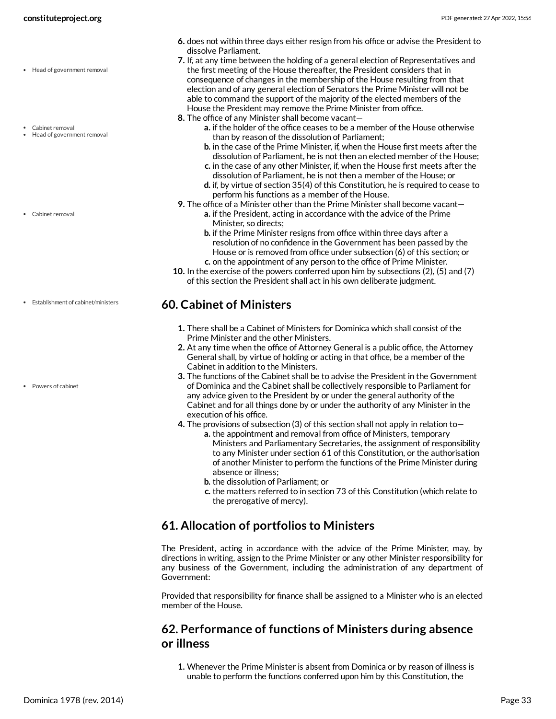- Head of government removal
- Cabinet removal
- Head of government removal
- Cabinet removal

Establishment of cabinet/ministers

• Powers of cabinet

- **6.** does not within three days either resign from his office or advise the President to dissolve Parliament.
- **7.** If, at any time between the holding of a general election of Representatives and the first meeting of the House thereafter, the President considers that in consequence of changes in the membership of the House resulting from that election and of any general election of Senators the Prime Minister will not be able to command the support of the majority of the elected members of the House the President may remove the Prime Minister from office.
- **8.** The office of any Minister shall become vacant
	- **a.** if the holder of the office ceases to be a member of the House otherwise than by reason of the dissolution of Parliament;
	- **b.** in the case of the Prime Minister, if, when the House first meets after the dissolution of Parliament, he is not then an elected member of the House; **c.** in the case of any other Minister, if, when the House first meets after the
	- dissolution of Parliament, he is not then a member of the House; or
	- **d.** if, by virtue of section 35(4) of this Constitution, he is required to cease to perform his functions as a member of the House.
- **9.** The office of a Minister other than the Prime Minister shall become vacant **a.** if the President, acting in accordance with the advice of the Prime Minister, so directs;
	- **b.** if the Prime Minister resigns from office within three days after a resolution of no confidence in the Government has been passed by the House or is removed from office under subsection (6) of this section; or
- **c.** on the appointment of any person to the office of Prime Minister. **10.** In the exercise of the powers conferred upon him by subsections (2), (5) and (7)
	- of this section the President shall act in his own deliberate judgment.

#### <span id="page-32-0"></span>**60. Cabinet of Ministers**

- **1.** There shall be a Cabinet of Ministers for Dominica which shall consist of the Prime Minister and the other Ministers.
- **2.** At any time when the office of Attorney General is a public office, the Attorney General shall, by virtue of holding or acting in that office, be a member of the Cabinet in addition to the Ministers.
- **3.** The functions of the Cabinet shall be to advise the President in the Government of Dominica and the Cabinet shall be collectively responsible to Parliament for any advice given to the President by or under the general authority of the Cabinet and for all things done by or under the authority of any Minister in the execution of his office.
- **4.** The provisions of subsection (3) of this section shall not apply in relation to
	- **a.** the appointment and removal from office of Ministers, temporary Ministers and Parliamentary Secretaries, the assignment of responsibility to any Minister under section 61 of this Constitution, or the authorisation of another Minister to perform the functions of the Prime Minister during absence or illness;
	- **b.** the dissolution of Parliament; or
	- **c.** the matters referred to in section 73 of this Constitution (which relate to the prerogative of mercy).

### <span id="page-32-1"></span>**61. Allocation of portfolios to Ministers**

The President, acting in accordance with the advice of the Prime Minister, may, by directions in writing, assign to the Prime Minister or any other Minister responsibility for any business of the Government, including the administration of any department of Government:

Provided that responsibility for finance shall be assigned to a Minister who is an elected member of the House.

#### <span id="page-32-2"></span>**62. Performance of functions of Ministers during absence or illness**

**1.** Whenever the Prime Minister is absent from Dominica or by reason of illness is unable to perform the functions conferred upon him by this Constitution, the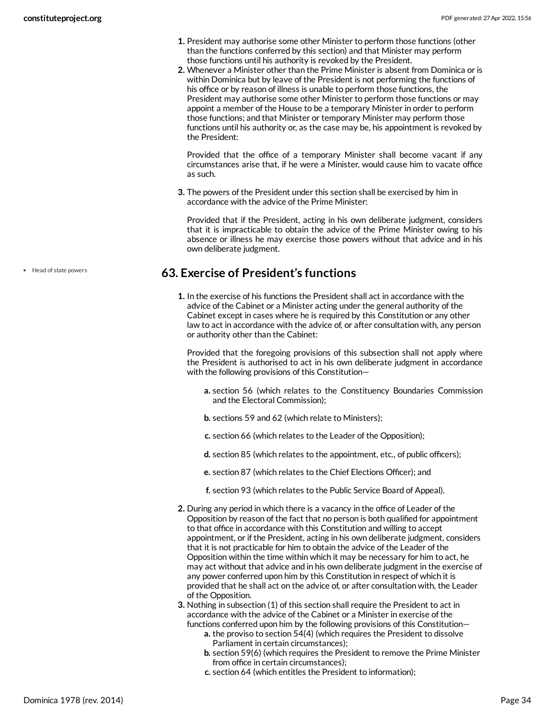- **1.** President may authorise some other Minister to perform those functions (other than the functions conferred by this section) and that Minister may perform those functions until his authority is revoked by the President.
- **2.** Whenever a Minister other than the Prime Minister is absent from Dominica or is within Dominica but by leave of the President is not performing the functions of his office or by reason of illness is unable to perform those functions, the President may authorise some other Minister to perform those functions or may appoint a member of the House to be a temporary Minister in order to perform those functions; and that Minister or temporary Minister may perform those functions until his authority or, as the case may be, his appointment is revoked by the President:

Provided that the office of a temporary Minister shall become vacant if any circumstances arise that, if he were a Minister, would cause him to vacate office as such.

**3.** The powers of the President under this section shall be exercised by him in accordance with the advice of the Prime Minister:

Provided that if the President, acting in his own deliberate judgment, considers that it is impracticable to obtain the advice of the Prime Minister owing to his absence or illness he may exercise those powers without that advice and in his own deliberate judgment.

#### <span id="page-33-0"></span>**63. Exercise of President's functions**

**1.** In the exercise of his functions the President shall act in accordance with the advice of the Cabinet or a Minister acting under the general authority of the Cabinet except in cases where he is required by this Constitution or any other law to act in accordance with the advice of, or after consultation with, any person or authority other than the Cabinet:

Provided that the foregoing provisions of this subsection shall not apply where the President is authorised to act in his own deliberate judgment in accordance with the following provisions of this Constitution—

- **a.** section 56 (which relates to the Constituency Boundaries Commission and the Electoral Commission);
- **b.** sections 59 and 62 (which relate to Ministers);
- **c.** section 66 (which relates to the Leader of the Opposition);
- **d.** section 85 (which relates to the appointment, etc., of public officers);
- **e.** section 87 (which relates to the Chief Elections Officer); and
- **f.** section 93 (which relates to the Public Service Board of Appeal).
- **2.** During any period in which there is a vacancy in the office of Leader of the Opposition by reason of the fact that no person is both qualified for appointment to that office in accordance with this Constitution and willing to accept appointment, or if the President, acting in his own deliberate judgment, considers that it is not practicable for him to obtain the advice of the Leader of the Opposition within the time within which it may be necessary for him to act, he may act without that advice and in his own deliberate judgment in the exercise of any power conferred upon him by this Constitution in respect of which it is provided that he shall act on the advice of, or after consultation with, the Leader of the Opposition.
- **3.** Nothing in subsection (1) of this section shall require the President to act in accordance with the advice of the Cabinet or a Minister in exercise of the functions conferred upon him by the following provisions of this Constitution
	- **a.** the proviso to section 54(4) (which requires the President to dissolve Parliament in certain circumstances);
	- **b.** section 59(6) (which requires the President to remove the Prime Minister from office in certain circumstances);
	- **c.** section 64 (which entitles the President to information);

• Head of state powers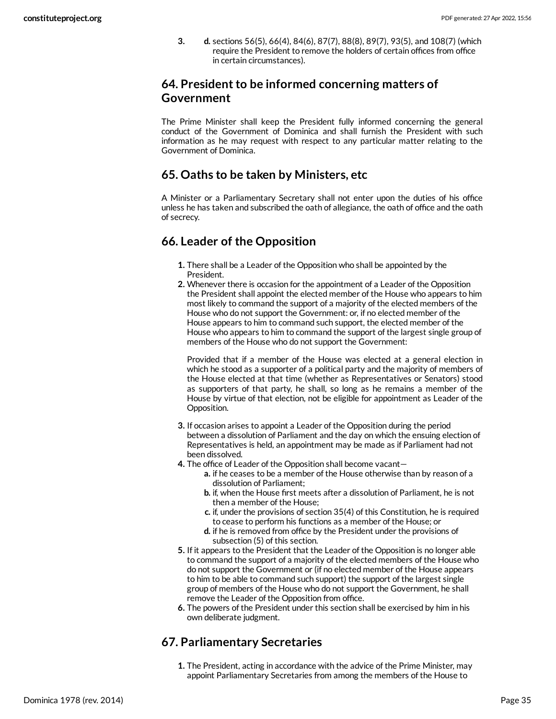**3. d.** sections 56(5), 66(4), 84(6), 87(7), 88(8), 89(7), 93(5), and 108(7) (which require the President to remove the holders of certain offices from office in certain circumstances).

#### <span id="page-34-0"></span>**64. President to be informed concerning matters of Government**

The Prime Minister shall keep the President fully informed concerning the general conduct of the Government of Dominica and shall furnish the President with such information as he may request with respect to any particular matter relating to the Government of Dominica.

#### <span id="page-34-1"></span>**65. Oaths to be taken by Ministers, etc**

A Minister or a Parliamentary Secretary shall not enter upon the duties of his office unless he has taken and subscribed the oath of allegiance, the oath of office and the oath of secrecy.

### <span id="page-34-2"></span>**66. Leader of the Opposition**

- **1.** There shall be a Leader of the Opposition who shall be appointed by the President.
- **2.** Whenever there is occasion for the appointment of a Leader of the Opposition the President shall appoint the elected member of the House who appears to him most likely to command the support of a majority of the elected members of the House who do not support the Government: or, if no elected member of the House appears to him to command such support, the elected member of the House who appears to him to command the support of the largest single group of members of the House who do not support the Government:

Provided that if a member of the House was elected at a general election in which he stood as a supporter of a political party and the majority of members of the House elected at that time (whether as Representatives or Senators) stood as supporters of that party, he shall, so long as he remains a member of the House by virtue of that election, not be eligible for appointment as Leader of the Opposition.

- **3.** If occasion arises to appoint a Leader of the Opposition during the period between a dissolution of Parliament and the day on which the ensuing election of Representatives is held, an appointment may be made as if Parliament had not been dissolved.
- **4.** The office of Leader of the Opposition shall become vacant
	- **a.** if he ceases to be a member of the House otherwise than by reason of a dissolution of Parliament;
	- **b.** if, when the House first meets after a dissolution of Parliament, he is not then a member of the House;
	- **c.** if, under the provisions of section 35(4) of this Constitution, he is required to cease to perform his functions as a member of the House; or
	- **d.** if he is removed from office by the President under the provisions of subsection (5) of this section.
- **5.** If it appears to the President that the Leader of the Opposition is no longer able to command the support of a majority of the elected members of the House who do not support the Government or (if no elected member of the House appears to him to be able to command such support) the support of the largest single group of members of the House who do not support the Government, he shall remove the Leader of the Opposition from office.
- **6.** The powers of the President under this section shall be exercised by him in his own deliberate judgment.

### <span id="page-34-3"></span>**67. Parliamentary Secretaries**

**1.** The President, acting in accordance with the advice of the Prime Minister, may appoint Parliamentary Secretaries from among the members of the House to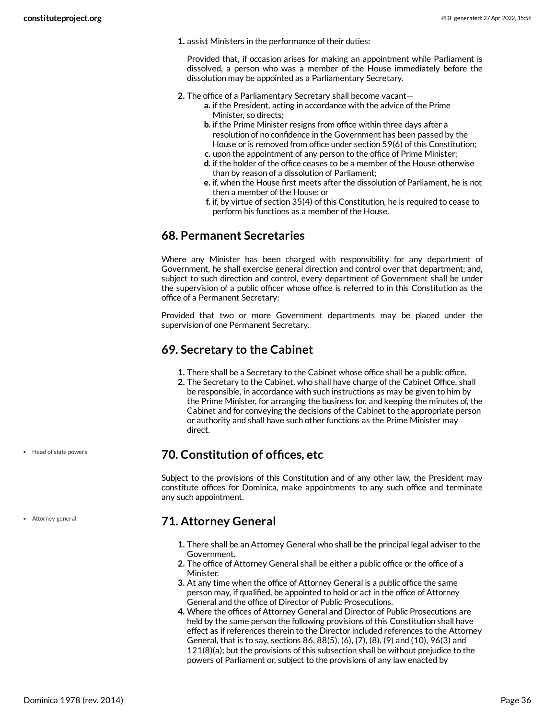**1.** assist Ministers in the performance of their duties:

Provided that, if occasion arises for making an appointment while Parliament is dissolved, a person who was a member of the House immediately before the dissolution may be appointed as a Parliamentary Secretary.

- **2.** The office of a Parliamentary Secretary shall become vacant
	- **a.** if the President, acting in accordance with the advice of the Prime Minister, so directs;
	- **b.** if the Prime Minister resigns from office within three days after a resolution of no confidence in the Government has been passed by the House or is removed from office under section 59(6) of this Constitution;
	- **c.** upon the appointment of any person to the office of Prime Minister;
	- **d.** if the holder of the office ceases to be a member of the House otherwise than by reason of a dissolution of Parliament;
	- **e.** if, when the House first meets after the dissolution of Parliament, he is not then a member of the House; or
	- **f.** if, by virtue of section 35(4) of this Constitution, he is required to cease to perform his functions as a member of the House.

#### <span id="page-35-0"></span>**68. Permanent Secretaries**

Where any Minister has been charged with responsibility for any department of Government, he shall exercise general direction and control over that department; and, subject to such direction and control, every department of Government shall be under the supervision of a public officer whose office is referred to in this Constitution as the office of a Permanent Secretary:

Provided that two or more Government departments may be placed under the supervision of one Permanent Secretary.

#### <span id="page-35-1"></span>**69. Secretary to the Cabinet**

- **1.** There shall be a Secretary to the Cabinet whose office shall be a public office.
- **2.** The Secretary to the Cabinet, who shall have charge of the Cabinet Office, shall be responsible, in accordance with such instructions as may be given to him by the Prime Minister, for arranging the business for, and keeping the minutes of, the Cabinet and for conveying the decisions of the Cabinet to the appropriate person or authority and shall have such other functions as the Prime Minister may direct.

#### <span id="page-35-2"></span>**70. Constitution of offices, etc**

Subject to the provisions of this Constitution and of any other law, the President may constitute offices for Dominica, make appointments to any such office and terminate any such appointment.

### <span id="page-35-3"></span>**71. Attorney General**

- **1.** There shall be an Attorney General who shall be the principal legal adviser to the Government.
- **2.** The office of Attorney General shall be either a public office or the office of a Minister.
- **3.** At any time when the office of Attorney General is a public office the same person may, if qualified, be appointed to hold or act in the office of Attorney General and the office of Director of Public Prosecutions.
- **4.** Where the offices of Attorney General and Director of Public Prosecutions are held by the same person the following provisions of this Constitution shall have effect as if references therein to the Director included references to the Attorney General, that is to say, sections 86, 88(5), (6), (7), (8), (9) and (10), 96(3) and 121(8)(a); but the provisions of this subsection shall be without prejudice to the powers of Parliament or, subject to the provisions of any law enacted by

• Head of state powers

Attorney general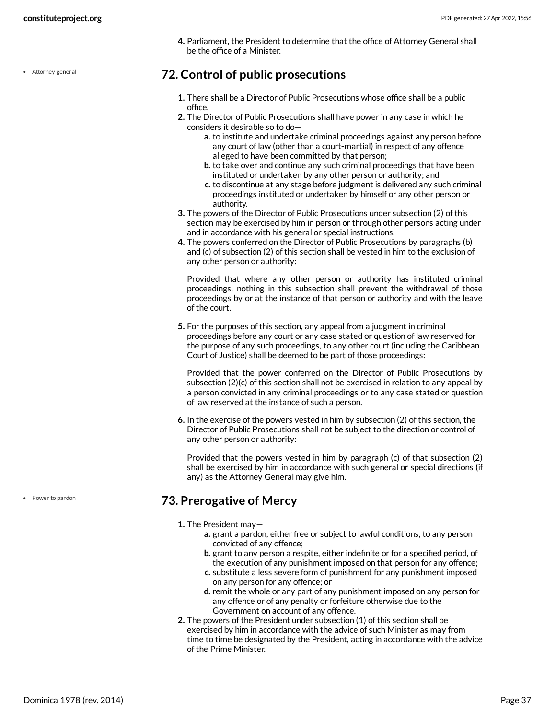Attorney general

**4.** Parliament, the President to determine that the office of Attorney General shall be the office of a Minister.

### <span id="page-36-0"></span>**72. Control of public prosecutions**

- **1.** There shall be a Director of Public Prosecutions whose office shall be a public office.
- **2.** The Director of Public Prosecutions shall have power in any case in which he considers it desirable so to do
	- **a.** to institute and undertake criminal proceedings against any person before any court of law (other than a court-martial) in respect of any offence alleged to have been committed by that person;
	- **b.** to take over and continue any such criminal proceedings that have been instituted or undertaken by any other person or authority; and
	- **c.** to discontinue at any stage before judgment is delivered any such criminal proceedings instituted or undertaken by himself or any other person or authority.
- **3.** The powers of the Director of Public Prosecutions under subsection (2) of this section may be exercised by him in person or through other persons acting under and in accordance with his general or special instructions.
- **4.** The powers conferred on the Director of Public Prosecutions by paragraphs (b) and (c) of subsection (2) of this section shall be vested in him to the exclusion of any other person or authority:

Provided that where any other person or authority has instituted criminal proceedings, nothing in this subsection shall prevent the withdrawal of those proceedings by or at the instance of that person or authority and with the leave of the court.

**5.** For the purposes of this section, any appeal from a judgment in criminal proceedings before any court or any case stated or question of law reserved for the purpose of any such proceedings, to any other court (including the Caribbean Court of Justice) shall be deemed to be part of those proceedings:

Provided that the power conferred on the Director of Public Prosecutions by subsection (2)(c) of this section shall not be exercised in relation to any appeal by a person convicted in any criminal proceedings or to any case stated or question of law reserved at the instance of such a person.

**6.** In the exercise of the powers vested in him by subsection (2) of this section, the Director of Public Prosecutions shall not be subject to the direction or control of any other person or authority:

Provided that the powers vested in him by paragraph (c) of that subsection (2) shall be exercised by him in accordance with such general or special directions (if any) as the Attorney General may give him.

### <span id="page-36-1"></span>**73. Prerogative of Mercy**

- **1.** The President may
	- **a.** grant a pardon, either free or subject to lawful conditions, to any person convicted of any offence;
	- **b.** grant to any person a respite, either indefinite or for a specified period, of the execution of any punishment imposed on that person for any offence;
	- **c.** substitute a less severe form of punishment for any punishment imposed on any person for any offence; or
	- **d.** remit the whole or any part of any punishment imposed on any person for any offence or of any penalty or forfeiture otherwise due to the Government on account of any offence.
- **2.** The powers of the President under subsection (1) of this section shall be exercised by him in accordance with the advice of such Minister as may from time to time be designated by the President, acting in accordance with the advice of the Prime Minister.

• Power to pardon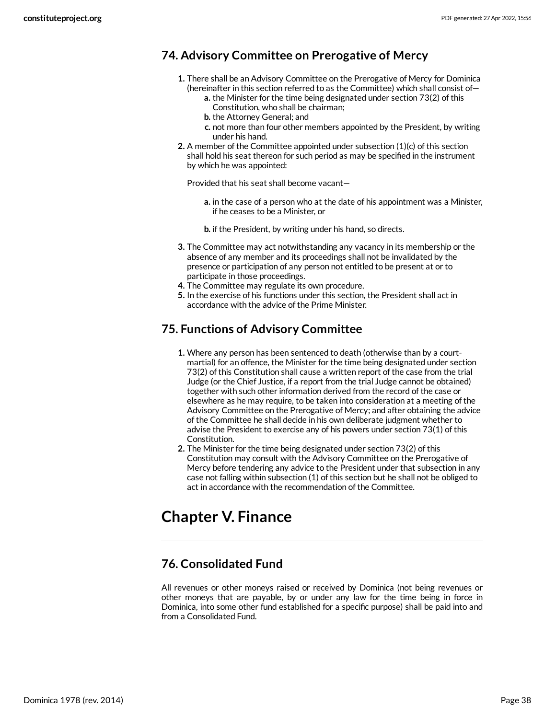### <span id="page-37-0"></span>**74. Advisory Committee on Prerogative of Mercy**

- **1.** There shall be an Advisory Committee on the Prerogative of Mercy for Dominica (hereinafter in this section referred to as the Committee) which shall consist of
	- **a.** the Minister for the time being designated under section 73(2) of this Constitution, who shall be chairman;
	- **b.** the Attorney General; and
	- **c.** not more than four other members appointed by the President, by writing under his hand.
- **2.** A member of the Committee appointed under subsection (1)(c) of this section shall hold his seat thereon for such period as may be specified in the instrument by which he was appointed:

Provided that his seat shall become vacant—

- **a.** in the case of a person who at the date of his appointment was a Minister, if he ceases to be a Minister, or
- **b.** if the President, by writing under his hand, so directs.
- **3.** The Committee may act notwithstanding any vacancy in its membership or the absence of any member and its proceedings shall not be invalidated by the presence or participation of any person not entitled to be present at or to participate in those proceedings.
- **4.** The Committee may regulate its own procedure.
- **5.** In the exercise of his functions under this section, the President shall act in accordance with the advice of the Prime Minister.

#### <span id="page-37-1"></span>**75. Functions of Advisory Committee**

- **1.** Where any person has been sentenced to death (otherwise than by a courtmartial) for an offence, the Minister for the time being designated under section 73(2) of this Constitution shall cause a written report of the case from the trial Judge (or the Chief Justice, if a report from the trial Judge cannot be obtained) together with such other information derived from the record of the case or elsewhere as he may require, to be taken into consideration at a meeting of the Advisory Committee on the Prerogative of Mercy; and after obtaining the advice of the Committee he shall decide in his own deliberate judgment whether to advise the President to exercise any of his powers under section 73(1) of this Constitution.
- **2.** The Minister for the time being designated under section 73(2) of this Constitution may consult with the Advisory Committee on the Prerogative of Mercy before tendering any advice to the President under that subsection in any case not falling within subsection (1) of this section but he shall not be obliged to act in accordance with the recommendation of the Committee.

# <span id="page-37-2"></span>**Chapter V. Finance**

#### <span id="page-37-3"></span>**76. Consolidated Fund**

All revenues or other moneys raised or received by Dominica (not being revenues or other moneys that are payable, by or under any law for the time being in force in Dominica, into some other fund established for a specific purpose) shall be paid into and from a Consolidated Fund.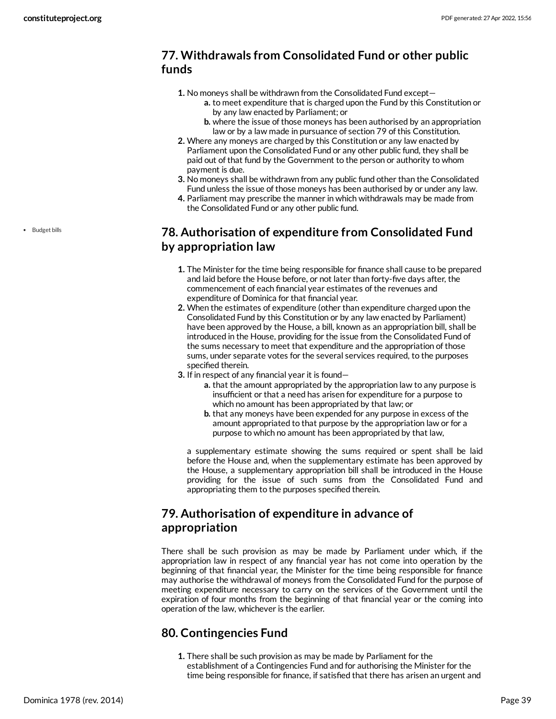#### <span id="page-38-0"></span>**77. Withdrawals from Consolidated Fund or other public funds**

- **1.** No moneys shall be withdrawn from the Consolidated Fund except
	- **a.** to meet expenditure that is charged upon the Fund by this Constitution or by any law enacted by Parliament; or
	- **b.** where the issue of those moneys has been authorised by an appropriation law or by a law made in pursuance of section 79 of this Constitution.
- **2.** Where any moneys are charged by this Constitution or any law enacted by Parliament upon the Consolidated Fund or any other public fund, they shall be paid out of that fund by the Government to the person or authority to whom payment is due.
- **3.** No moneys shall be withdrawn from any public fund other than the Consolidated Fund unless the issue of those moneys has been authorised by or under any law.
- **4.** Parliament may prescribe the manner in which withdrawals may be made from the Consolidated Fund or any other public fund.

#### <span id="page-38-1"></span>**78. Authorisation of expenditure from Consolidated Fund by appropriation law**

- **1.** The Minister for the time being responsible for finance shall cause to be prepared and laid before the House before, or not later than forty-five days after, the commencement of each financial year estimates of the revenues and expenditure of Dominica for that financial year.
- **2.** When the estimates of expenditure (other than expenditure charged upon the Consolidated Fund by this Constitution or by any law enacted by Parliament) have been approved by the House, a bill, known as an appropriation bill, shall be introduced in the House, providing for the issue from the Consolidated Fund of the sums necessary to meet that expenditure and the appropriation of those sums, under separate votes for the several services required, to the purposes specified therein.
- **3.** If in respect of any financial year it is found
	- **a.** that the amount appropriated by the appropriation law to any purpose is insufficient or that a need has arisen for expenditure for a purpose to which no amount has been appropriated by that law; or
	- **b.** that any moneys have been expended for any purpose in excess of the amount appropriated to that purpose by the appropriation law or for a purpose to which no amount has been appropriated by that law,

a supplementary estimate showing the sums required or spent shall be laid before the House and, when the supplementary estimate has been approved by the House, a supplementary appropriation bill shall be introduced in the House providing for the issue of such sums from the Consolidated Fund and appropriating them to the purposes specified therein.

### <span id="page-38-2"></span>**79. Authorisation of expenditure in advance of appropriation**

There shall be such provision as may be made by Parliament under which, if the appropriation law in respect of any financial year has not come into operation by the beginning of that financial year, the Minister for the time being responsible for finance may authorise the withdrawal of moneys from the Consolidated Fund for the purpose of meeting expenditure necessary to carry on the services of the Government until the expiration of four months from the beginning of that financial year or the coming into operation of the law, whichever is the earlier.

### <span id="page-38-3"></span>**80. Contingencies Fund**

**1.** There shall be such provision as may be made by Parliament for the establishment of a Contingencies Fund and for authorising the Minister for the time being responsible for finance, if satisfied that there has arisen an urgent and

• Budget bills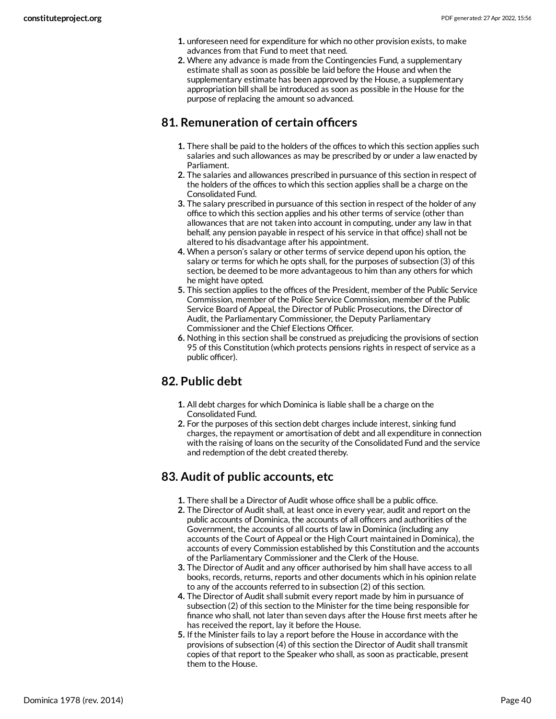- **1.** unforeseen need for expenditure for which no other provision exists, to make advances from that Fund to meet that need.
- **2.** Where any advance is made from the Contingencies Fund, a supplementary estimate shall as soon as possible be laid before the House and when the supplementary estimate has been approved by the House, a supplementary appropriation bill shall be introduced as soon as possible in the House for the purpose of replacing the amount so advanced.

#### <span id="page-39-0"></span>**81. Remuneration of certain officers**

- **1.** There shall be paid to the holders of the offices to which this section applies such salaries and such allowances as may be prescribed by or under a law enacted by Parliament.
- **2.** The salaries and allowances prescribed in pursuance of this section in respect of the holders of the offices to which this section applies shall be a charge on the Consolidated Fund.
- **3.** The salary prescribed in pursuance of this section in respect of the holder of any office to which this section applies and his other terms of service (other than allowances that are not taken into account in computing, under any law in that behalf, any pension payable in respect of his service in that office) shall not be altered to his disadvantage after his appointment.
- **4.** When a person's salary or other terms of service depend upon his option, the salary or terms for which he opts shall, for the purposes of subsection (3) of this section, be deemed to be more advantageous to him than any others for which he might have opted.
- **5.** This section applies to the offices of the President, member of the Public Service Commission, member of the Police Service Commission, member of the Public Service Board of Appeal, the Director of Public Prosecutions, the Director of Audit, the Parliamentary Commissioner, the Deputy Parliamentary Commissioner and the Chief Elections Officer.
- **6.** Nothing in this section shall be construed as prejudicing the provisions of section 95 of this Constitution (which protects pensions rights in respect of service as a public officer).

### <span id="page-39-1"></span>**82. Public debt**

- **1.** All debt charges for which Dominica is liable shall be a charge on the Consolidated Fund.
- **2.** For the purposes of this section debt charges include interest, sinking fund charges, the repayment or amortisation of debt and all expenditure in connection with the raising of loans on the security of the Consolidated Fund and the service and redemption of the debt created thereby.

### <span id="page-39-2"></span>**83. Audit of public accounts, etc**

- **1.** There shall be a Director of Audit whose office shall be a public office.
- **2.** The Director of Audit shall, at least once in every year, audit and report on the public accounts of Dominica, the accounts of all officers and authorities of the Government, the accounts of all courts of law in Dominica (including any accounts of the Court of Appeal or the High Court maintained in Dominica), the accounts of every Commission established by this Constitution and the accounts of the Parliamentary Commissioner and the Clerk of the House.
- **3.** The Director of Audit and any officer authorised by him shall have access to all books, records, returns, reports and other documents which in his opinion relate to any of the accounts referred to in subsection (2) of this section.
- **4.** The Director of Audit shall submit every report made by him in pursuance of subsection (2) of this section to the Minister for the time being responsible for finance who shall, not later than seven days after the House first meets after he has received the report, lay it before the House.
- **5.** If the Minister fails to lay a report before the House in accordance with the provisions of subsection (4) of this section the Director of Audit shall transmit copies of that report to the Speaker who shall, as soon as practicable, present them to the House.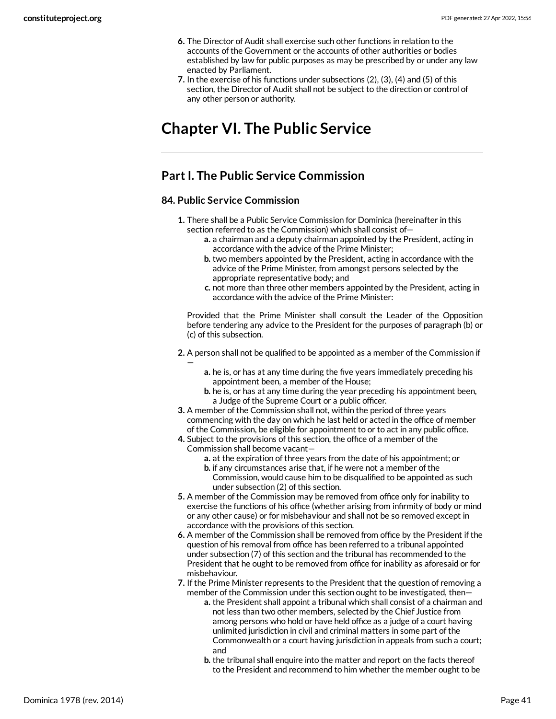- **6.** The Director of Audit shall exercise such other functions in relation to the accounts of the Government or the accounts of other authorities or bodies established by law for public purposes as may be prescribed by or under any law enacted by Parliament.
- **7.** In the exercise of his functions under subsections (2), (3), (4) and (5) of this section, the Director of Audit shall not be subject to the direction or control of any other person or authority.

# <span id="page-40-0"></span>**Chapter VI. The Public Service**

### <span id="page-40-1"></span>**Part I. The Public Service Commission**

#### **84. Public Service Commission**

- **1.** There shall be a Public Service Commission for Dominica (hereinafter in this section referred to as the Commission) which shall consist of
	- **a.** a chairman and a deputy chairman appointed by the President, acting in accordance with the advice of the Prime Minister;
	- **b.** two members appointed by the President, acting in accordance with the advice of the Prime Minister, from amongst persons selected by the appropriate representative body; and
	- **c.** not more than three other members appointed by the President, acting in accordance with the advice of the Prime Minister:

Provided that the Prime Minister shall consult the Leader of the Opposition before tendering any advice to the President for the purposes of paragraph (b) or (c) of this subsection.

- **2.** A person shall not be qualified to be appointed as a member of the Commission if
	- **a.** he is, or has at any time during the five years immediately preceding his appointment been, a member of the House;
	- **b.** he is, or has at any time during the year preceding his appointment been, a Judge of the Supreme Court or a public officer.
- **3.** A member of the Commission shall not, within the period of three years commencing with the day on which he last held or acted in the office of member of the Commission, be eligible for appointment to or to act in any public office.
- **4.** Subject to the provisions of this section, the office of a member of the Commission shall become vacant
	- **a.** at the expiration of three years from the date of his appointment; or
	- **b.** if any circumstances arise that, if he were not a member of the Commission, would cause him to be disqualified to be appointed as such under subsection (2) of this section.
- **5.** A member of the Commission may be removed from office only for inability to exercise the functions of his office (whether arising from infirmity of body or mind or any other cause) or for misbehaviour and shall not be so removed except in accordance with the provisions of this section.
- **6.** A member of the Commission shall be removed from office by the President if the question of his removal from office has been referred to a tribunal appointed under subsection (7) of this section and the tribunal has recommended to the President that he ought to be removed from office for inability as aforesaid or for misbehaviour.
- **7.** If the Prime Minister represents to the President that the question of removing a member of the Commission under this section ought to be investigated, then
	- **a.** the President shall appoint a tribunal which shall consist of a chairman and not less than two other members, selected by the Chief Justice from among persons who hold or have held office as a judge of a court having unlimited jurisdiction in civil and criminal matters in some part of the Commonwealth or a court having jurisdiction in appeals from such a court; and
	- **b.** the tribunal shall enquire into the matter and report on the facts thereof to the President and recommend to him whether the member ought to be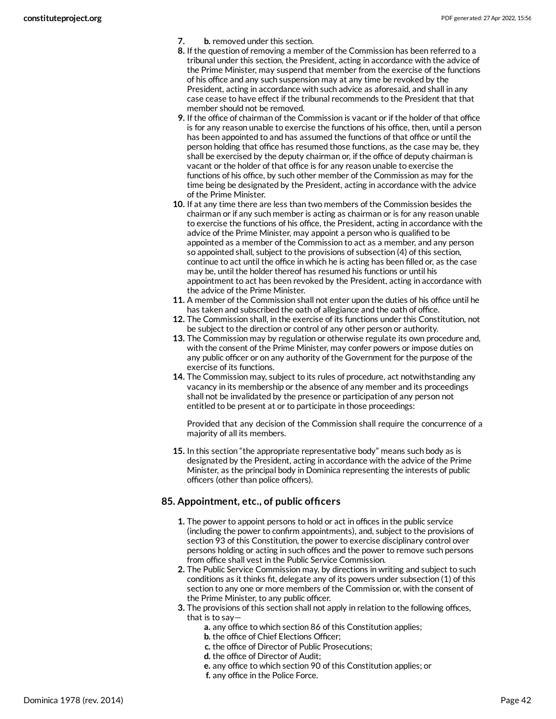- **7. b.** removed under this section.
- **8.** If the question of removing a member of the Commission has been referred to a tribunal under this section, the President, acting in accordance with the advice of the Prime Minister, may suspend that member from the exercise of the functions of his office and any such suspension may at any time be revoked by the President, acting in accordance with such advice as aforesaid, and shall in any case cease to have effect if the tribunal recommends to the President that that member should not be removed.
- **9.** If the office of chairman of the Commission is vacant or if the holder of that office is for any reason unable to exercise the functions of his office, then, until a person has been appointed to and has assumed the functions of that office or until the person holding that office has resumed those functions, as the case may be, they shall be exercised by the deputy chairman or, if the office of deputy chairman is vacant or the holder of that office is for any reason unable to exercise the functions of his office, by such other member of the Commission as may for the time being be designated by the President, acting in accordance with the advice of the Prime Minister.
- **10.** If at any time there are less than two members of the Commission besides the chairman or if any such member is acting as chairman or is for any reason unable to exercise the functions of his office, the President, acting in accordance with the advice of the Prime Minister, may appoint a person who is qualified to be appointed as a member of the Commission to act as a member, and any person so appointed shall, subject to the provisions of subsection (4) of this section, continue to act until the office in which he is acting has been filled or, as the case may be, until the holder thereof has resumed his functions or until his appointment to act has been revoked by the President, acting in accordance with the advice of the Prime Minister.
- **11.** A member of the Commission shall not enter upon the duties of his office until he has taken and subscribed the oath of allegiance and the oath of office.
- **12.** The Commission shall, in the exercise of its functions under this Constitution, not be subject to the direction or control of any other person or authority.
- **13.** The Commission may by regulation or otherwise regulate its own procedure and, with the consent of the Prime Minister, may confer powers or impose duties on any public officer or on any authority of the Government for the purpose of the exercise of its functions.
- **14.** The Commission may, subject to its rules of procedure, act notwithstanding any vacancy in its membership or the absence of any member and its proceedings shall not be invalidated by the presence or participation of any person not entitled to be present at or to participate in those proceedings:

Provided that any decision of the Commission shall require the concurrence of a majority of all its members.

**15.** In this section "the appropriate representative body" means such body as is designated by the President, acting in accordance with the advice of the Prime Minister, as the principal body in Dominica representing the interests of public officers (other than police officers).

#### <span id="page-41-0"></span>**85. Appointment, etc., of public officers**

- **1.** The power to appoint persons to hold or act in offices in the public service (including the power to confirm appointments), and, subject to the provisions of section 93 of this Constitution, the power to exercise disciplinary control over persons holding or acting in such offices and the power to remove such persons from office shall vest in the Public Service Commission.
- **2.** The Public Service Commission may, by directions in writing and subject to such conditions as it thinks fit, delegate any of its powers under subsection (1) of this section to any one or more members of the Commission or, with the consent of the Prime Minister, to any public officer.
- **3.** The provisions of this section shall not apply in relation to the following offices, that is to say
	- **a.** any office to which section 86 of this Constitution applies;
		- **b.** the office of Chief Elections Officer;
	- **c.** the office of Director of Public Prosecutions;
	- **d.** the office of Director of Audit;
	- **e.** any office to which section 90 of this Constitution applies; or
	- **f.** any office in the Police Force.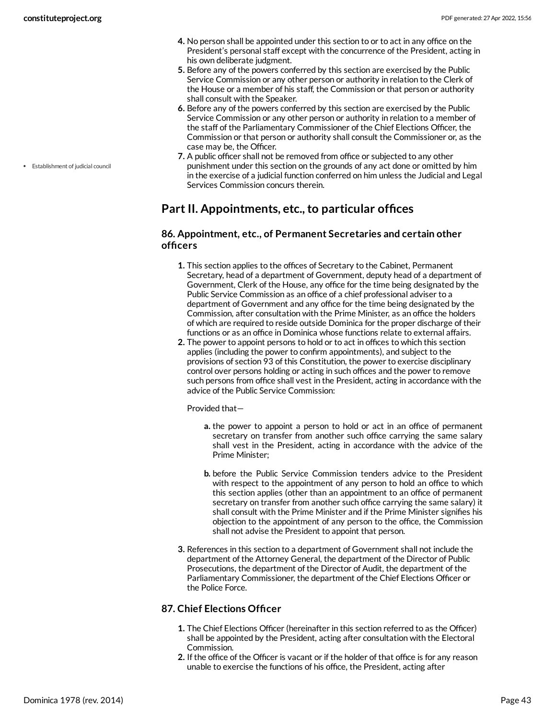- **4.** No person shall be appointed under this section to or to act in any office on the President's personal staff except with the concurrence of the President, acting in his own deliberate judgment.
- **5.** Before any of the powers conferred by this section are exercised by the Public Service Commission or any other person or authority in relation to the Clerk of the House or a member of his staff, the Commission or that person or authority shall consult with the Speaker.
- **6.** Before any of the powers conferred by this section are exercised by the Public Service Commission or any other person or authority in relation to a member of the staff of the Parliamentary Commissioner of the Chief Elections Officer, the Commission or that person or authority shall consult the Commissioner or, as the case may be, the Officer.
- **7.** A public officer shall not be removed from office or subjected to any other punishment under this section on the grounds of any act done or omitted by him in the exercise of a judicial function conferred on him unless the Judicial and Legal Services Commission concurs therein.

### <span id="page-42-0"></span>**Part II. Appointments, etc., to particular offices**

#### **86. Appointment, etc., of Permanent Secretaries and certain other officers**

- **1.** This section applies to the offices of Secretary to the Cabinet, Permanent Secretary, head of a department of Government, deputy head of a department of Government, Clerk of the House, any office for the time being designated by the Public Service Commission as an office of a chief professional adviser to a department of Government and any office for the time being designated by the Commission, after consultation with the Prime Minister, as an office the holders of which are required to reside outside Dominica for the proper discharge of their functions or as an office in Dominica whose functions relate to external affairs.
- **2.** The power to appoint persons to hold or to act in offices to which this section applies (including the power to confirm appointments), and subject to the provisions of section 93 of this Constitution, the power to exercise disciplinary control over persons holding or acting in such offices and the power to remove such persons from office shall vest in the President, acting in accordance with the advice of the Public Service Commission:

Provided that—

- **a.** the power to appoint a person to hold or act in an office of permanent secretary on transfer from another such office carrying the same salary shall vest in the President, acting in accordance with the advice of the Prime Minister;
- **b.** before the Public Service Commission tenders advice to the President with respect to the appointment of any person to hold an office to which this section applies (other than an appointment to an office of permanent secretary on transfer from another such office carrying the same salary) it shall consult with the Prime Minister and if the Prime Minister signifies his objection to the appointment of any person to the office, the Commission shall not advise the President to appoint that person.
- **3.** References in this section to a department of Government shall not include the department of the Attorney General, the department of the Director of Public Prosecutions, the department of the Director of Audit, the department of the Parliamentary Commissioner, the department of the Chief Elections Officer or the Police Force.

#### **87. Chief Elections Officer**

- **1.** The Chief Elections Officer (hereinafter in this section referred to as the Officer) shall be appointed by the President, acting after consultation with the Electoral Commission.
- **2.** If the office of the Officer is vacant or if the holder of that office is for any reason unable to exercise the functions of his office, the President, acting after

Establishment of judicial council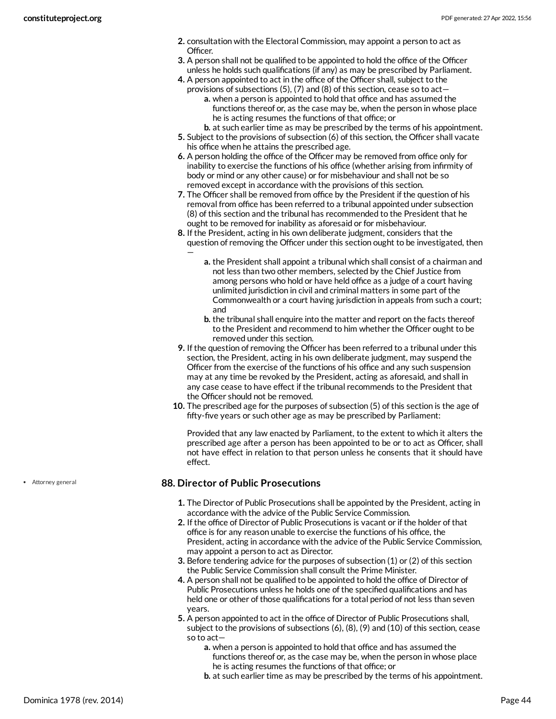- **2.** consultation with the Electoral Commission, may appoint a person to act as Officer.
- **3.** A person shall not be qualified to be appointed to hold the office of the Officer unless he holds such qualifications (if any) as may be prescribed by Parliament.
- **4.** A person appointed to act in the office of the Officer shall, subject to the provisions of subsections (5), (7) and (8) of this section, cease so to act
	- **a.** when a person is appointed to hold that office and has assumed the functions thereof or, as the case may be, when the person in whose place he is acting resumes the functions of that office; or
	- **b.** at such earlier time as may be prescribed by the terms of his appointment.
- **5.** Subject to the provisions of subsection (6) of this section, the Officer shall vacate his office when he attains the prescribed age.
- **6.** A person holding the office of the Officer may be removed from office only for inability to exercise the functions of his office (whether arising from infirmity of body or mind or any other cause) or for misbehaviour and shall not be so removed except in accordance with the provisions of this section.
- **7.** The Officer shall be removed from office by the President if the question of his removal from office has been referred to a tribunal appointed under subsection (8) of this section and the tribunal has recommended to the President that he ought to be removed for inability as aforesaid or for misbehaviour.
- **8.** If the President, acting in his own deliberate judgment, considers that the question of removing the Officer under this section ought to be investigated, then
	- **a.** the President shall appoint a tribunal which shall consist of a chairman and not less than two other members, selected by the Chief Justice from among persons who hold or have held office as a judge of a court having unlimited jurisdiction in civil and criminal matters in some part of the Commonwealth or a court having jurisdiction in appeals from such a court; and
	- **b.** the tribunal shall enquire into the matter and report on the facts thereof to the President and recommend to him whether the Officer ought to be removed under this section.
- **9.** If the question of removing the Officer has been referred to a tribunal under this section, the President, acting in his own deliberate judgment, may suspend the Officer from the exercise of the functions of his office and any such suspension may at any time be revoked by the President, acting as aforesaid, and shall in any case cease to have effect if the tribunal recommends to the President that the Officer should not be removed.
- **10.** The prescribed age for the purposes of subsection (5) of this section is the age of fifty-five years or such other age as may be prescribed by Parliament:

Provided that any law enacted by Parliament, to the extent to which it alters the prescribed age after a person has been appointed to be or to act as Officer, shall not have effect in relation to that person unless he consents that it should have effect.

#### <span id="page-43-0"></span>**88. Director of Public Prosecutions**

- **1.** The Director of Public Prosecutions shall be appointed by the President, acting in accordance with the advice of the Public Service Commission.
- **2.** If the office of Director of Public Prosecutions is vacant or if the holder of that office is for any reason unable to exercise the functions of his office, the President, acting in accordance with the advice of the Public Service Commission, may appoint a person to act as Director.
- **3.** Before tendering advice for the purposes of subsection (1) or (2) of this section the Public Service Commission shall consult the Prime Minister.
- **4.** A person shall not be qualified to be appointed to hold the office of Director of Public Prosecutions unless he holds one of the specified qualifications and has held one or other of those qualifications for a total period of not less than seven years.
- **5.** A person appointed to act in the office of Director of Public Prosecutions shall, subject to the provisions of subsections (6), (8), (9) and (10) of this section, cease so to act
	- **a.** when a person is appointed to hold that office and has assumed the functions thereof or, as the case may be, when the person in whose place he is acting resumes the functions of that office; or
	- **b.** at such earlier time as may be prescribed by the terms of his appointment.

Attorney general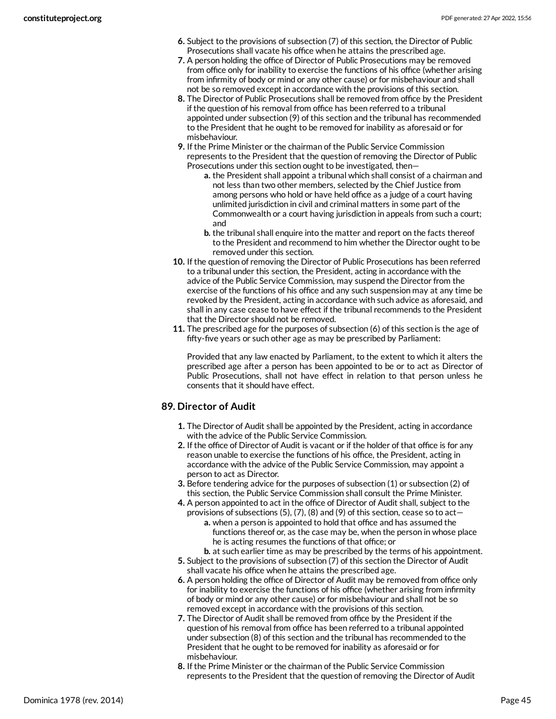- **6.** Subject to the provisions of subsection (7) of this section, the Director of Public Prosecutions shall vacate his office when he attains the prescribed age.
- **7.** A person holding the office of Director of Public Prosecutions may be removed from office only for inability to exercise the functions of his office (whether arising from infirmity of body or mind or any other cause) or for misbehaviour and shall not be so removed except in accordance with the provisions of this section.
- **8.** The Director of Public Prosecutions shall be removed from office by the President if the question of his removal from office has been referred to a tribunal appointed under subsection (9) of this section and the tribunal has recommended to the President that he ought to be removed for inability as aforesaid or for misbehaviour.
- **9.** If the Prime Minister or the chairman of the Public Service Commission represents to the President that the question of removing the Director of Public Prosecutions under this section ought to be investigated, then
	- **a.** the President shall appoint a tribunal which shall consist of a chairman and not less than two other members, selected by the Chief Justice from among persons who hold or have held office as a judge of a court having unlimited jurisdiction in civil and criminal matters in some part of the Commonwealth or a court having jurisdiction in appeals from such a court; and
	- **b.** the tribunal shall enquire into the matter and report on the facts thereof to the President and recommend to him whether the Director ought to be removed under this section.
- **10.** If the question of removing the Director of Public Prosecutions has been referred to a tribunal under this section, the President, acting in accordance with the advice of the Public Service Commission, may suspend the Director from the exercise of the functions of his office and any such suspension may at any time be revoked by the President, acting in accordance with such advice as aforesaid, and shall in any case cease to have effect if the tribunal recommends to the President that the Director should not be removed.
- **11.** The prescribed age for the purposes of subsection (6) of this section is the age of fifty-five years or such other age as may be prescribed by Parliament:

Provided that any law enacted by Parliament, to the extent to which it alters the prescribed age after a person has been appointed to be or to act as Director of Public Prosecutions, shall not have effect in relation to that person unless he consents that it should have effect.

#### **89. Director of Audit**

- **1.** The Director of Audit shall be appointed by the President, acting in accordance with the advice of the Public Service Commission.
- **2.** If the office of Director of Audit is vacant or if the holder of that office is for any reason unable to exercise the functions of his office, the President, acting in accordance with the advice of the Public Service Commission, may appoint a person to act as Director.
- **3.** Before tendering advice for the purposes of subsection (1) or subsection (2) of this section, the Public Service Commission shall consult the Prime Minister.
- **4.** A person appointed to act in the office of Director of Audit shall, subject to the provisions of subsections  $(5)$ ,  $(7)$ ,  $(8)$  and  $(9)$  of this section, cease so to act
	- **a.** when a person is appointed to hold that office and has assumed the functions thereof or, as the case may be, when the person in whose place he is acting resumes the functions of that office; or
- **b.** at such earlier time as may be prescribed by the terms of his appointment. **5.** Subject to the provisions of subsection (7) of this section the Director of Audit
- shall vacate his office when he attains the prescribed age. **6.** A person holding the office of Director of Audit may be removed from office only for inability to exercise the functions of his office (whether arising from infirmity of body or mind or any other cause) or for misbehaviour and shall not be so removed except in accordance with the provisions of this section.
- **7.** The Director of Audit shall be removed from office by the President if the question of his removal from office has been referred to a tribunal appointed under subsection (8) of this section and the tribunal has recommended to the President that he ought to be removed for inability as aforesaid or for misbehaviour.
- **8.** If the Prime Minister or the chairman of the Public Service Commission represents to the President that the question of removing the Director of Audit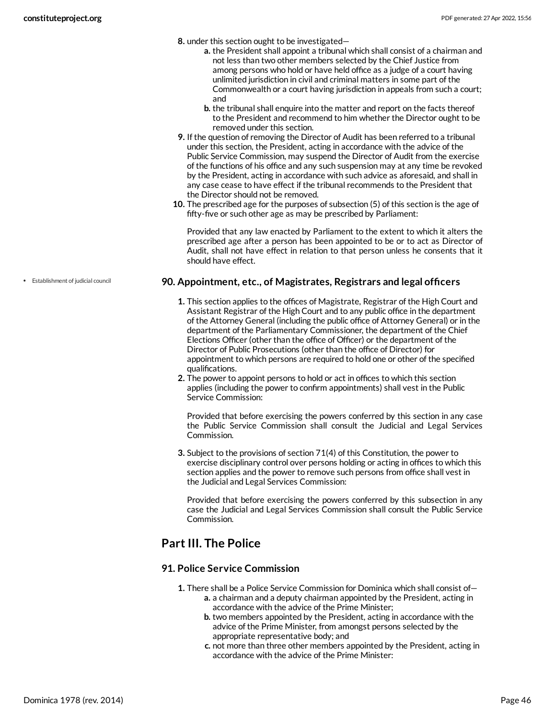- **8.** under this section ought to be investigated
	- **a.** the President shall appoint a tribunal which shall consist of a chairman and not less than two other members selected by the Chief Justice from among persons who hold or have held office as a judge of a court having unlimited jurisdiction in civil and criminal matters in some part of the Commonwealth or a court having jurisdiction in appeals from such a court; and
	- **b.** the tribunal shall enquire into the matter and report on the facts thereof to the President and recommend to him whether the Director ought to be removed under this section.
- **9.** If the question of removing the Director of Audit has been referred to a tribunal under this section, the President, acting in accordance with the advice of the Public Service Commission, may suspend the Director of Audit from the exercise of the functions of his office and any such suspension may at any time be revoked by the President, acting in accordance with such advice as aforesaid, and shall in any case cease to have effect if the tribunal recommends to the President that the Director should not be removed.
- **10.** The prescribed age for the purposes of subsection (5) of this section is the age of fifty-five or such other age as may be prescribed by Parliament:

Provided that any law enacted by Parliament to the extent to which it alters the prescribed age after a person has been appointed to be or to act as Director of Audit, shall not have effect in relation to that person unless he consents that it should have effect.

#### <span id="page-45-1"></span>**90. Appointment, etc., of Magistrates, Registrars and legal officers**

- **1.** This section applies to the offices of Magistrate, Registrar of the High Court and Assistant Registrar of the High Court and to any public office in the department of the Attorney General (including the public office of Attorney General) or in the department of the Parliamentary Commissioner, the department of the Chief Elections Officer (other than the office of Officer) or the department of the Director of Public Prosecutions (other than the office of Director) for appointment to which persons are required to hold one or other of the specified qualifications.
- **2.** The power to appoint persons to hold or act in offices to which this section applies (including the power to confirm appointments) shall vest in the Public Service Commission:

Provided that before exercising the powers conferred by this section in any case the Public Service Commission shall consult the Judicial and Legal Services Commission.

**3.** Subject to the provisions of section 71(4) of this Constitution, the power to exercise disciplinary control over persons holding or acting in offices to which this section applies and the power to remove such persons from office shall vest in the Judicial and Legal Services Commission:

Provided that before exercising the powers conferred by this subsection in any case the Judicial and Legal Services Commission shall consult the Public Service Commission.

### <span id="page-45-0"></span>**Part III. The Police**

#### **91. Police Service Commission**

- **1.** There shall be a Police Service Commission for Dominica which shall consist of
	- **a.** a chairman and a deputy chairman appointed by the President, acting in accordance with the advice of the Prime Minister;
	- **b.** two members appointed by the President, acting in accordance with the advice of the Prime Minister, from amongst persons selected by the appropriate representative body; and
	- **c.** not more than three other members appointed by the President, acting in accordance with the advice of the Prime Minister:

Establishment of judicial council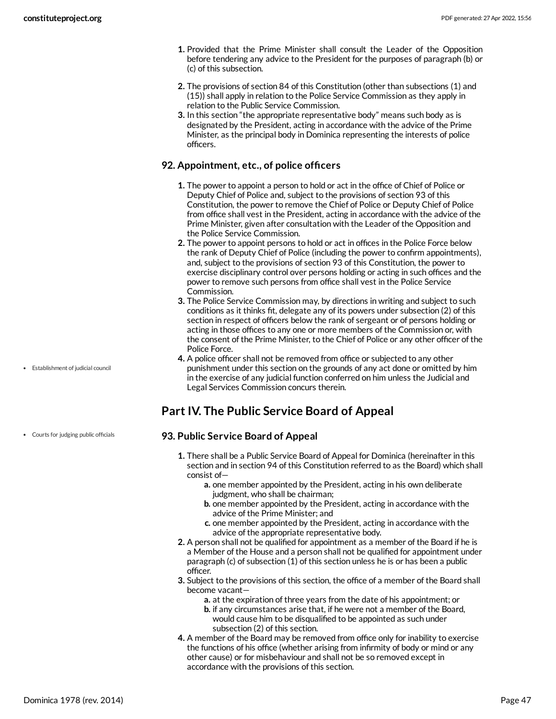- **1.** Provided that the Prime Minister shall consult the Leader of the Opposition before tendering any advice to the President for the purposes of paragraph (b) or (c) of this subsection.
- **2.** The provisions of section 84 of this Constitution (other than subsections (1) and (15)) shall apply in relation to the Police Service Commission as they apply in relation to the Public Service Commission.
- **3.** In this section "the appropriate representative body" means such body as is designated by the President, acting in accordance with the advice of the Prime Minister, as the principal body in Dominica representing the interests of police officers.

#### <span id="page-46-2"></span>**92. Appointment, etc., of police officers**

- **1.** The power to appoint a person to hold or act in the office of Chief of Police or Deputy Chief of Police and, subject to the provisions of section 93 of this Constitution, the power to remove the Chief of Police or Deputy Chief of Police from office shall vest in the President, acting in accordance with the advice of the Prime Minister, given after consultation with the Leader of the Opposition and the Police Service Commission.
- **2.** The power to appoint persons to hold or act in offices in the Police Force below the rank of Deputy Chief of Police (including the power to confirm appointments), and, subject to the provisions of section 93 of this Constitution, the power to exercise disciplinary control over persons holding or acting in such offices and the power to remove such persons from office shall vest in the Police Service Commission.
- **3.** The Police Service Commission may, by directions in writing and subject to such conditions as it thinks fit, delegate any of its powers under subsection (2) of this section in respect of officers below the rank of sergeant or of persons holding or acting in those offices to any one or more members of the Commission or, with the consent of the Prime Minister, to the Chief of Police or any other officer of the Police Force.
- **4.** A police officer shall not be removed from office or subjected to any other punishment under this section on the grounds of any act done or omitted by him in the exercise of any judicial function conferred on him unless the Judicial and Legal Services Commission concurs therein.

### <span id="page-46-0"></span>**Part IV. The Public Service Board of Appeal**

#### <span id="page-46-1"></span>**93. Public Service Board of Appeal**

- **1.** There shall be a Public Service Board of Appeal for Dominica (hereinafter in this section and in section 94 of this Constitution referred to as the Board) which shall consist of
	- **a.** one member appointed by the President, acting in his own deliberate judgment, who shall be chairman;
	- **b.** one member appointed by the President, acting in accordance with the advice of the Prime Minister; and
	- **c.** one member appointed by the President, acting in accordance with the advice of the appropriate representative body.
- **2.** A person shall not be qualified for appointment as a member of the Board if he is a Member of the House and a person shall not be qualified for appointment under paragraph (c) of subsection (1) of this section unless he is or has been a public officer.
- **3.** Subject to the provisions of this section, the office of a member of the Board shall become vacant
	- **a.** at the expiration of three years from the date of his appointment; or
	- **b.** if any circumstances arise that, if he were not a member of the Board, would cause him to be disqualified to be appointed as such under subsection (2) of this section.
- **4.** A member of the Board may be removed from office only for inability to exercise the functions of his office (whether arising from infirmity of body or mind or any other cause) or for misbehaviour and shall not be so removed except in accordance with the provisions of this section.

Establishment of judicial council

Courts for judging public officials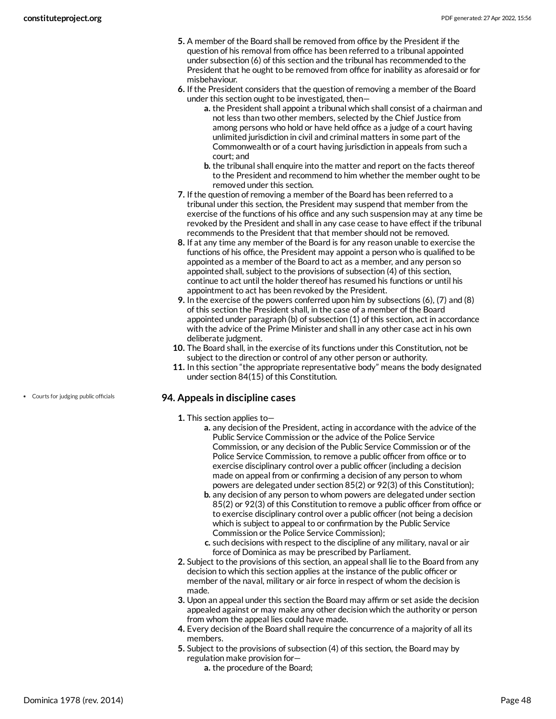- **5.** A member of the Board shall be removed from office by the President if the question of his removal from office has been referred to a tribunal appointed under subsection (6) of this section and the tribunal has recommended to the President that he ought to be removed from office for inability as aforesaid or for misbehaviour.
- **6.** If the President considers that the question of removing a member of the Board under this section ought to be investigated, then
	- **a.** the President shall appoint a tribunal which shall consist of a chairman and not less than two other members, selected by the Chief Justice from among persons who hold or have held office as a judge of a court having unlimited jurisdiction in civil and criminal matters in some part of the Commonwealth or of a court having jurisdiction in appeals from such a court; and
	- **b.** the tribunal shall enquire into the matter and report on the facts thereof to the President and recommend to him whether the member ought to be removed under this section.
- **7.** If the question of removing a member of the Board has been referred to a tribunal under this section, the President may suspend that member from the exercise of the functions of his office and any such suspension may at any time be revoked by the President and shall in any case cease to have effect if the tribunal recommends to the President that that member should not be removed.
- **8.** If at any time any member of the Board is for any reason unable to exercise the functions of his office, the President may appoint a person who is qualified to be appointed as a member of the Board to act as a member, and any person so appointed shall, subject to the provisions of subsection (4) of this section, continue to act until the holder thereof has resumed his functions or until his appointment to act has been revoked by the President.
- **9.** In the exercise of the powers conferred upon him by subsections (6), (7) and (8) of this section the President shall, in the case of a member of the Board appointed under paragraph (b) of subsection (1) of this section, act in accordance with the advice of the Prime Minister and shall in any other case act in his own deliberate judgment.
- **10.** The Board shall, in the exercise of its functions under this Constitution, not be subject to the direction or control of any other person or authority.
- **11.** In this section "the appropriate representative body" means the body designated under section 84(15) of this Constitution.

#### <span id="page-47-0"></span>**94. Appeals in discipline cases**

- **1.** This section applies to
	- **a.** any decision of the President, acting in accordance with the advice of the Public Service Commission or the advice of the Police Service Commission, or any decision of the Public Service Commission or of the Police Service Commission, to remove a public officer from office or to exercise disciplinary control over a public officer (including a decision made on appeal from or confirming a decision of any person to whom powers are delegated under section 85(2) or 92(3) of this Constitution);
	- **b.** any decision of any person to whom powers are delegated under section 85(2) or 92(3) of this Constitution to remove a public officer from office or to exercise disciplinary control over a public officer (not being a decision which is subject to appeal to or confirmation by the Public Service Commission or the Police Service Commission);
	- **c.** such decisions with respect to the discipline of any military, naval or air force of Dominica as may be prescribed by Parliament.
- **2.** Subject to the provisions of this section, an appeal shall lie to the Board from any decision to which this section applies at the instance of the public officer or member of the naval, military or air force in respect of whom the decision is made.
- **3.** Upon an appeal under this section the Board may affirm or set aside the decision appealed against or may make any other decision which the authority or person from whom the appeal lies could have made.
- **4.** Every decision of the Board shall require the concurrence of a majority of all its members.
- **5.** Subject to the provisions of subsection (4) of this section, the Board may by regulation make provision for
	- **a.** the procedure of the Board;

Courts for judging public officials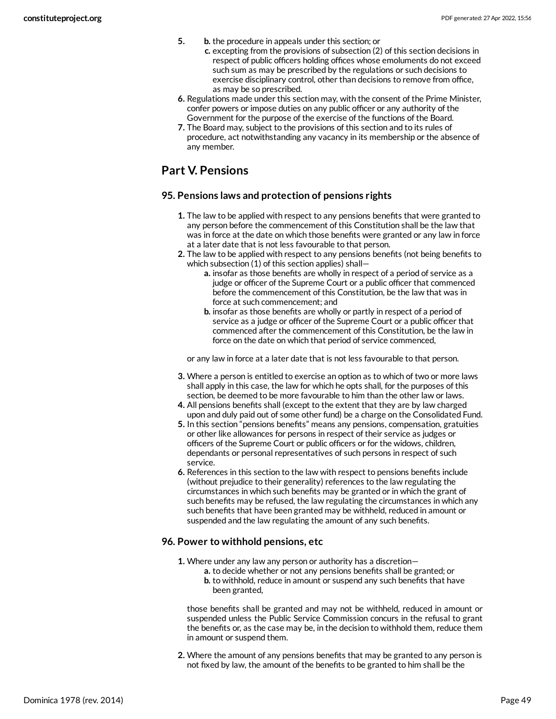- **5. b.** the procedure in appeals under this section; or
	- **c.** excepting from the provisions of subsection (2) of this section decisions in respect of public officers holding offices whose emoluments do not exceed such sum as may be prescribed by the regulations or such decisions to exercise disciplinary control, other than decisions to remove from office, as may be so prescribed.
- **6.** Regulations made under this section may, with the consent of the Prime Minister, confer powers or impose duties on any public officer or any authority of the Government for the purpose of the exercise of the functions of the Board.
- **7.** The Board may, subject to the provisions of this section and to its rules of procedure, act notwithstanding any vacancy in its membership or the absence of any member.

#### <span id="page-48-0"></span>**Part V. Pensions**

#### **95. Pensions laws and protection of pensions rights**

- **1.** The law to be applied with respect to any pensions benefits that were granted to any person before the commencement of this Constitution shall be the law that was in force at the date on which those benefits were granted or any law in force at a later date that is not less favourable to that person.
- **2.** The law to be applied with respect to any pensions benefits (not being benefits to which subsection (1) of this section applies) shall
	- **a.** insofar as those benefits are wholly in respect of a period of service as a judge or officer of the Supreme Court or a public officer that commenced before the commencement of this Constitution, be the law that was in force at such commencement; and
	- **b.** insofar as those benefits are wholly or partly in respect of a period of service as a judge or officer of the Supreme Court or a public officer that commenced after the commencement of this Constitution, be the law in force on the date on which that period of service commenced,

or any law in force at a later date that is not less favourable to that person.

- **3.** Where a person is entitled to exercise an option as to which of two or more laws shall apply in this case, the law for which he opts shall, for the purposes of this section, be deemed to be more favourable to him than the other law or laws.
- **4.** All pensions benefits shall (except to the extent that they are by law charged upon and duly paid out of some other fund) be a charge on the Consolidated Fund.
- **5.** In this section "pensions benefits" means any pensions, compensation, gratuities or other like allowances for persons in respect of their service as judges or officers of the Supreme Court or public officers or for the widows, children, dependants or personal representatives of such persons in respect of such service.
- **6.** References in this section to the law with respect to pensions benefits include (without prejudice to their generality) references to the law regulating the circumstances in which such benefits may be granted or in which the grant of such benefits may be refused, the law regulating the circumstances in which any such benefits that have been granted may be withheld, reduced in amount or suspended and the law regulating the amount of any such benefits.

#### <span id="page-48-1"></span>**96. Power to withhold pensions, etc**

- **1.** Where under any law any person or authority has a discretion
	- **a.** to decide whether or not any pensions benefits shall be granted; or **b.** to withhold, reduce in amount or suspend any such benefits that have been granted,

those benefits shall be granted and may not be withheld, reduced in amount or suspended unless the Public Service Commission concurs in the refusal to grant the benefits or, as the case may be, in the decision to withhold them, reduce them in amount or suspend them.

**2.** Where the amount of any pensions benefits that may be granted to any person is not fixed by law, the amount of the benefits to be granted to him shall be the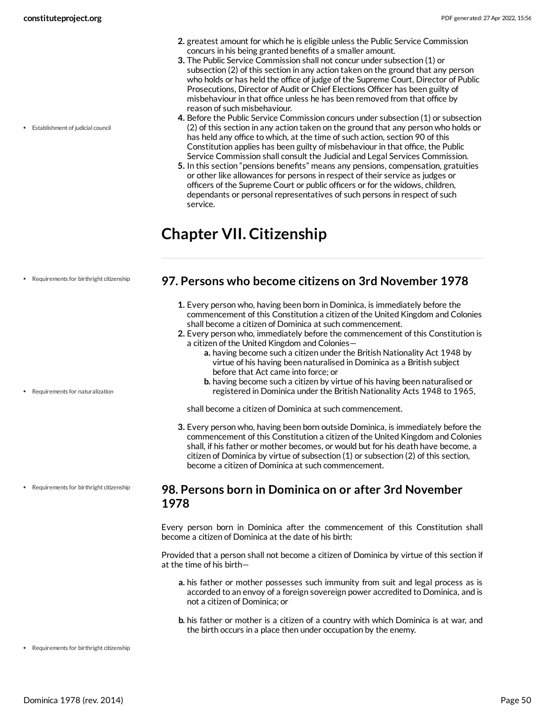Establishment of judicial council

- **2.** greatest amount for which he is eligible unless the Public Service Commission concurs in his being granted benefits of a smaller amount.
- **3.** The Public Service Commission shall not concur under subsection (1) or subsection (2) of this section in any action taken on the ground that any person who holds or has held the office of judge of the Supreme Court, Director of Public Prosecutions, Director of Audit or Chief Elections Officer has been guilty of misbehaviour in that office unless he has been removed from that office by reason of such misbehaviour.
- **4.** Before the Public Service Commission concurs under subsection (1) or subsection (2) of this section in any action taken on the ground that any person who holds or has held any office to which, at the time of such action, section 90 of this Constitution applies has been guilty of misbehaviour in that office, the Public Service Commission shall consult the Judicial and Legal Services Commission.
- **5.** In this section "pensions benefits" means any pensions, compensation, gratuities or other like allowances for persons in respect of their service as judges or officers of the Supreme Court or public officers or for the widows, children, dependants or personal representatives of such persons in respect of such service.

<span id="page-49-1"></span>**97. Persons who become citizens on 3rd November 1978**

# <span id="page-49-0"></span>**Chapter VII. Citizenship**

| 1. Every person who, having been born in Dominica, is immediately before the<br>commencement of this Constitution a citizen of the United Kingdom and Colonies<br>shall become a citizen of Dominica at such commencement.        |
|-----------------------------------------------------------------------------------------------------------------------------------------------------------------------------------------------------------------------------------|
| 2. Every person who, immediately before the commencement of this Constitution is<br>a citizen of the United Kingdom and Colonies-                                                                                                 |
| a. having become such a citizen under the British Nationality Act 1948 by                                                                                                                                                         |
| virtue of his having been naturalised in Dominica as a British subject                                                                                                                                                            |
| before that Act came into force; or<br><b>b.</b> having become such a citizen by virtue of his having been naturalised or                                                                                                         |
| $\mathbf{r}$ . The contract of the contract of the contract of the contract of the contract of the contract of the contract of the contract of the contract of the contract of the contract of the contract of the contract of th |

registered in Dominica under the British Nationality Acts 1948 to 1965,

shall become a citizen of Dominica at such commencement.

**3.** Every person who, having been born outside Dominica, is immediately before the commencement of this Constitution a citizen of the United Kingdom and Colonies shall, if his father or mother becomes, or would but for his death have become, a citizen of Dominica by virtue of subsection (1) or subsection (2) of this section, become a citizen of Dominica at such commencement.

#### <span id="page-49-2"></span>**98. Persons born in Dominica on or after 3rd November 1978**

Every person born in Dominica after the commencement of this Constitution shall become a citizen of Dominica at the date of his birth:

Provided that a person shall not become a citizen of Dominica by virtue of this section if at the time of his birth—

- **a.** his father or mother possesses such immunity from suit and legal process as is accorded to an envoy of a foreign sovereign power accredited to Dominica, and is not a citizen of Dominica; or
- **b.** his father or mother is a citizen of a country with which Dominica is at war, and the birth occurs in a place then under occupation by the enemy.

Requirements for birthright citizenship

Requirements for birthright citizenship

• Requirements for naturalization

Requirements for birthright citizenship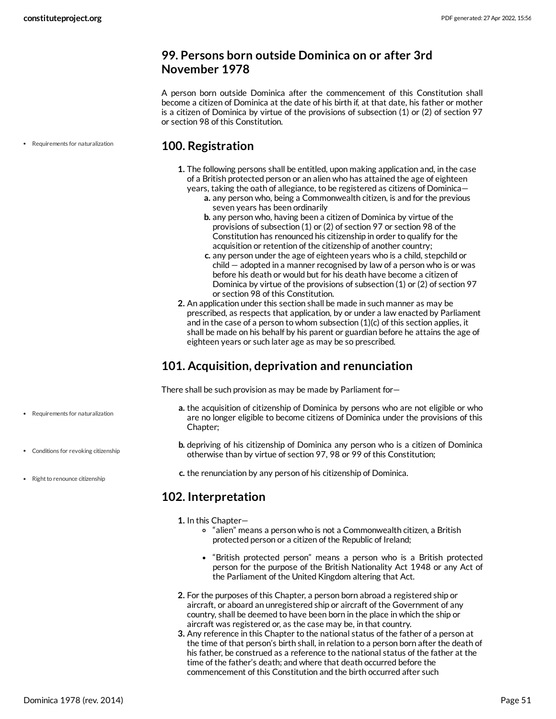#### <span id="page-50-0"></span>**99. Persons born outside Dominica on or after 3rd November 1978**

A person born outside Dominica after the commencement of this Constitution shall become a citizen of Dominica at the date of his birth if, at that date, his father or mother is a citizen of Dominica by virtue of the provisions of subsection (1) or (2) of section 97 or section 98 of this Constitution.

Requirements for naturalization

#### <span id="page-50-1"></span>**100. Registration**

- **1.** The following persons shall be entitled, upon making application and, in the case of a British protected person or an alien who has attained the age of eighteen years, taking the oath of allegiance, to be registered as citizens of Dominica
	- **a.** any person who, being a Commonwealth citizen, is and for the previous seven years has been ordinarily
	- **b.** any person who, having been a citizen of Dominica by virtue of the provisions of subsection (1) or (2) of section 97 or section 98 of the Constitution has renounced his citizenship in order to qualify for the acquisition or retention of the citizenship of another country;
	- **c.** any person under the age of eighteen years who is a child, stepchild or child — adopted in a manner recognised by law of a person who is or was before his death or would but for his death have become a citizen of Dominica by virtue of the provisions of subsection (1) or (2) of section 97 or section 98 of this Constitution.
- **2.** An application under this section shall be made in such manner as may be prescribed, as respects that application, by or under a law enacted by Parliament and in the case of a person to whom subsection (1)(c) of this section applies, it shall be made on his behalf by his parent or guardian before he attains the age of eighteen years or such later age as may be so prescribed.

### <span id="page-50-2"></span>**101. Acquisition, deprivation and renunciation**

<span id="page-50-4"></span>There shall be such provision as may be made by Parliament for—

- **a.** the acquisition of citizenship of Dominica by persons who are not eligible or who are no longer eligible to become citizens of Dominica under the provisions of this Chapter;
- **b.** depriving of his citizenship of Dominica any person who is a citizen of Dominica otherwise than by virtue of section 97, 98 or 99 of this Constitution;
- **c.** the renunciation by any person of his citizenship of Dominica.

#### <span id="page-50-3"></span>**102. Interpretation**

- **1.** In this Chapter—
	- "alien" means a person who is not a Commonwealth citizen, a British protected person or a citizen of the Republic of Ireland;
	- "British protected person" means a person who is a British protected person for the purpose of the British Nationality Act 1948 or any Act of the Parliament of the United Kingdom altering that Act.
- **2.** For the purposes of this Chapter, a person born abroad a registered ship or aircraft, or aboard an unregistered ship or aircraft of the Government of any country, shall be deemed to have been born in the place in which the ship or aircraft was registered or, as the case may be, in that country.
- **3.** Any reference in this Chapter to the national status of the father of a person at the time of that person's birth shall, in relation to a person born after the death of his father, be construed as a reference to the national status of the father at the time of the father's death; and where that death occurred before the commencement of this Constitution and the birth occurred after such

• Requirements for naturalization

- Conditions for revoking citizenship
- Right to renounce citizenship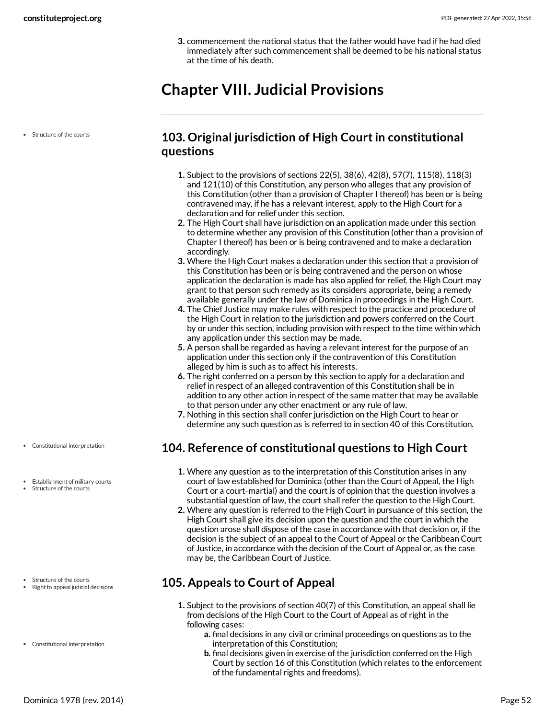**3.** commencement the national status that the father would have had if he had died immediately after such commencement shall be deemed to be his national status at the time of his death.

# <span id="page-51-0"></span>**Chapter VIII. Judicial Provisions**

• Structure of the courts

#### <span id="page-51-1"></span>**103. Original jurisdiction of High Court in constitutional questions**

- **1.** Subject to the provisions of sections 22(5), 38(6), 42(8), 57(7), 115(8), 118(3) and 121(10) of this Constitution, any person who alleges that any provision of this Constitution (other than a provision of Chapter I thereof) has been or is being contravened may, if he has a relevant interest, apply to the High Court for a declaration and for relief under this section.
- **2.** The High Court shall have jurisdiction on an application made under this section to determine whether any provision of this Constitution (other than a provision of Chapter I thereof) has been or is being contravened and to make a declaration accordingly.
- **3.** Where the High Court makes a declaration under this section that a provision of this Constitution has been or is being contravened and the person on whose application the declaration is made has also applied for relief, the High Court may grant to that person such remedy as its considers appropriate, being a remedy available generally under the law of Dominica in proceedings in the High Court.
- **4.** The Chief Justice may make rules with respect to the practice and procedure of the High Court in relation to the jurisdiction and powers conferred on the Court by or under this section, including provision with respect to the time within which any application under this section may be made.
- **5.** A person shall be regarded as having a relevant interest for the purpose of an application under this section only if the contravention of this Constitution alleged by him is such as to affect his interests.
- **6.** The right conferred on a person by this section to apply for a declaration and relief in respect of an alleged contravention of this Constitution shall be in addition to any other action in respect of the same matter that may be available to that person under any other enactment or any rule of law.
- **7.** Nothing in this section shall confer jurisdiction on the High Court to hear or determine any such question as is referred to in section 40 of this Constitution.

### <span id="page-51-2"></span>**104. Reference of constitutional questions to High Court**

- **1.** Where any question as to the interpretation of this Constitution arises in any court of law established for Dominica (other than the Court of Appeal, the High Court or a court-martial) and the court is of opinion that the question involves a substantial question of law, the court shall refer the question to the High Court.
- **2.** Where any question is referred to the High Court in pursuance of this section, the High Court shall give its decision upon the question and the court in which the question arose shall dispose of the case in accordance with that decision or, if the decision is the subject of an appeal to the Court of Appeal or the Caribbean Court of Justice, in accordance with the decision of the Court of Appeal or, as the case may be, the Caribbean Court of Justice.

### <span id="page-51-3"></span>**105. Appeals to Court of Appeal**

- **1.** Subject to the provisions of section 40(7) of this Constitution, an appeal shall lie from decisions of the High Court to the Court of Appeal as of right in the following cases:
	- **a.** final decisions in any civil or criminal proceedings on questions as to the interpretation of this Constitution;
	- **b.** final decisions given in exercise of the jurisdiction conferred on the High Court by section 16 of this Constitution (which relates to the enforcement of the fundamental rights and freedoms).
- Constitutional interpretation
- Establishment of military courts
- Structure of the courts

- Structure of the courts
- Right to appeal judicial decisions
- Constitutional interpretation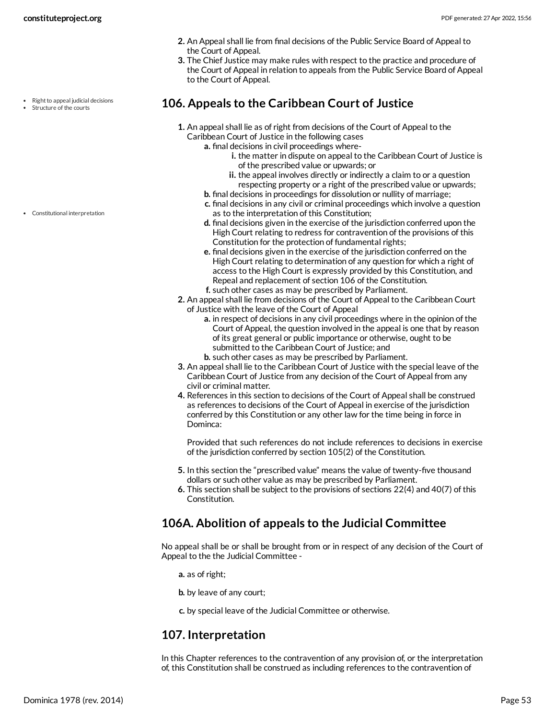- Right to appeal judicial decisions
- Structure of the courts

Constitutional interpretation

- **2.** An Appeal shall lie from final decisions of the Public Service Board of Appeal to the Court of Appeal.
- **3.** The Chief Justice may make rules with respect to the practice and procedure of the Court of Appeal in relation to appeals from the Public Service Board of Appeal to the Court of Appeal.

#### <span id="page-52-0"></span>**106. Appeals to the Caribbean Court of Justice**

- **1.** An appeal shall lie as of right from decisions of the Court of Appeal to the Caribbean Court of Justice in the following cases
	- **a.** final decisions in civil proceedings where
		- **i.** the matter in dispute on appeal to the Caribbean Court of Justice is of the prescribed value or upwards; or
		- **ii.** the appeal involves directly or indirectly a claim to or a question respecting property or a right of the prescribed value or upwards;
	- **b.** final decisions in proceedings for dissolution or nullity of marriage;
	- **c.** final decisions in any civil or criminal proceedings which involve a question as to the interpretation of this Constitution;
	- **d.** final decisions given in the exercise of the jurisdiction conferred upon the High Court relating to redress for contravention of the provisions of this Constitution for the protection of fundamental rights;
	- **e.** final decisions given in the exercise of the jurisdiction conferred on the High Court relating to determination of any question for which a right of access to the High Court is expressly provided by this Constitution, and Repeal and replacement of section 106 of the Constitution.
	- **f.** such other cases as may be prescribed by Parliament.
- **2.** An appeal shall lie from decisions of the Court of Appeal to the Caribbean Court of Justice with the leave of the Court of Appeal
	- **a.** in respect of decisions in any civil proceedings where in the opinion of the Court of Appeal, the question involved in the appeal is one that by reason of its great general or public importance or otherwise, ought to be submitted to the Caribbean Court of Justice; and
	- **b.** such other cases as may be prescribed by Parliament.
- **3.** An appeal shall lie to the Caribbean Court of Justice with the special leave of the Caribbean Court of Justice from any decision of the Court of Appeal from any civil or criminal matter.
- **4.** References in this section to decisions of the Court of Appeal shall be construed as references to decisions of the Court of Appeal in exercise of the jurisdiction conferred by this Constitution or any other law for the time being in force in Dominca:

Provided that such references do not include references to decisions in exercise of the jurisdiction conferred by section 105(2) of the Constitution.

- **5.** In this section the "prescribed value" means the value of twenty-five thousand dollars or such other value as may be prescribed by Parliament.
- **6.** This section shall be subject to the provisions of sections 22(4) and 40(7) of this Constitution.

### <span id="page-52-1"></span>**106A. Abolition of appeals to the Judicial Committee**

No appeal shall be or shall be brought from or in respect of any decision of the Court of Appeal to the the Judicial Committee -

- **a.** as of right;
- **b.** by leave of any court;
- **c.** by special leave of the Judicial Committee or otherwise.

### <span id="page-52-2"></span>**107. Interpretation**

In this Chapter references to the contravention of any provision of, or the interpretation of, this Constitution shall be construed as including references to the contravention of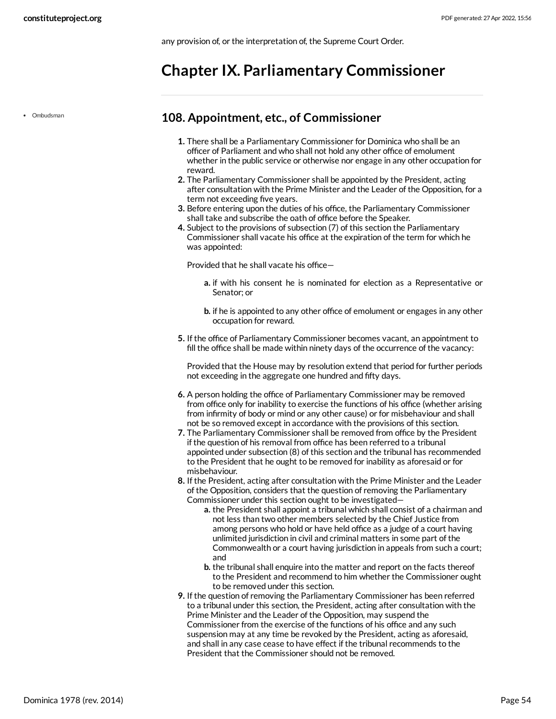any provision of, or the interpretation of, the Supreme Court Order.

# <span id="page-53-0"></span>**Chapter IX. Parliamentary Commissioner**

Ombudsman

#### <span id="page-53-1"></span>**108. Appointment, etc., of Commissioner**

- **1.** There shall be a Parliamentary Commissioner for Dominica who shall be an officer of Parliament and who shall not hold any other office of emolument whether in the public service or otherwise nor engage in any other occupation for reward.
- **2.** The Parliamentary Commissioner shall be appointed by the President, acting after consultation with the Prime Minister and the Leader of the Opposition, for a term not exceeding five years.
- **3.** Before entering upon the duties of his office, the Parliamentary Commissioner shall take and subscribe the oath of office before the Speaker.
- **4.** Subject to the provisions of subsection (7) of this section the Parliamentary Commissioner shall vacate his office at the expiration of the term for which he was appointed:

Provided that he shall vacate his office—

- **a.** if with his consent he is nominated for election as a Representative or Senator; or
- **b.** if he is appointed to any other office of emolument or engages in any other occupation for reward.
- **5.** If the office of Parliamentary Commissioner becomes vacant, an appointment to fill the office shall be made within ninety days of the occurrence of the vacancy:

Provided that the House may by resolution extend that period for further periods not exceeding in the aggregate one hundred and fifty days.

- **6.** A person holding the office of Parliamentary Commissioner may be removed from office only for inability to exercise the functions of his office (whether arising from infirmity of body or mind or any other cause) or for misbehaviour and shall not be so removed except in accordance with the provisions of this section.
- **7.** The Parliamentary Commissioner shall be removed from office by the President if the question of his removal from office has been referred to a tribunal appointed under subsection (8) of this section and the tribunal has recommended to the President that he ought to be removed for inability as aforesaid or for misbehaviour.
- **8.** If the President, acting after consultation with the Prime Minister and the Leader of the Opposition, considers that the question of removing the Parliamentary Commissioner under this section ought to be investigated
	- **a.** the President shall appoint a tribunal which shall consist of a chairman and not less than two other members selected by the Chief Justice from among persons who hold or have held office as a judge of a court having unlimited jurisdiction in civil and criminal matters in some part of the Commonwealth or a court having jurisdiction in appeals from such a court; and
	- **b.** the tribunal shall enquire into the matter and report on the facts thereof to the President and recommend to him whether the Commissioner ought to be removed under this section.
- **9.** If the question of removing the Parliamentary Commissioner has been referred to a tribunal under this section, the President, acting after consultation with the Prime Minister and the Leader of the Opposition, may suspend the Commissioner from the exercise of the functions of his office and any such suspension may at any time be revoked by the President, acting as aforesaid, and shall in any case cease to have effect if the tribunal recommends to the President that the Commissioner should not be removed.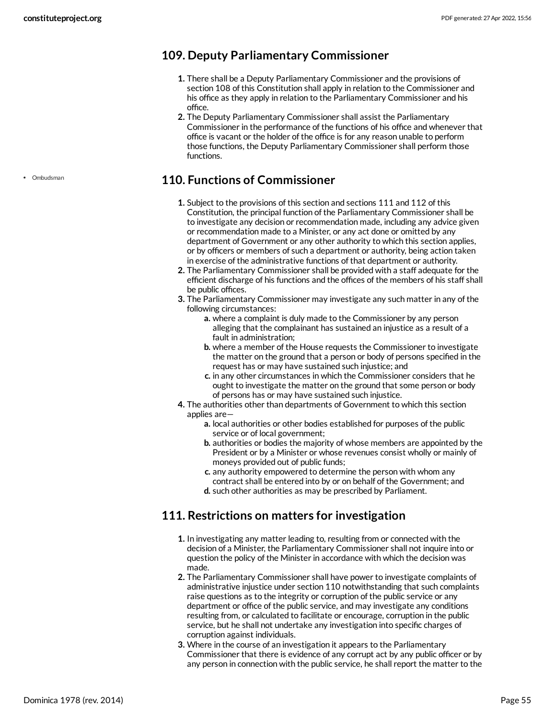• Ombudsman

#### <span id="page-54-0"></span>**109. Deputy Parliamentary Commissioner**

- **1.** There shall be a Deputy Parliamentary Commissioner and the provisions of section 108 of this Constitution shall apply in relation to the Commissioner and his office as they apply in relation to the Parliamentary Commissioner and his office.
- **2.** The Deputy Parliamentary Commissioner shall assist the Parliamentary Commissioner in the performance of the functions of his office and whenever that office is vacant or the holder of the office is for any reason unable to perform those functions, the Deputy Parliamentary Commissioner shall perform those functions.

#### <span id="page-54-1"></span>**110. Functions of Commissioner**

- **1.** Subject to the provisions of this section and sections 111 and 112 of this Constitution, the principal function of the Parliamentary Commissioner shall be to investigate any decision or recommendation made, including any advice given or recommendation made to a Minister, or any act done or omitted by any department of Government or any other authority to which this section applies, or by officers or members of such a department or authority, being action taken in exercise of the administrative functions of that department or authority.
- **2.** The Parliamentary Commissioner shall be provided with a staff adequate for the efficient discharge of his functions and the offices of the members of his staff shall be public offices.
- **3.** The Parliamentary Commissioner may investigate any such matter in any of the following circumstances:
	- **a.** where a complaint is duly made to the Commissioner by any person alleging that the complainant has sustained an injustice as a result of a fault in administration;
	- **b.** where a member of the House requests the Commissioner to investigate the matter on the ground that a person or body of persons specified in the request has or may have sustained such injustice; and
	- **c.** in any other circumstances in which the Commissioner considers that he ought to investigate the matter on the ground that some person or body of persons has or may have sustained such injustice.
- **4.** The authorities other than departments of Government to which this section applies are
	- **a.** local authorities or other bodies established for purposes of the public service or of local government;
	- **b.** authorities or bodies the majority of whose members are appointed by the President or by a Minister or whose revenues consist wholly or mainly of moneys provided out of public funds;
	- **c.** any authority empowered to determine the person with whom any contract shall be entered into by or on behalf of the Government; and
	- **d.** such other authorities as may be prescribed by Parliament.

### <span id="page-54-2"></span>**111. Restrictions on matters for investigation**

- **1.** In investigating any matter leading to, resulting from or connected with the decision of a Minister, the Parliamentary Commissioner shall not inquire into or question the policy of the Minister in accordance with which the decision was made.
- **2.** The Parliamentary Commissioner shall have power to investigate complaints of administrative injustice under section 110 notwithstanding that such complaints raise questions as to the integrity or corruption of the public service or any department or office of the public service, and may investigate any conditions resulting from, or calculated to facilitate or encourage, corruption in the public service, but he shall not undertake any investigation into specific charges of corruption against individuals.
- **3.** Where in the course of an investigation it appears to the Parliamentary Commissioner that there is evidence of any corrupt act by any public officer or by any person in connection with the public service, he shall report the matter to the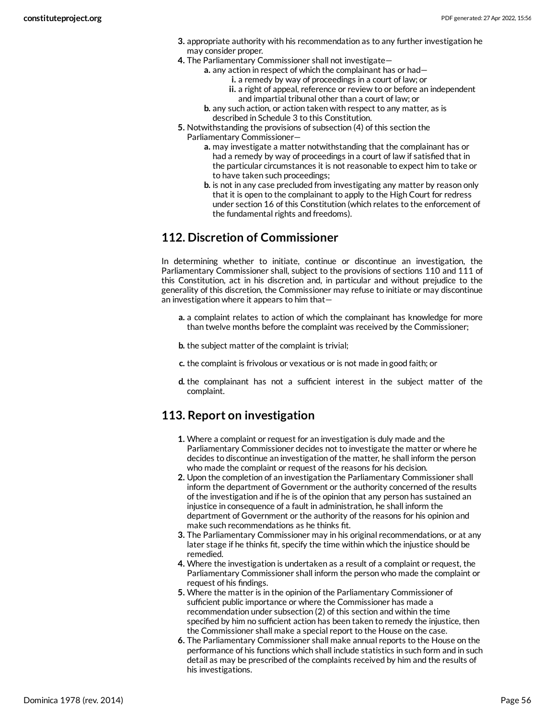- **3.** appropriate authority with his recommendation as to any further investigation he may consider proper.
- **4.** The Parliamentary Commissioner shall not investigate
	- **a.** any action in respect of which the complainant has or had **i.** a remedy by way of proceedings in a court of law; or
		- **ii.** a right of appeal, reference or review to or before an independent and impartial tribunal other than a court of law; or
	- **b.** any such action, or action taken with respect to any matter, as is described in Schedule 3 to this Constitution.
- **5.** Notwithstanding the provisions of subsection (4) of this section the Parliamentary Commissioner
	- **a.** may investigate a matter notwithstanding that the complainant has or had a remedy by way of proceedings in a court of law if satisfied that in the particular circumstances it is not reasonable to expect him to take or to have taken such proceedings;
	- **b.** is not in any case precluded from investigating any matter by reason only that it is open to the complainant to apply to the High Court for redress under section 16 of this Constitution (which relates to the enforcement of the fundamental rights and freedoms).

### <span id="page-55-0"></span>**112. Discretion of Commissioner**

In determining whether to initiate, continue or discontinue an investigation, the Parliamentary Commissioner shall, subject to the provisions of sections 110 and 111 of this Constitution, act in his discretion and, in particular and without prejudice to the generality of this discretion, the Commissioner may refuse to initiate or may discontinue an investigation where it appears to him that—

- **a.** a complaint relates to action of which the complainant has knowledge for more than twelve months before the complaint was received by the Commissioner;
- **b.** the subject matter of the complaint is trivial;
- **c.** the complaint is frivolous or vexatious or is not made in good faith; or
- **d.** the complainant has not a sufficient interest in the subject matter of the complaint.

### <span id="page-55-1"></span>**113. Report on investigation**

- **1.** Where a complaint or request for an investigation is duly made and the Parliamentary Commissioner decides not to investigate the matter or where he decides to discontinue an investigation of the matter, he shall inform the person who made the complaint or request of the reasons for his decision.
- **2.** Upon the completion of an investigation the Parliamentary Commissioner shall inform the department of Government or the authority concerned of the results of the investigation and if he is of the opinion that any person has sustained an injustice in consequence of a fault in administration, he shall inform the department of Government or the authority of the reasons for his opinion and make such recommendations as he thinks fit.
- **3.** The Parliamentary Commissioner may in his original recommendations, or at any later stage if he thinks fit, specify the time within which the injustice should be remedied.
- **4.** Where the investigation is undertaken as a result of a complaint or request, the Parliamentary Commissioner shall inform the person who made the complaint or request of his findings.
- **5.** Where the matter is in the opinion of the Parliamentary Commissioner of sufficient public importance or where the Commissioner has made a recommendation under subsection (2) of this section and within the time specified by him no sufficient action has been taken to remedy the injustice, then the Commissioner shall make a special report to the House on the case.
- **6.** The Parliamentary Commissioner shall make annual reports to the House on the performance of his functions which shall include statistics in such form and in such detail as may be prescribed of the complaints received by him and the results of his investigations.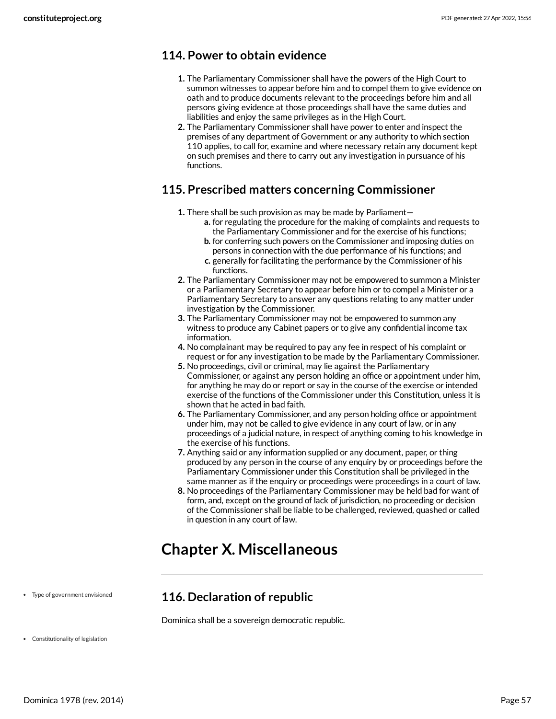### <span id="page-56-0"></span>**114. Power to obtain evidence**

- **1.** The Parliamentary Commissioner shall have the powers of the High Court to summon witnesses to appear before him and to compel them to give evidence on oath and to produce documents relevant to the proceedings before him and all persons giving evidence at those proceedings shall have the same duties and liabilities and enjoy the same privileges as in the High Court.
- **2.** The Parliamentary Commissioner shall have power to enter and inspect the premises of any department of Government or any authority to which section 110 applies, to call for, examine and where necessary retain any document kept on such premises and there to carry out any investigation in pursuance of his functions.

#### <span id="page-56-1"></span>**115. Prescribed matters concerning Commissioner**

- **1.** There shall be such provision as may be made by Parliament
	- **a.** for regulating the procedure for the making of complaints and requests to the Parliamentary Commissioner and for the exercise of his functions;
	- **b.** for conferring such powers on the Commissioner and imposing duties on persons in connection with the due performance of his functions; and
	- **c.** generally for facilitating the performance by the Commissioner of his functions.
- **2.** The Parliamentary Commissioner may not be empowered to summon a Minister or a Parliamentary Secretary to appear before him or to compel a Minister or a Parliamentary Secretary to answer any questions relating to any matter under investigation by the Commissioner.
- **3.** The Parliamentary Commissioner may not be empowered to summon any witness to produce any Cabinet papers or to give any confidential income tax information.
- **4.** No complainant may be required to pay any fee in respect of his complaint or request or for any investigation to be made by the Parliamentary Commissioner.
- **5.** No proceedings, civil or criminal, may lie against the Parliamentary Commissioner, or against any person holding an office or appointment under him, for anything he may do or report or say in the course of the exercise or intended exercise of the functions of the Commissioner under this Constitution, unless it is shown that he acted in bad faith.
- **6.** The Parliamentary Commissioner, and any person holding office or appointment under him, may not be called to give evidence in any court of law, or in any proceedings of a judicial nature, in respect of anything coming to his knowledge in the exercise of his functions.
- **7.** Anything said or any information supplied or any document, paper, or thing produced by any person in the course of any enquiry by or proceedings before the Parliamentary Commissioner under this Constitution shall be privileged in the same manner as if the enquiry or proceedings were proceedings in a court of law.
- **8.** No proceedings of the Parliamentary Commissioner may be held bad for want of form, and, except on the ground of lack of jurisdiction, no proceeding or decision of the Commissioner shall be liable to be challenged, reviewed, quashed or called in question in any court of law.

# <span id="page-56-2"></span>**Chapter X. Miscellaneous**

Type of government envisioned

#### <span id="page-56-3"></span>**116. Declaration of republic**

<span id="page-56-4"></span>Dominica shall be a sovereign democratic republic.

Constitutionality of legislation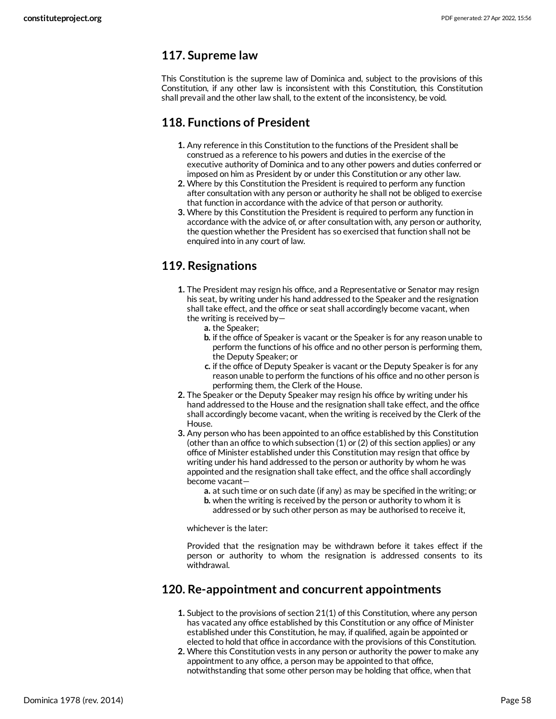### <span id="page-57-0"></span>**117. Supreme law**

This Constitution is the supreme law of Dominica and, subject to the provisions of this Constitution, if any other law is inconsistent with this Constitution, this Constitution shall prevail and the other law shall, to the extent of the inconsistency, be void.

### <span id="page-57-1"></span>**118. Functions of President**

- **1.** Any reference in this Constitution to the functions of the President shall be construed as a reference to his powers and duties in the exercise of the executive authority of Dominica and to any other powers and duties conferred or imposed on him as President by or under this Constitution or any other law.
- **2.** Where by this Constitution the President is required to perform any function after consultation with any person or authority he shall not be obliged to exercise that function in accordance with the advice of that person or authority.
- **3.** Where by this Constitution the President is required to perform any function in accordance with the advice of, or after consultation with, any person or authority, the question whether the President has so exercised that function shall not be enquired into in any court of law.

### <span id="page-57-2"></span>**119. Resignations**

- **1.** The President may resign his office, and a Representative or Senator may resign his seat, by writing under his hand addressed to the Speaker and the resignation shall take effect, and the office or seat shall accordingly become vacant, when the writing is received by
	- **a.** the Speaker;
	- **b.** if the office of Speaker is vacant or the Speaker is for any reason unable to perform the functions of his office and no other person is performing them, the Deputy Speaker; or
	- **c.** if the office of Deputy Speaker is vacant or the Deputy Speaker is for any reason unable to perform the functions of his office and no other person is performing them, the Clerk of the House.
- **2.** The Speaker or the Deputy Speaker may resign his office by writing under his hand addressed to the House and the resignation shall take effect, and the office shall accordingly become vacant, when the writing is received by the Clerk of the House.
- **3.** Any person who has been appointed to an office established by this Constitution (other than an office to which subsection (1) or (2) of this section applies) or any office of Minister established under this Constitution may resign that office by writing under his hand addressed to the person or authority by whom he was appointed and the resignation shall take effect, and the office shall accordingly become vacant
	- **a.** at such time or on such date (if any) as may be specified in the writing; or **b.** when the writing is received by the person or authority to whom it is
		- addressed or by such other person as may be authorised to receive it,

whichever is the later:

Provided that the resignation may be withdrawn before it takes effect if the person or authority to whom the resignation is addressed consents to its withdrawal.

### <span id="page-57-3"></span>**120. Re-appointment and concurrent appointments**

- **1.** Subject to the provisions of section 21(1) of this Constitution, where any person has vacated any office established by this Constitution or any office of Minister established under this Constitution, he may, if qualified, again be appointed or elected to hold that office in accordance with the provisions of this Constitution.
- **2.** Where this Constitution vests in any person or authority the power to make any appointment to any office, a person may be appointed to that office, notwithstanding that some other person may be holding that office, when that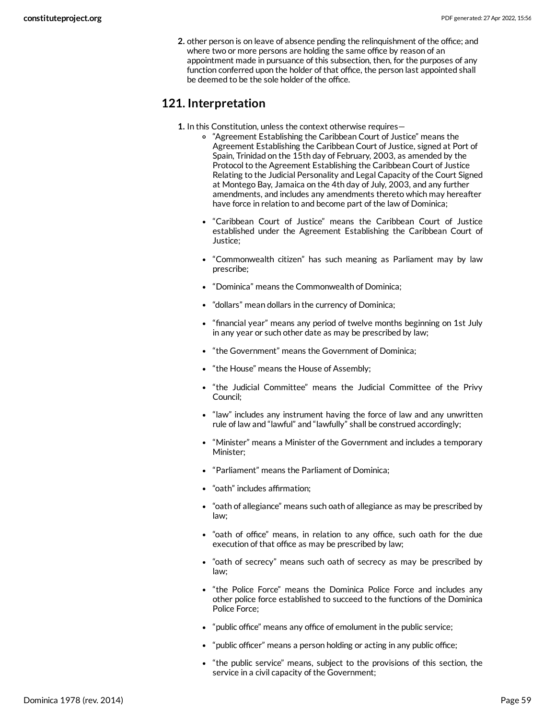**2.** other person is on leave of absence pending the relinquishment of the office; and where two or more persons are holding the same office by reason of an appointment made in pursuance of this subsection, then, for the purposes of any function conferred upon the holder of that office, the person last appointed shall be deemed to be the sole holder of the office.

### <span id="page-58-0"></span>**121. Interpretation**

- **1.** In this Constitution, unless the context otherwise requires—
	- "Agreement Establishing the Caribbean Court of Justice" means the Agreement Establishing the Caribbean Court of Justice, signed at Port of Spain, Trinidad on the 15th day of February, 2003, as amended by the Protocol to the Agreement Establishing the Caribbean Court of Justice Relating to the Judicial Personality and Legal Capacity of the Court Signed at Montego Bay, Jamaica on the 4th day of July, 2003, and any further amendments, and includes any amendments thereto which may hereafter have force in relation to and become part of the law of Dominica;
	- "Caribbean Court of Justice" means the Caribbean Court of Justice established under the Agreement Establishing the Caribbean Court of Justice;
	- "Commonwealth citizen" has such meaning as Parliament may by law prescribe;
	- "Dominica" means the Commonwealth of Dominica;
	- "dollars" mean dollars in the currency of Dominica;
	- "financial year" means any period of twelve months beginning on 1st July in any year or such other date as may be prescribed by law;
	- "the Government" means the Government of Dominica;
	- "the House" means the House of Assembly;
	- "the Judicial Committee" means the Judicial Committee of the Privy Council;
	- "law" includes any instrument having the force of law and any unwritten rule of law and "lawful" and "lawfully" shall be construed accordingly;
	- "Minister" means a Minister of the Government and includes a temporary Minister;
	- "Parliament" means the Parliament of Dominica;
	- "oath" includes affirmation;
	- "oath of allegiance" means such oath of allegiance as may be prescribed by law;
	- "oath of office" means, in relation to any office, such oath for the due execution of that office as may be prescribed by law;
	- "oath of secrecy" means such oath of secrecy as may be prescribed by law;
	- "the Police Force" means the Dominica Police Force and includes any other police force established to succeed to the functions of the Dominica Police Force;
	- "public office" means any office of emolument in the public service;
	- "public officer" means a person holding or acting in any public office;
	- "the public service" means, subject to the provisions of this section, the service in a civil capacity of the Government;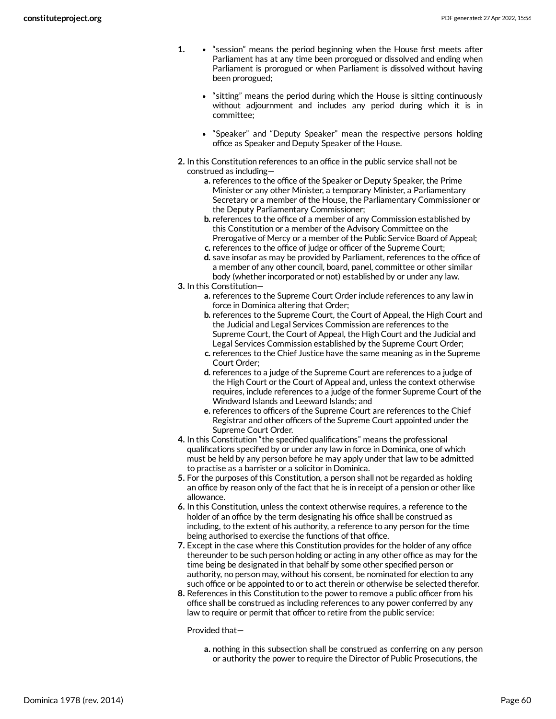- **1.** "session" means the period beginning when the House first meets after Parliament has at any time been prorogued or dissolved and ending when Parliament is prorogued or when Parliament is dissolved without having been prorogued;
	- "sitting" means the period during which the House is sitting continuously without adjournment and includes any period during which it is in committee;
	- "Speaker" and "Deputy Speaker" mean the respective persons holding office as Speaker and Deputy Speaker of the House.
- **2.** In this Constitution references to an office in the public service shall not be construed as including
	- **a.** references to the office of the Speaker or Deputy Speaker, the Prime Minister or any other Minister, a temporary Minister, a Parliamentary Secretary or a member of the House, the Parliamentary Commissioner or the Deputy Parliamentary Commissioner;
	- **b.** references to the office of a member of any Commission established by this Constitution or a member of the Advisory Committee on the Prerogative of Mercy or a member of the Public Service Board of Appeal;
	- **c.** references to the office of judge or officer of the Supreme Court;
	- **d.** save insofar as may be provided by Parliament, references to the office of a member of any other council, board, panel, committee or other similar body (whether incorporated or not) established by or under any law.
- **3.** In this Constitution
	- **a.** references to the Supreme Court Order include references to any law in force in Dominica altering that Order;
	- **b.** references to the Supreme Court, the Court of Appeal, the High Court and the Judicial and Legal Services Commission are references to the Supreme Court, the Court of Appeal, the High Court and the Judicial and Legal Services Commission established by the Supreme Court Order;
	- **c.** references to the Chief Justice have the same meaning as in the Supreme Court Order;
	- **d.** references to a judge of the Supreme Court are references to a judge of the High Court or the Court of Appeal and, unless the context otherwise requires, include references to a judge of the former Supreme Court of the Windward Islands and Leeward Islands; and
	- **e.** references to officers of the Supreme Court are references to the Chief Registrar and other officers of the Supreme Court appointed under the Supreme Court Order.
- **4.** In this Constitution "the specified qualifications" means the professional qualifications specified by or under any law in force in Dominica, one of which must be held by any person before he may apply under that law to be admitted to practise as a barrister or a solicitor in Dominica.
- **5.** For the purposes of this Constitution, a person shall not be regarded as holding an office by reason only of the fact that he is in receipt of a pension or other like allowance.
- **6.** In this Constitution, unless the context otherwise requires, a reference to the holder of an office by the term designating his office shall be construed as including, to the extent of his authority, a reference to any person for the time being authorised to exercise the functions of that office.
- **7.** Except in the case where this Constitution provides for the holder of any office thereunder to be such person holding or acting in any other office as may for the time being be designated in that behalf by some other specified person or authority, no person may, without his consent, be nominated for election to any such office or be appointed to or to act therein or otherwise be selected therefor.
- **8.** References in this Constitution to the power to remove a public officer from his office shall be construed as including references to any power conferred by any law to require or permit that officer to retire from the public service:

Provided that—

**a.** nothing in this subsection shall be construed as conferring on any person or authority the power to require the Director of Public Prosecutions, the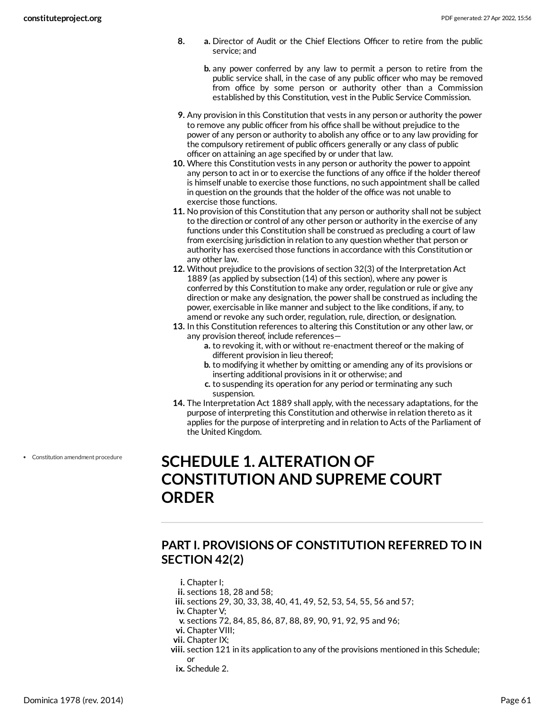- **8. a.** Director of Audit or the Chief Elections Officer to retire from the public service; and
	- **b.** any power conferred by any law to permit a person to retire from the public service shall, in the case of any public officer who may be removed from office by some person or authority other than a Commission established by this Constitution, vest in the Public Service Commission.
- **9.** Any provision in this Constitution that vests in any person or authority the power to remove any public officer from his office shall be without prejudice to the power of any person or authority to abolish any office or to any law providing for the compulsory retirement of public officers generally or any class of public officer on attaining an age specified by or under that law.
- **10.** Where this Constitution vests in any person or authority the power to appoint any person to act in or to exercise the functions of any office if the holder thereof is himself unable to exercise those functions, no such appointment shall be called in question on the grounds that the holder of the office was not unable to exercise those functions.
- **11.** No provision of this Constitution that any person or authority shall not be subject to the direction or control of any other person or authority in the exercise of any functions under this Constitution shall be construed as precluding a court of law from exercising jurisdiction in relation to any question whether that person or authority has exercised those functions in accordance with this Constitution or any other law.
- **12.** Without prejudice to the provisions of section 32(3) of the Interpretation Act 1889 (as applied by subsection (14) of this section), where any power is conferred by this Constitution to make any order, regulation or rule or give any direction or make any designation, the power shall be construed as including the power, exercisable in like manner and subject to the like conditions, if any, to amend or revoke any such order, regulation, rule, direction, or designation.
- **13.** In this Constitution references to altering this Constitution or any other law, or any provision thereof, include references
	- **a.** to revoking it, with or without re-enactment thereof or the making of different provision in lieu thereof;
	- **b.** to modifying it whether by omitting or amending any of its provisions or inserting additional provisions in it or otherwise; and
	- **c.** to suspending its operation for any period or terminating any such suspension.
- **14.** The Interpretation Act 1889 shall apply, with the necessary adaptations, for the purpose of interpreting this Constitution and otherwise in relation thereto as it applies for the purpose of interpreting and in relation to Acts of the Parliament of the United Kingdom.

Constitution amendment procedure

# <span id="page-60-0"></span>**SCHEDULE 1. ALTERATION OF CONSTITUTION AND SUPREME COURT ORDER**

### <span id="page-60-1"></span>**PART I. PROVISIONS OF CONSTITUTION REFERRED TO IN SECTION 42(2)**

- **i.** Chapter I:
- **ii.** sections 18, 28 and 58;
- **iii.** sections 29, 30, 33, 38, 40, 41, 49, 52, 53, 54, 55, 56 and 57;
- **iv.** Chapter V:
- **v.** sections 72, 84, 85, 86, 87, 88, 89, 90, 91, 92, 95 and 96;
- **vi.** Chapter VIII;
- **vii.** Chapter IX;
- **viii.** section 121 in its application to any of the provisions mentioned in this Schedule; or
	- **ix.** Schedule 2.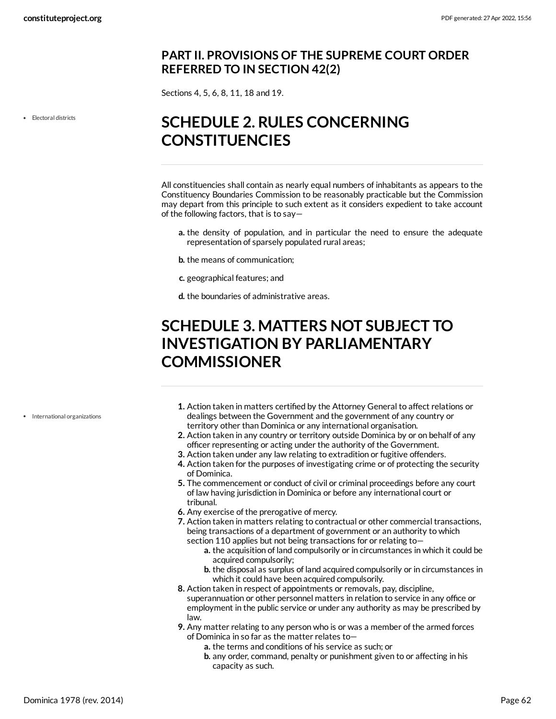### <span id="page-61-0"></span>**PART II. PROVISIONS OF THE SUPREME COURT ORDER REFERRED TO IN SECTION 42(2)**

Sections 4, 5, 6, 8, 11, 18 and 19.

• Electoral districts

# <span id="page-61-1"></span>**SCHEDULE 2. RULES CONCERNING CONSTITUENCIES**

All constituencies shall contain as nearly equal numbers of inhabitants as appears to the Constituency Boundaries Commission to be reasonably practicable but the Commission may depart from this principle to such extent as it considers expedient to take account of the following factors, that is to say—

- **a.** the density of population, and in particular the need to ensure the adequate representation of sparsely populated rural areas;
- **b.** the means of communication;
- **c.** geographical features; and
- **d.** the boundaries of administrative areas.

# <span id="page-61-2"></span>**SCHEDULE 3. MATTERS NOT SUBJECT TO INVESTIGATION BY PARLIAMENTARY COMMISSIONER**

• International organizations

- **1.** Action taken in matters certified by the Attorney General to affect relations or dealings between the Government and the government of any country or territory other than Dominica or any international organisation.
- **2.** Action taken in any country or territory outside Dominica by or on behalf of any officer representing or acting under the authority of the Government.
- **3.** Action taken under any law relating to extradition or fugitive offenders.
- **4.** Action taken for the purposes of investigating crime or of protecting the security of Dominica.
- **5.** The commencement or conduct of civil or criminal proceedings before any court of law having jurisdiction in Dominica or before any international court or tribunal.
- **6.** Any exercise of the prerogative of mercy.
- **7.** Action taken in matters relating to contractual or other commercial transactions, being transactions of a department of government or an authority to which section 110 applies but not being transactions for or relating to
	- **a.** the acquisition of land compulsorily or in circumstances in which it could be acquired compulsorily;
	- **b.** the disposal as surplus of land acquired compulsorily or in circumstances in which it could have been acquired compulsorily.
- **8.** Action taken in respect of appointments or removals, pay, discipline, superannuation or other personnel matters in relation to service in any office or employment in the public service or under any authority as may be prescribed by law.
- **9.** Any matter relating to any person who is or was a member of the armed forces of Dominica in so far as the matter relates to
	- **a.** the terms and conditions of his service as such; or
	- **b.** any order, command, penalty or punishment given to or affecting in his capacity as such.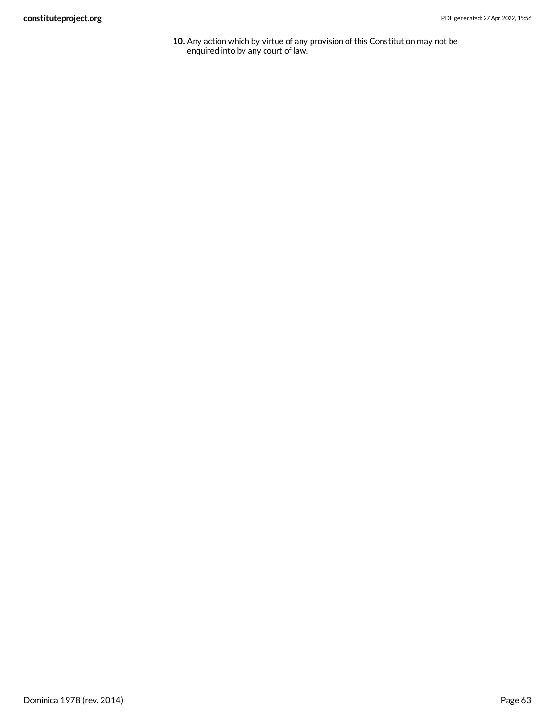**10.** Any action which by virtue of any provision of this Constitution may not be enquired into by any court of law.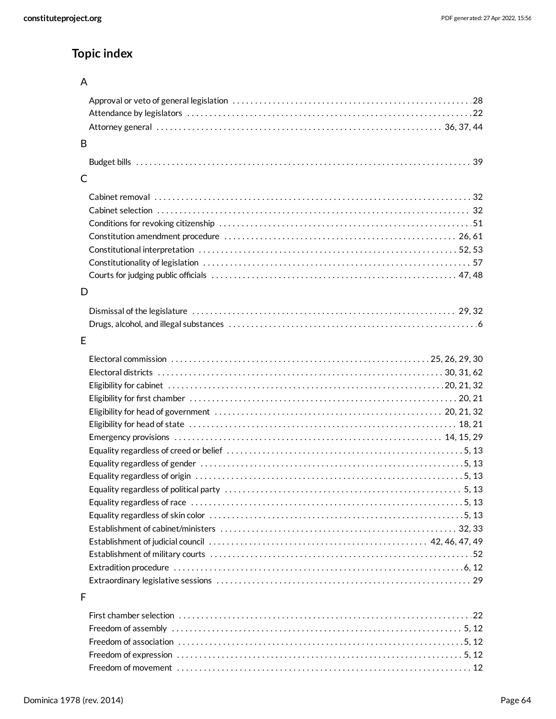## **Topic index**

#### A

| B |                               |  |
|---|-------------------------------|--|
|   |                               |  |
|   |                               |  |
| C |                               |  |
|   |                               |  |
|   |                               |  |
|   |                               |  |
|   |                               |  |
|   |                               |  |
|   |                               |  |
|   |                               |  |
| D |                               |  |
|   |                               |  |
|   |                               |  |
| E |                               |  |
|   |                               |  |
|   |                               |  |
|   |                               |  |
|   |                               |  |
|   |                               |  |
|   |                               |  |
|   |                               |  |
|   |                               |  |
|   |                               |  |
|   |                               |  |
|   |                               |  |
|   |                               |  |
|   |                               |  |
|   |                               |  |
|   |                               |  |
|   |                               |  |
|   |                               |  |
|   |                               |  |
|   |                               |  |
| F |                               |  |
|   | First chamber selection<br>つつ |  |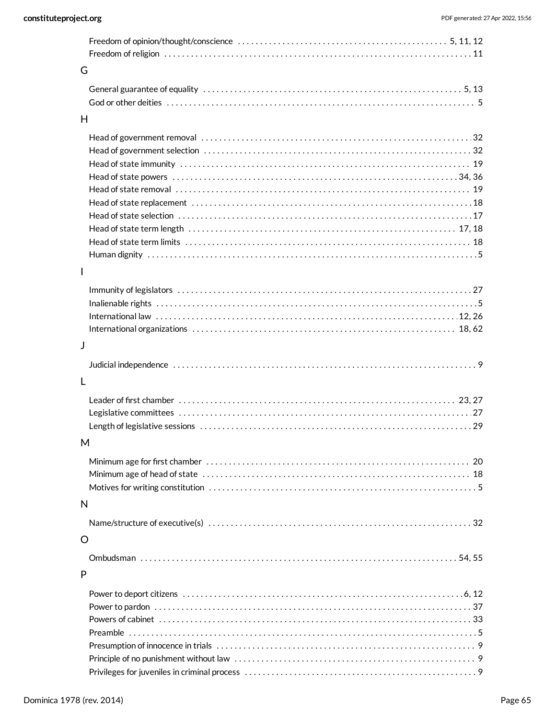| G              |  |
|----------------|--|
|                |  |
|                |  |
| H              |  |
|                |  |
|                |  |
|                |  |
|                |  |
|                |  |
|                |  |
|                |  |
|                |  |
|                |  |
|                |  |
|                |  |
| $\overline{1}$ |  |
|                |  |
|                |  |
|                |  |
|                |  |
| J              |  |
|                |  |
|                |  |
| L              |  |
|                |  |
|                |  |
|                |  |
|                |  |
| M              |  |
|                |  |
|                |  |
|                |  |
| N              |  |
|                |  |
|                |  |
| O              |  |
|                |  |
| P              |  |
|                |  |
|                |  |
|                |  |
|                |  |
|                |  |
|                |  |
|                |  |
|                |  |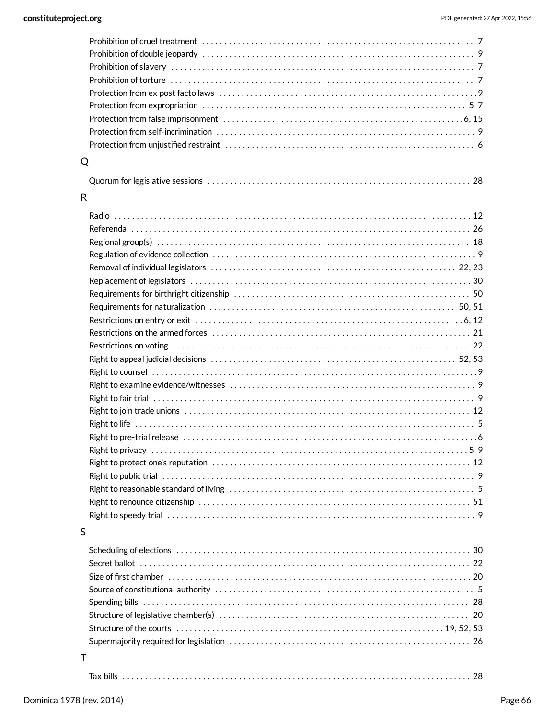| Q  |  |
|----|--|
|    |  |
| R. |  |
|    |  |
|    |  |
|    |  |
|    |  |
|    |  |
|    |  |
|    |  |
|    |  |
|    |  |
|    |  |
|    |  |
|    |  |
|    |  |
|    |  |
|    |  |
|    |  |
|    |  |
|    |  |
|    |  |
|    |  |
|    |  |
|    |  |
|    |  |
|    |  |
|    |  |

#### $\sf S$

| Tax Dilis |  |  |  |  |  |  |  |
|-----------|--|--|--|--|--|--|--|
|-----------|--|--|--|--|--|--|--|

 $\mathsf T$